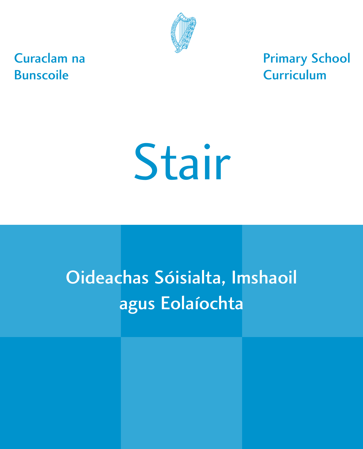

Curaclam na Bunscoile

Primary School **Curriculum** 

# Stair

# Oideachas Sóisialta, Imshaoil agus Eolaíochta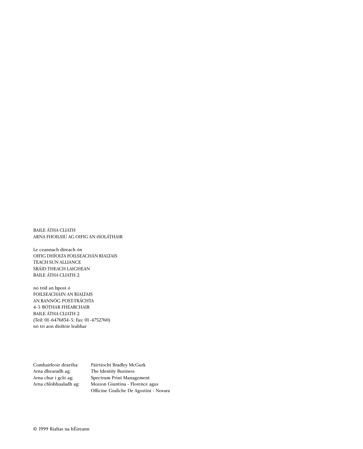BAILE ÁTHA CLIATH ARNA FHOILSIÚ AG OIFIG AN tSOLÁTHAIR

Le ceannach díreach ón OIFIG DHÍOLTA FOILSEACHÁN RIALTAIS TEACH SUN ALLIANCE SRÁID THEACH LAIGHEAN BAILE ÁTHA CLIATH 2

nó tríd an bpost ó FOILSEACHÁIN AN RIALTAIS AN RANNÓG POST-TRÁCHTA 4-5 BÓTHAR FHEARCHAIR BAILE ÁTHA CLIATH 2 (Teil: 01-6476834-5; Fax: 01-4752760) nó trí aon díoltóir leabhar

Arna dhearadh ag: The Identity Business

Comhairleoir deartha: Páirtíocht Bradley McGurk Arna chur i gcló ag: Spectrum Print Management Arna chlóbhualadh ag: Mozzon Giuntina - Florence agus Officine Grafiche De Agostini - Novara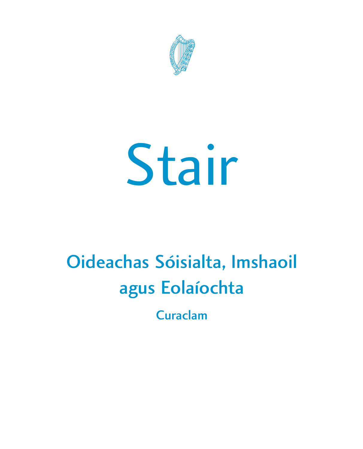

# Stair

# Oideachas Sóisialta, Imshaoil agus Eolaíochta

Curaclam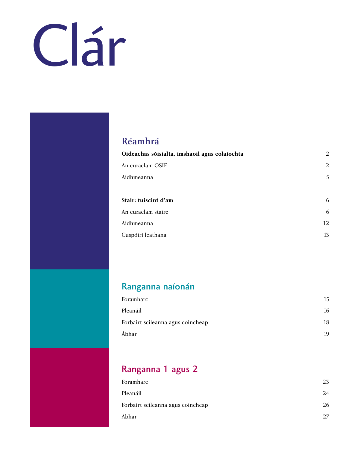# Clár

### [Réamhrá](#page-5-0)

| Oideachas sóisialta, imshaoil agus eolaíochta | $\overline{2}$ |
|-----------------------------------------------|----------------|
| An curaclam OSIE                              | $\overline{2}$ |
| Aidhmeanna                                    | 5              |
|                                               |                |
| Stair: tuiscint d'am                          | 6              |
| An curaclam staire                            | 6              |
| Aidhmeanna                                    | 12             |
| Cuspóirí leathana                             | 13             |

### [Ranganna naíonán](#page-19-0)

| Foramharc                         | 15 |
|-----------------------------------|----|
| Pleanáil                          | 16 |
| Forbairt scileanna agus coincheap | 18 |
| Ábhar                             | 19 |

## [Ranganna 1 agus 2](#page-27-0)

| Foramharc                         | 23 |
|-----------------------------------|----|
| Pleanáil                          | 24 |
| Forbairt scileanna agus coincheap | 26 |
| Ábhar                             | 27 |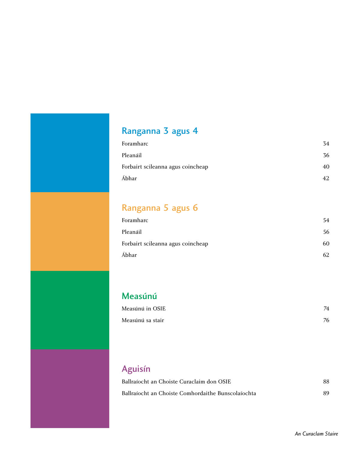# [Ranganna 3 agus 4](#page-37-0)

| Foramharc                         | 34  |
|-----------------------------------|-----|
| Pleanáil                          | 36  |
| Forbairt scileanna agus coincheap | 40  |
| Ábhar                             | 42. |

# [Ranganna 5 agus 6](#page-57-0)

| Foramharc                         | 54 |
|-----------------------------------|----|
| Pleanáil                          | 56 |
| Forbairt scileanna agus coincheap | 60 |
| Ábhar                             |    |

### [Measúnú](#page-77-0)

| Measúnú in OSIE  | 74 |
|------------------|----|
| Measúnú sa stair | 76 |

# [Aguisín](#page-91-0)

| Ballraíocht an Choiste Curaclaim don OSIE          | 88 |
|----------------------------------------------------|----|
| Ballraíocht an Choiste Comhordaithe Bunscolaíochta | 89 |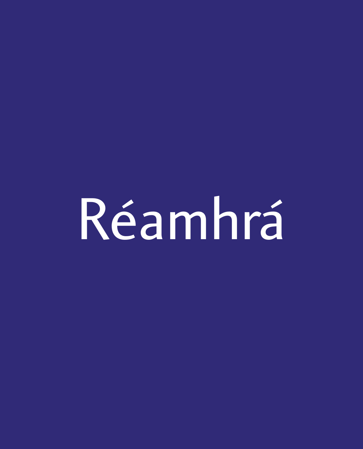<span id="page-5-0"></span>Réamhrá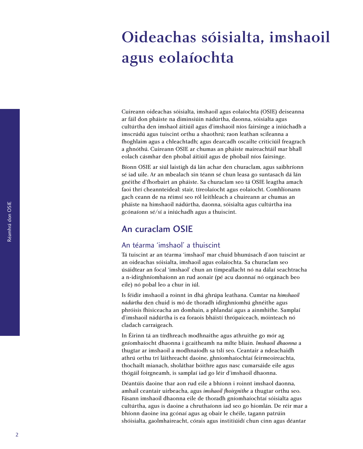# <span id="page-7-0"></span>Oideachas sóisialta, imshaoil agus eolaíochta

Cuireann oideachas sóisialta, imshaoil agus eolaíochta (OSIE) deiseanna ar fáil don pháiste na diminsiúin nádúrtha, daonna, sóisialta agus cultúrtha den imshaol áitiúil agus d'imshaoil níos fairsinge a iniúchadh a imscrúdú agus tuiscint orthu a shaothrú; raon leathan scileanna a fhoghlaim agus a chleachtadh; agus dearcadh oscailte criticiúil freagrach a ghnóthú. Cuireann OSIE ar chumas an pháiste maireachtáil mar bhall eolach cásmhar den phobal áitiúil agus de phobail níos fairsinge.

Bíonn OSIE ar siúl laistigh dá lán achar den churaclam, agus saibhríonn sé iad uile. Ar an mbealach sin téann sé chun leasa go suntasach dá lán gnéithe d'fhorbairt an pháiste. Sa churaclam seo tá OSIE leagtha amach faoi thrí cheannteideal: stair, tíreolaíocht agus eolaíocht. Comhlíonann gach ceann de na réimsí seo ról leithleach a chuireann ar chumas an pháiste na himshaoil nádúrtha, daonna, sóisialta agus cultúrtha ina gcónaíonn sé/sí a iniúchadh agus a thuiscint.

#### An curaclam OSIE

#### An téarma 'imshaol' a thuiscint

Tá tuiscint ar an téarma 'imshaol' mar chuid bhunúsach d'aon tuiscint ar an oideachas sóisialta, imshaoil agus eolaíochta. Sa churaclam seo úsáidtear an focal 'imshaol' chun an timpeallacht nó na dálaí seachtracha a n-idirghníomhaíonn an rud aonair (pé acu daonnaí nó orgánach beo eile) nó pobal leo a chur in iúl.

Is féidir imshaoil a roinnt in dhá ghrúpa leathana. Cumtar na *himshaoil nádúrtha* den chuid is mó de thoradh idirghníomhú ghnéithe agus phróisis fhisiceacha an domhain, a phlandaí agus a ainmhithe. Samplaí d'imshaoil nádúrtha is ea foraois bháistí thrópaiceach, móinteach nó cladach carraigeach.

In Éirinn tá an tírdhreach modhnaithe agus athruithe go mór ag gníomhaíocht dhaonna i gcaitheamh na mílte bliain. *Imshaoil dhaonna* a thugtar ar imshaoil a modhnaíodh sa tslí seo. Ceantair a ndeachaidh athrú orthu trí láithreacht daoine, ghníomhaíochtaí feirmeoireachta, thochailt mianach, sholáthar bóithre agus nasc cumarsáide eile agus thógáil foirgneamh, is samplaí iad go léir d'imshaoil dhaonna.

Déantúis daoine thar aon rud eile a bhíonn i roinnt imshaol daonna, amhail ceantair uirbeacha, agus *imshaoil fhoirgnithe* a thugtar orthu seo. Fásann imshaoil dhaonna eile de thoradh gníomhaíochtaí sóisialta agus cultúrtha, agus is daoine a chruthaíonn iad seo go hiomlán. De réir mar a bhíonn daoine ina gcónaí agus ag obair le chéile, tagann patrúin shóisialta, gaolmhaireacht, córais agus institiúidí chun cinn agus déantar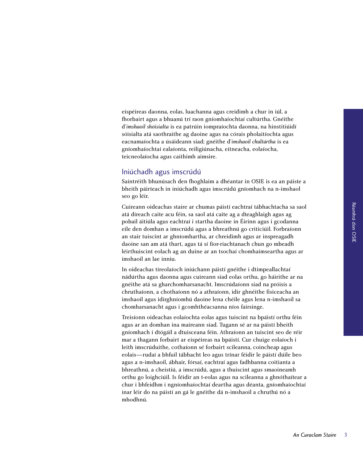eispéireas daonna, eolas, luachanna agus creidimh a chur in iúl, a fhorbairt agus a bhuanú trí raon gníomhaíochtaí cultúrtha. Gnéithe d'*imshaoil shóisialta* is ea patrúin iompraíochta daonna, na hinstitiúidí sóisialta atá saothraithe ag daoine agus na córais pholaitíochta agus eacnamaíochta a úsáideann siad; gnéithe d'*imshaoil chultúrtha* is ea gníomhaíochtaí ealaíonta, reiligiúnacha, eitneacha, eolaíocha, teicneolaíocha agus caithimh aimsire.

#### Iniúchadh agus imscrúdú

Saintréith bhunúsach den fhoghlaim a dhéantar in OSIE is ea an páiste a bheith páirteach in iniúchadh agus imscrúdú gníomhach na n-imshaol seo go léir.

Cuireann oideachas staire ar chumas páistí eachtraí tábhachtacha sa saol atá díreach caite acu féin, sa saol atá caite ag a dteaghlaigh agus ag pobail áitiúla agus eachtraí i startha daoine in Éirinn agus i gcodanna eile den domhan a imscrúdú agus a bhreathnú go criticiúil. Forbraíonn an stair tuiscint ar ghníomhartha, ar chreidimh agus ar inspreagadh daoine san am atá thart, agus tá sí fíor-riachtanach chun go mbeadh léirthuiscint eolach ag an duine ar an tsochaí chomhaimseartha agus ar imshaoil an lae inniu.

In oideachas tíreolaíoch iniúchann páistí gnéithe i dtimpeallachtaí nádúrtha agus daonna agus cuireann siad eolas orthu, go háirithe ar na gnéithe atá sa gharchomharsanacht. Imscrúdaíonn siad na próisis a chruthaíonn, a chothaíonn nó a athraíonn, idir ghnéithe fisiceacha an imshaoil agus idirghníomhú daoine lena chéile agus lena n-imshaoil sa chomharsanacht agus i gcomhthéacsanna níos fairsinge.

Treisíonn oideachas eolaíochta eolas agus tuiscint na bpáistí orthu féin agus ar an domhan ina maireann siad. Tugann sé ar na páistí bheith gníomhach i dtógáil a dtuisceana féin. Athraíonn an tuiscint seo de réir mar a thagann forbairt ar eispéireas na bpáistí. Cur chuige eolaíoch i leith imscrúduithe, cothaíonn sé forbairt scileanna, coincheap agus eolais—rudaí a bhfuil tábhacht leo agus trínar féidir le páistí dúile beo agus a n-imshaoil, ábhair, fórsaí, eachtraí agus fadhbanna coitianta a bhreathnú, a cheistiú, a imscrúdú, agus a thuiscint agus smaoineamh orthu go loighciúil. Is féidir an t-eolas agus na scileanna a ghnóthaítear a chur i bhfeidhm i ngníomhaíochtaí deartha agus déanta, gníomhaíochtaí inar léir do na páistí an gá le gnéithe dá n-imshaoil a chruthú nó a mhodhnú.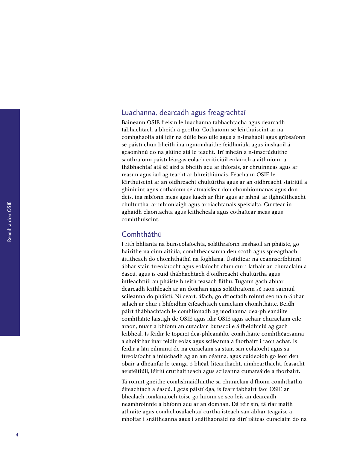#### Luachanna, dearcadh agus freagrachtaí

Baineann OSIE freisin le luachanna tábhachtacha agus dearcadh tábhachtach a bheith á gcothú. Cothaíonn sé léirthuiscint ar na comhghaolta atá idir na dúile beo uile agus a n-imshaoil agus gríosaíonn sé páistí chun bheith ina ngníomhaithe feidhmiúla agus imshaoil á gcaomhnú do na glúine atá le teacht. Trí mheán a n-imscrúduithe saothraíonn páistí léargas eolach criticiúil eolaíoch a aithníonn a thábhachtaí atá sé aird a bheith acu ar fhíorais, ar chruinneas agus ar réasún agus iad ag teacht ar bhreithiúnais. Féachann OSIE le léirthuiscint ar an oidhreacht chultúrtha agus ar an oidhreacht stairiúil a ghiniúint agus cothaíonn sé atmaisféar don chomhionnanas agus don deis, ina mbíonn meas agus luach ar fhir agus ar mhná, ar ilghnéitheacht chultúrtha, ar mhionlaigh agus ar riachtanais speisialta. Cuirtear in aghaidh claontachta agus leithcheala agus cothaítear meas agus comhthuiscint.

#### Comhtháthú

I rith bhlianta na bunscolaíochta, soláthraíonn imshaoil an pháiste, go háirithe na cinn áitiúla, comhthéacsanna den scoth agus spreagthach áititheach do chomhtháthú na foghlama. Úsáidtear na ceannscríbhinní ábhar stair, tíreolaíocht agus eolaíocht chun cur i láthair an churaclaim a éascú, agus is cuid thábhachtach d'oidhreacht chultúrtha agus intleachtúil an pháiste bheith feasach fúthu. Tugann gach ábhar dearcadh leithleach ar an domhan agus soláthraíonn sé raon sainiúil scileanna do pháistí. Ní ceart, áfach, go dtiocfadh roinnt seo na n-ábhar salach ar chur i bhfeidhm éifeachtach curaclaim chomhtháite. Beidh páirt thábhachtach le comhlíonadh ag modhanna dea-phleanáilte comhtháite laistigh de OSIE agus idir OSIE agus achair churaclaim eile araon, nuair a bhíonn an curaclam bunscoile á fheidhmiú ag gach leibhéal. Is féidir le topaicí dea-phleanáilte comhtháite comhthéacsanna a sholáthar inar féidir eolas agus scileanna a fhorbairt i raon achar. Is féidir a lán eilimintí de na curaclaim sa stair, san eolaíocht agus sa tíreolaíocht a iniúchadh ag an am céanna, agus cuideoidh go leor den obair a dhéanfar le teanga ó bhéal, litearthacht, uimhearthacht, feasacht aeistéitiúil, léiriú cruthaitheach agus scileanna cumarsáide a fhorbairt.

Tá roinnt gnéithe comhshnaidhmthe sa churaclam d'fhonn comhtháthú éifeachtach a éascú. I gcás páistí óga, is fearr tabhairt faoi OSIE ar bhealach iomlánaíoch toisc go luíonn sé seo leis an dearcadh neamhroinnte a bhíonn acu ar an domhan. Dá réir sin, tá riar maith athráite agus comhchosúlachtaí curtha isteach san ábhar teagaisc a mholtar i snáitheanna agus i snáithaonaid na dtrí ráiteas curaclaim do na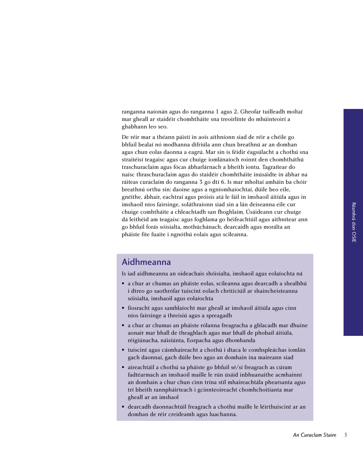<span id="page-10-0"></span>ranganna naíonán agus do ranganna 1 agus 2. Gheofar tuilleadh moltaí mar gheall ar staidéir chomhtháite sna treoirlínte do mhúinteoirí a ghabhann leo seo.

De réir mar a théann páistí in aois aithníonn siad de réir a chéile go bhfuil bealaí nó modhanna difriúla ann chun breathnú ar an domhan agus chun eolas daonna a eagrú. Mar sin is féidir éagsúlacht a chothú sna straitéisí teagaisc agus cur chuige iomlánaíoch roinnt den chomhtháthú traschuraclaim agus fócas ábharlárnach a bheith iontu. Tagraítear do naisc thraschuraclaim agus do staidéir chomhtháite inúsáidte in ábhar na ráiteas curaclaim do ranganna 3 go dtí 6. Is mar mholtaí amháin ba chóir breathnú orthu sin: daoine agus a ngníomhaíochtaí, dúile beo eile, gnéithe, ábhair, eachtraí agus próisis atá le fáil in imshaoil áitiúla agus in imshaoil níos fairsinge, soláthraíonn siad sin a lán deiseanna eile cur chuige comhtháite a chleachtadh san fhoghlaim. Úsáideann cur chuige dá leithéid am teagaisc agus foghlama go héifeachtúil agus aithnítear ann go bhfuil forás sóisialta, mothúchánach, dearcaidh agus morálta an pháiste fite fuaite i ngnóthú eolais agus scileanna.

#### Aidhmeanna

Is iad aidhmeanna an oideachais shóisialta, imshaoil agus eolaíochta ná

- a chur ar chumas an pháiste eolas, scileanna agus dearcadh a shealbhú i dtreo go saothrófar tuiscint eolach chriticiúil ar shaincheisteanna sóisialta, imshaoil agus eolaíochta
- fiosracht agus samhlaíocht mar gheall ar imshaoil áitiúla agus cinn níos fairsinge a threisiú agus a spreagadh
- a chur ar chumas an pháiste rólanna freagracha a ghlacadh mar dhuine aonair mar bhall de theaghlach agus mar bhall de phobail áitiúla, réigiúnacha, náisiúnta, Eorpacha agus dhomhanda
- tuiscint agus cásmhaireacht a chothú i dtaca le comhspleáchas iomlán gach daonnaí, gach dúile beo agus an domhain ina maireann siad
- aireachtáil a chothú sa pháiste go bhfuil sé/sí freagrach as cúram fadtéarmach an imshaoil maille le rún úsáid inbhuanaithe acmhainní an domhain a chur chun cinn trína stíl mhaireachtála phearsanta agus trí bheith rannpháirteach i gcinnteoireacht chomhchoitianta mar gheall ar an imshaol
- dearcadh daonnachtúil freagrach a chothú maille le léirthuiscint ar an domhan de réir creideamh agus luachanna.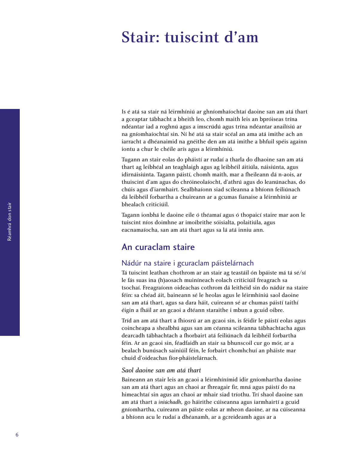# <span id="page-11-0"></span>Stair: tuiscint d'am

Is é atá sa stair ná léirmhíniú ar ghníomhaíochtaí daoine san am atá thart a gceaptar tábhacht a bheith leo, chomh maith leis an bpróiseas trína ndéantar iad a roghnú agus a imscrúdú agus trína ndéantar anailísiú ar na gníomhaíochtaí sin. Ní hé atá sa stair scéal an ama atá imithe ach an iarracht a dhéanaimid na gnéithe den am atá imithe a bhfuil spéis againn iontu a chur le chéile arís agus a léirmhíniú.

Tugann an stair eolas do pháistí ar rudaí a tharla do dhaoine san am atá thart ag leibhéal an teaghlaigh agus ag leibhéil áitiúla, náisiúnta, agus idirnáisiúnta. Tagann páistí, chomh maith, mar a fheileann dá n-aois, ar thuiscint d'am agus do chróineolaíocht, d'athrú agus do leanúnachas, do chúis agus d'iarmhairt. Sealbhaíonn siad scileanna a bhíonn feiliúnach dá leibhéil forbartha a chuireann ar a gcumas fianaise a léirmhíniú ar bhealach criticiúil.

Tagann ionbhá le daoine eile ó théamaí agus ó thopaicí staire mar aon le tuiscint níos doimhne ar imoibrithe sóisialta, polaitiúla, agus eacnamaíocha, san am atá thart agus sa lá atá inniu ann.

#### An curaclam staire

#### Nádúr na staire i gcuraclam páistelárnach

Tá tuiscint leathan chothrom ar an stair ag teastáil ón bpáiste má tá sé/sí le fás suas ina (h)aosach muiníneach eolach criticiúil freagrach sa tsochaí. Freagraíonn oideachas cothrom dá leithéid sin do nádúr na staire féin: sa chéad áit, baineann sé le heolas agus le léirmhíniú saol daoine san am atá thart, agus sa dara háit*,* cuireann sé ar chumas páistí taithí éigin a fháil ar an gcaoi a dtéann staraithe i mbun a gcuid oibre.

Tríd an am atá thart a fhiosrú ar an gcaoi sin, is féidir le páistí eolas agus coincheapa a shealbhú agus san am céanna scileanna tábhachtacha agus dearcadh tábhachtach a fhorbairt atá feiliúnach dá leibhéil forbartha féin. Ar an gcaoi sin, féadfaidh an stair sa bhunscoil cur go mór, ar a bealach bunúsach sainiúil féin, le forbairt chomhchuí an pháiste mar chuid d'oideachas fíor-pháistelárnach.

#### *Saol daoine san am atá thart*

Baineann an stair leis an gcaoi a léirmhínímid idir gníomhartha daoine san am atá thart agus an chaoi ar fhreagair fir, mná agus páistí do na himeachtaí sin agus an chaoi ar mhair siad tríothu. Trí shaol daoine san am atá thart a *iniúchadh,* go háirithe cúiseanna agus iarmhairtí a gcuid gníomhartha, cuireann an páiste eolas ar mheon daoine, ar na cúiseanna a bhíonn acu le rudaí a dhéanamh, ar a gcreideamh agus ar a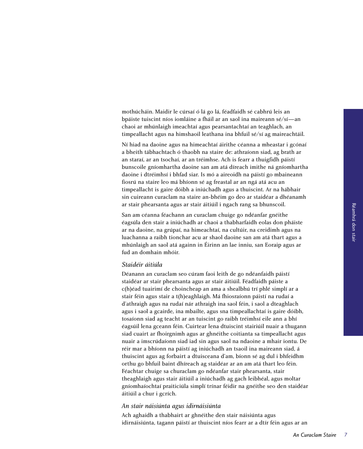mothúcháin. Maidir le cúrsaí ó lá go lá, féadfaidh sé cabhrú leis an bpáiste tuiscint níos iomláine a fháil ar an saol ina maireann sé/sí—an chaoi ar mhúnlaigh imeachtaí agus pearsantachtaí an teaghlach, an timpeallacht agus na himshaoil leathana ina bhfuil sé/sí ag maireachtáil.

Ní hiad na daoine agus na himeachtaí áirithe céanna a mheastar i gcónaí a bheith tábhachtach ó thaobh na staire de: athraíonn siad, ag brath ar an staraí, ar an tsochaí, ar an tréimhse. Ach is fearr a thuigfidh páistí bunscoile gníomhartha daoine san am atá díreach imithe ná gníomhartha daoine i dtréimhsí i bhfad siar. Is mó a aireoidh na páistí go mbaineann fiosrú na staire leo má bhíonn sé ag freastal ar an ngá atá acu an timpeallacht is gaire dóibh a iniúchadh agus a thuiscint. Ar na hábhair sin cuireann curaclam na staire an-bhéim go deo ar staidéar a dhéanamh ar stair phearsanta agus ar stair áitiúil i ngach rang sa bhunscoil.

San am céanna féachann an curaclam chuige go ndéanfar gnéithe éagsúla den stair a iniúchadh ar chaoi a thabharfaidh eolas don pháiste ar na daoine, na grúpaí, na himeachtaí, na cultúir, na creidimh agus na luachanna a raibh tionchar acu ar shaol daoine san am atá thart agus a mhúnlaigh an saol atá againn in Éirinn an lae inniu, san Eoraip agus ar fud an domhain mhóir.

#### *Staidéir áitiúla*

Déanann an curaclam seo cúram faoi leith de go ndéanfaidh páistí staidéar ar stair phearsanta agus ar stair áitiúil. Féadfaidh páiste a c(h)éad tuairimí de choincheap an ama a shealbhú trí phlé simplí ar a stair féin agus stair a t(h)eaghlaigh. Má fhiosraíonn páistí na rudaí a d'athraigh agus na rudaí nár athraigh ina saol féin, i saol a dteaghlach agus i saol a gcairde, ina mbailte, agus sna timpeallachtaí is gaire dóibh, tosaíonn siad ag teacht ar an tuiscint go raibh tréimhsí eile ann a bhí éagsúil lena gceann féin. Cuirtear lena dtuiscint stairiúil nuair a thugann siad cuairt ar fhoirgnimh agus ar ghnéithe coitianta sa timpeallacht agus nuair a imscrúdaíonn siad iad sin agus saol na ndaoine a mhair iontu. De réir mar a bhíonn na páistí ag iniúchadh an tsaoil ina maireann siad, á thuiscint agus ag forbairt a dtuisceana d'am, bíonn sé ag dul i bhfeidhm orthu go bhfuil baint dhíreach ag staidéar ar an am atá thart leo féin. Féachtar chuige sa churaclam go ndéanfar stair phearsanta, stair theaghlaigh agus stair áitiúil a iniúchadh ag gach leibhéal, agus moltar gníomhaíochtaí praiticiúla simplí trínar féidir na gnéithe seo den staidéar áitiúil a chur i gcrích.

#### *An stair náisiúnta agus idirnáisiúnta*

Ach aghaidh a thabhairt ar ghnéithe den stair náisiúnta agus idirnáisiúnta, tagann páistí ar thuiscint níos fearr ar a dtír féin agus ar an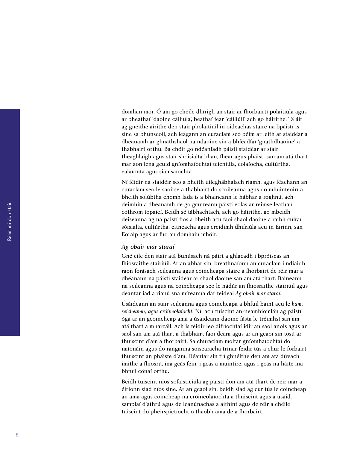domhan mór. Ó am go chéile dhírigh an stair ar fhorbairtí polaitiúla agus ar bheathaí 'daoine cáiliúla', beathaí fear 'cáiliúil' ach go háirithe. Tá áit ag gnéithe áirithe den stair pholaitiúil in oideachas staire na bpáistí is sine sa bhunscoil, ach leagann an curaclam seo béim ar leith ar staidéar a dhéanamh ar ghnáthshaol na ndaoine sin a bhféadfaí 'gnáthdhaoine' a thabhairt orthu. Ba chóir go ndéanfadh páistí staidéar ar stair theaghlaigh agus stair shóisialta bhan, fhear agus pháistí san am atá thart mar aon lena gcuid gníomhaíochtaí teicniúla, eolaíocha, cultúrtha, ealaíonta agus siamsaíochta.

Ní féidir na staidéir seo a bheith uileghábhalach riamh, agus féachann an curaclam seo le saoirse a thabhairt do scoileanna agus do mhúinteoirí a bheith solúbtha chomh fada is a bhaineann le hábhar a roghnú, ach deimhin a dhéanamh de go gcuireann páistí eolas ar réimse leathan cothrom topaicí. Beidh sé tábhachtach, ach go háirithe, go mbeidh deiseanna ag na páistí fios a bheith acu faoi shaol daoine a raibh cúlraí sóisialta, cultúrtha, eitneacha agus creidimh dhifriúla acu in Éirinn, san Eoraip agus ar fud an domhain mhóir.

#### *Ag obair mar staraí*

Gné eile den stair atá bunúsach ná páirt a ghlacadh i bpróiseas an fhiosraithe stairiúil. Ar an ábhar sin, breathnaíonn an curaclam i ndiaidh raon forásach scileanna agus coincheapa staire a fhorbairt de réir mar a dhéanann na páistí staidéar ar shaol daoine san am atá thart. Baineann na scileanna agus na coincheapa seo le nádúr an fhiosraithe stairiúil agus déantar iad a rianú sna míreanna dar teideal *Ag obair mar staraí*.

Úsáideann an stair scileanna agus coincheapa a bhfuil baint acu le *ham, seicheamh, agus cróineolaíocht*. Níl ach tuiscint an-neamhiomlán ag páistí óga ar an gcoincheap ama a úsáideann daoine fásta le tréimhsí san am atá thart a mharcáil. Ach is féidir leo difríochtaí idir an saol anois agus an saol san am atá thart a thabhairt faoi deara agus ar an gcaoi sin tosú ar thuiscint d'am a fhorbairt. Sa churaclam moltar gníomhaíochtaí do naíonáin agus do ranganna sóisearacha trínar féidir tús a chur le forbairt thuiscint an pháiste d'am. Déantar sin trí ghnéithe den am atá díreach imithe a fhiosrú, ina gcás féin, i gcás a muintire, agus i gcás na háite ina bhfuil cónaí orthu.

Beidh tuiscint níos sofaisticiúla ag páistí don am atá thart de réir mar a éiríonn siad níos sine. Ar an gcaoi sin, beidh siad ag cur tús le coincheap an ama agus coincheap na cróineolaíochta a thuiscint agus a úsáid, samplaí d'athrú agus de leanúnachas a aithint agus de réir a chéile tuiscint do pheirspictíocht ó thaobh ama de a fhorbairt.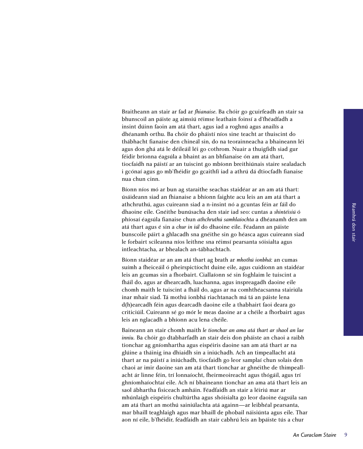Braitheann an stair ar fad ar *fhianaise*. Ba chóir go gcuirfeadh an stair sa bhunscoil an páiste ag aimsiú réimse leathain foinsí a d'fhéadfadh a insint dúinn faoin am atá thart, agus iad a roghnú agus anailís a dhéanamh orthu. Ba chóir do pháistí níos sine teacht ar thuiscint do thábhacht fianaise den chineál sin, do na teorainneacha a bhaineann léi agus don ghá atá le déileáil léi go cothrom. Nuair a thuigfidh siad gur féidir bríonna éagsúla a bhaint as an bhfianaise ón am atá thart, tiocfaidh na páistí ar an tuiscint go mbíonn breithiúnais staire sealadach i gcónaí agus go mb'fhéidir go gcaithfí iad a athrú dá dtiocfadh fianaise nua chun cinn.

Bíonn níos mó ar bun ag staraithe seachas staidéar ar an am atá thart: úsáideann siad an fhianaise a bhíonn faighte acu leis an am atá thart a athchruthú, agus cuireann siad a n-insint nó a gcuntas féin ar fáil do dhaoine eile. Gnéithe bunúsacha den stair iad seo: cuntas a *shintéisiú* ó phíosaí éagsúla fianaise chun *athchruthú samhlaíochta* a dhéanamh den am atá thart agus é sin a *chur in iúl* do dhaoine eile. Féadann an páiste bunscoile páirt a ghlacadh sna gnéithe sin go héasca agus cuireann siad le forbairt scileanna níos leithne sna réimsí pearsanta sóisialta agus intleachtacha, ar bhealach an-tábhachtach.

Bíonn staidéar ar an am atá thart ag brath ar *mhothú ionbhá*: an cumas suímh a fheiceáil ó pheirspictíocht duine eile, agus cuidíonn an staidéar leis an gcumas sin a fhorbairt. Ciallaíonn sé sin foghlaim le tuiscint a fháil do, agus ar dhearcadh, luachanna, agus inspreagadh daoine eile chomh maith le tuiscint a fháil do, agus ar na comhthéacsanna stairiúla inar mhair siad. Tá mothú ionbhá riachtanach má tá an páiste lena d(h)earcadh féin agus dearcadh daoine eile a thabhairt faoi deara go criticiúil. Cuireann sé go mór le meas daoine ar a chéile a fhorbairt agus leis an nglacadh a bhíonn acu lena chéile.

Baineann an stair chomh maith *le tionchar an ama atá thart ar shaol an lae inniu.* Ba chóir go dtabharfadh an stair deis don pháiste an chaoi a raibh tionchar ag gníomhartha agus eispéiris daoine san am atá thart ar na glúine a tháinig ina dhiaidh sin a iniúchadh. Ach an timpeallacht atá thart ar na páistí a iniúchadh, tiocfaidh go leor samplaí chun solais den chaoi ar imir daoine san am atá thart tionchar ar ghnéithe de thimpeallacht ár linne féin, trí lonnaíocht, fheirmeoireacht agus thógáil, agus trí ghníomhaíochtaí eile. Ach ní bhaineann tionchar an ama atá thart leis an saol ábhartha fisiceach amháin. Féadfaidh an stair a léiriú mar ar mhúnlaigh eispéiris chultúrtha agus shóisialta go leor daoine éagsúla san am atá thart an mothú sainiúlachta atá againn—ar leibhéal pearsanta, mar bhaill teaghlaigh agus mar bhaill de phobail náisiúnta agus eile. Thar aon ní eile, b'fhéidir, féadfaidh an stair cabhrú leis an bpáiste tús a chur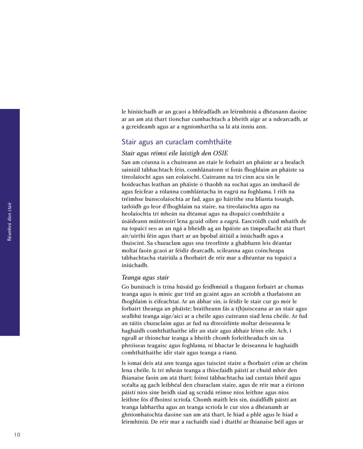le hiniúchadh ar an gcaoi a bhféadfadh an léirmhíniú a dhéanann daoine ar an am atá thart tionchar cumhachtach a bheith aige ar a ndearcadh, ar a gcreideamh agus ar a ngníomhartha sa lá atá inniu ann.

#### Stair agus an curaclam comhtháite

#### *Stair agus réimsí eile laistigh den OSIE*

San am céanna is a chuireann an stair le forbairt an pháiste ar a bealach sainiúil tábhachtach féin, comhlánaíonn sí forás fhoghlaim an pháiste sa tíreolaíocht agus san eolaíocht. Cuireann na trí cinn acu sin le hoideachas leathan an pháiste ó thaobh na sochaí agus an imshaoil de agus feicfear a rólanna comhlántacha in eagrú na foghlama. I rith na tréimhse bunscolaíochta ar fad, agus go háirithe sna blianta tosaigh, tarlóidh go leor d'fhoghlaim na staire, na tíreolaíochta agus na heolaíochta trí mheán na dtéamaí agus na dtopaicí comhtháite a úsáideann múinteoirí lena gcuid oibre a eagrú. Eascróidh cuid mhaith de na topaicí seo as an ngá a bheidh ag an bpáiste an timpeallacht atá thart air/uirthi féin agus thart ar an bpobal áitiúil a iniúchadh agus a thuiscint. Sa churaclam agus sna treorlínte a ghabhann leis déantar moltaí faoin gcaoi ar féidir dearcadh, scileanna agus coincheapa tábhachtacha stairiúla a fhorbairt de réir mar a dhéantar na topaicí a iniúchadh.

#### *Teanga agus stair*

Go bunúsach is trína húsáid go feidhmiúil a thagann forbairt ar chumas teanga agus is minic gur tríd an gcaint agus an scríobh a tharlaíonn an fhoghlaim is éifeachtaí. Ar an ábhar sin, is féidir le stair cur go mór le forbairt theanga an pháiste; braitheann fás a t(h)uisceana ar an stair agus sealbhú teanga aige/aici ar a chéile agus cuireann siad lena chéile. Ar fud an ráitis churaclaim agus ar fud na dtreoirlínte moltar deiseanna le haghaidh comhtháthaithe idir an stair agus ábhair léinn eile. Ach, i ngeall ar thionchar teanga a bheith chomh forleitheadach sin sa phróiseas teagaisc agus foghlama, ní bhactar le deiseanna le haghaidh comhtháthaithe idir stair agus teanga a rianú.

Is iomaí deis atá ann teanga agus tuiscint staire a fhorbairt céim ar chéim lena chéile. Is trí mheán teanga a thiocfaidh páistí ar chuid mhór den fhianaise faoin am atá thart; foinsí tábhachtacha iad cuntais bhéil agus scéalta ag gach leibhéal den churaclam staire, agus de réir mar a éiríonn páistí níos sine beidh siad ag scrúdú réimse níos leithne agus níos leithne fós d'fhoinsí scríofa. Chomh maith leis sin, úsáidfidh páistí an teanga labhartha agus an teanga scríofa le cur síos a dhéanamh ar ghníomhaíochta daoine san am atá thart, le hiad a phlé agus le hiad a léirmhíniú. De réir mar a rachaidh siad i dtaithí ar fhianaise béil agus ar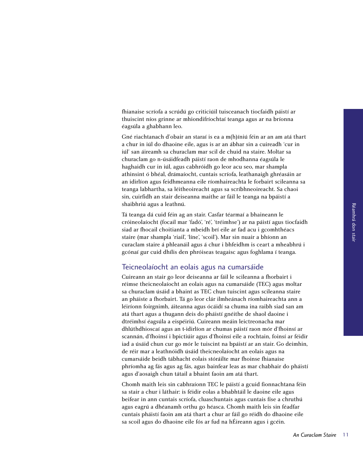fhianaise scríofa a scrúdú go criticiúil tuisceanach tiocfaidh páistí ar thuiscint níos grinne ar mhiondifríochtaí teanga agus ar na bríonna éagsúla a ghabhann leo.

Gné riachtanach d'obair an staraí is ea a m(h)íniú féin ar an am atá thart a chur in iúl do dhaoine eile, agus is ar an ábhar sin a cuireadh 'cur in iúl' san áireamh sa churaclam mar scil de chuid na staire. Moltar sa churaclam go n-úsáidfeadh páistí raon de mhodhanna éagsúla le haghaidh cur in iúl, agus cabhróidh go leor acu seo, mar shampla athinsint ó bhéal, drámaíocht, cuntais scríofa, leathanaigh ghréasáin ar an idirlíon agus feidhmeanna eile ríomhaireachta le forbairt scileanna sa teanga labhartha, sa léitheoireacht agus sa scríbhneoireacht. Sa chaoi sin, cuirfidh an stair deiseanna maithe ar fáil le teanga na bpáistí a shaibhriú agus a leathnú.

Tá teanga dá cuid féin ag an stair. Casfar téarmaí a bhaineann le cróineolaíocht (focail mar 'fadó', 'ré', 'tréimhse') ar na páistí agus tiocfaidh siad ar fhocail choitianta a mbeidh brí eile ar fad acu i gcomhthéacs staire (mar shampla 'riail', 'líne', 'scoil'). Mar sin nuair a bhíonn an curaclam staire á phleanáil agus á chur i bhfeidhm is ceart a mheabhrú i gcónaí gur cuid dhílis den phróiseas teagaisc agus foghlama í teanga.

#### Teicneolaíocht an eolais agus na cumarsáide

Cuireann an stair go leor deiseanna ar fáil le scileanna a fhorbairt i réimse theicneolaíocht an eolais agus na cumarsáide (TEC) agus moltar sa churaclam úsáid a bhaint as TEC chun tuiscint agus scileanna staire an pháiste a fhorbairt. Tá go leor clár ilmheánach ríomhaireachta ann a léiríonn foirgnimh, áiteanna agus ócáidí sa chuma ina raibh siad san am atá thart agus a thugann deis do pháistí gnéithe de shaol daoine i dtréimhsí éagsúla a eispéiriú. Cuireann meáin leictreonacha mar dhlúthdhioscaí agus an t-idirlíon ar chumas páistí raon mór d'fhoinsí ar scannán, d'fhoinsí i bpictiúir agus d'fhoinsí eile a rochtain, foinsí ar féidir iad a úsáid chun cur go mór le tuiscint na bpáistí ar an stair. Go deimhin, de réir mar a leathnóidh úsáid theicneolaíocht an eolais agus na cumarsáide beidh tábhacht eolais stóráilte mar fhoinse fhianaise phríomha ag fás agus ag fás, agus bainfear leas as mar chabhair do pháistí agus d'aosaigh chun tátail a bhaint faoin am atá thart.

Chomh maith leis sin cabhraíonn TEC le páistí a gcuid fionnachtana féin sa stair a chur i láthair: is féidir eolas a bhabhtáil le daoine eile agus beifear in ann cuntais scríofa, cluaschuntais agus cuntais físe a chruthú agus eagrú a dhéanamh orthu go héasca. Chomh maith leis sin féadfar cuntais pháistí faoin am atá thart a chur ar fáil go réidh do dhaoine eile sa scoil agus do dhaoine eile fós ar fud na hÉireann agus i gcéin.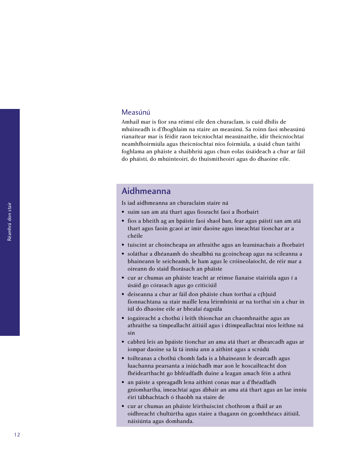#### <span id="page-17-0"></span>Measúnú

Amhail mar is fíor sna réimsí eile den churaclam, is cuid dhílis de mhúineadh is d'fhoghlaim na staire an measúnú. Sa roinn faoi mheasúnú rianaítear mar is féidir raon teicníochtaí measúnaithe, idir theicníochtaí neamhfhoirmiúla agus theicníochtaí níos foirmiúla, a úsáid chun taithí foghlama an pháiste a shaibhriú agus chun eolas úsáideach a chur ar fáil do pháistí, do mhúinteoirí, do thuismitheoirí agus do dhaoine eile.

### Aidhmeanna

Is iad aidhmeanna an churaclaim staire ná

- suim san am atá thart agus fiosracht faoi a fhorbairt
- fios a bheith ag an bpáiste faoi shaol ban, fear agus páistí san am atá thart agus faoin gcaoi ar imir daoine agus imeachtaí tionchar ar a chéile
- tuiscint ar choincheapa an athraithe agus an leanúnachais a fhorbairt
- soláthar a dhéanamh do shealbhú na gcoincheap agus na scileanna a bhaineann le seicheamh, le ham agus le cróineolaíocht, de réir mar a oireann do staid fhorásach an pháiste
- cur ar chumas an pháiste teacht ar réimse fianaise stairiúla agus í a úsáid go córasach agus go criticiúil
- deiseanna a chur ar fáil don pháiste chun torthaí a c(h)uid fionnachtana sa stair maille lena léirmhíniú ar na torthaí sin a chur in iúl do dhaoine eile ar bhealaí éagsúla
- íogaireacht a chothú i leith thionchar an chaomhnaithe agus an athraithe sa timpeallacht áitiúil agus i dtimpeallachtaí níos leithne ná sin
- cabhrú leis an bpáiste tionchar an ama atá thart ar dhearcadh agus ar iompar daoine sa lá tá inniu ann a aithint agus a scrúdú
- toilteanas a chothú chomh fada is a bhaineann le dearcadh agus luachanna pearsanta a iniúchadh mar aon le hoscailteacht don fhéidearthacht go bhféadfadh duine a leagan amach féin a athrú
- an páiste a spreagadh lena aithint conas mar a d'fhéadfadh gníomhartha, imeachtaí agus ábhair an ama atá thart agus an lae inniu éirí tábhachtach ó thaobh na staire de
- cur ar chumas an pháiste léirthuiscint chothrom a fháil ar an oidhreacht chultúrtha agus staire a thagann ón gcomhthéacs áitiúil, náisiúnta agus domhanda.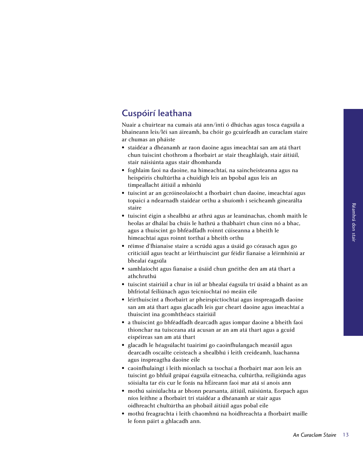### <span id="page-18-0"></span>Cuspóirí leathana

Nuair a chuirtear na cumais atá ann/inti ó dhúchas agus tosca éagsúla a bhaineann leis/léi san áireamh, ba chóir go gcuirfeadh an curaclam staire ar chumas an pháiste

- staidéar a dhéanamh ar raon daoine agus imeachtaí san am atá thart chun tuiscint chothrom a fhorbairt ar stair theaghlaigh, stair áitiúil, stair náisiúnta agus stair dhomhanda
- foghlaim faoi na daoine, na himeachtaí, na saincheisteanna agus na heispéiris chultúrtha a chuidigh leis an bpobal agus leis an timpeallacht áitiúil a mhúnlú
- tuiscint ar an gcróineolaíocht a fhorbairt chun daoine, imeachtaí agus topaicí a ndearnadh staidéar orthu a shuíomh i seicheamh ginearálta staire
- tuiscint éigin a shealbhú ar athrú agus ar leanúnachas, chomh maith le heolas ar dhálaí ba chúis le hathrú a thabhairt chun cinn nó a bhac, agus a thuiscint go bhféadfadh roinnt cúiseanna a bheith le himeachtaí agus roinnt torthaí a bheith orthu
- réimse d'fhianaise staire a scrúdú agus a úsáid go córasach agus go criticiúil agus teacht ar léirthuiscint gur féidir fianaise a léirmhíniú ar bhealaí éagsúla
- samhlaíocht agus fianaise a úsáid chun gnéithe den am atá thart a athchruthú
- tuiscint stairiúil a chur in iúl ar bhealaí éagsúla trí úsáid a bhaint as an bhfriotal feiliúnach agus teicníochtaí nó meáin eile
- léirthuiscint a fhorbairt ar pheirspictíochtaí agus inspreagadh daoine san am atá thart agus glacadh leis gur cheart daoine agus imeachtaí a thuiscint ina gcomhthéacs stairiúil
- a thuiscint go bhféadfadh dearcadh agus iompar daoine a bheith faoi thionchar na tuisceana atá acusan ar an am atá thart agus a gcuid eispéireas san am atá thart
- glacadh le héagsúlacht tuairimí go caoinfhulangach measúil agus dearcadh oscailte ceisteach a shealbhú i leith creideamh, luachanna agus inspreagtha daoine eile
- caoinfhulaingt i leith mionlach sa tsochaí a fhorbairt mar aon leis an tuiscint go bhfuil grúpaí éagsúla eitneacha, cultúrtha, reiligiúnda agus sóisialta tar éis cur le forás na hÉireann faoi mar atá sí anois ann
- mothú sainiúlachta ar bhonn pearsanta, áitiúil, náisiúnta, Eorpach agus níos leithne a fhorbairt trí staidéar a dhéanamh ar stair agus oidhreacht chultúrtha an phobail áitiúil agus pobal eile
- mothú freagrachta i leith chaomhnú na hoidhreachta a fhorbairt maille le fonn páirt a ghlacadh ann.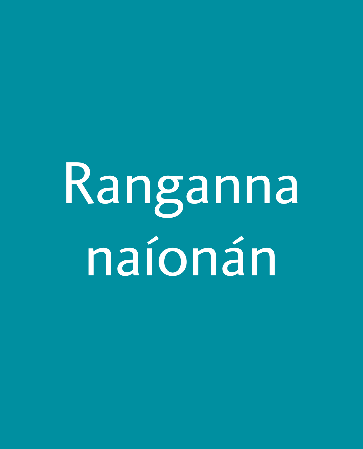# <span id="page-19-0"></span>Ranganna naíonán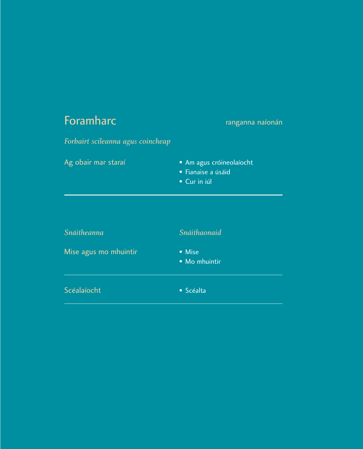# <span id="page-20-0"></span>**Foramharc ranganna naíonán**

*Forbairt scileanna agus coincheap*  Ag obair mar staraí **•** Am agus cróineolaíocht • Fianaise a úsáid • Cur in iúl *Snáitheanna Snáithaonaid* Mise agus mo mhuintir • Mise

• Mo mhuintir

Scéalaíocht **• Scéalta**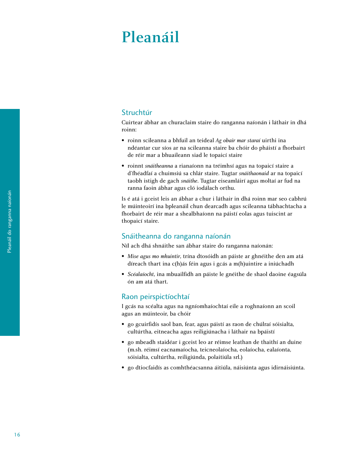# <span id="page-21-0"></span>Pleanáil

#### Struchtúr

Cuirtear ábhar an churaclaim staire do ranganna naíonán i láthair in dhá roinn:

- roinn scileanna a bhfuil an teideal *Ag obair mar staraí* uirthi ina ndéantar cur síos ar na scileanna staire ba chóir do pháistí a fhorbairt de réir mar a bhuaileann siad le topaicí staire
- roinnt *snáitheanna* a rianaíonn na tréimhsí agus na topaicí staire a d'fhéadfaí a chuimsiú sa chlár staire. Tugtar *snáithaonaid* ar na topaicí taobh istigh de gach *snáithe*. Tugtar eiseamláirí agus moltaí ar fud na ranna faoin ábhar agus cló iodálach orthu.

Is é atá i gceist leis an ábhar a chur i láthair in dhá roinn mar seo cabhrú le múinteoirí ina bpleanáil chun dearcadh agus scileanna tábhachtacha a fhorbairt de réir mar a shealbhaíonn na páistí eolas agus tuiscint ar thopaicí staire.

#### Snáitheanna do ranganna naíonán

Níl ach dhá shnáithe san ábhar staire do ranganna naíonán:

- *Mise agus mo mhuintir*, trína dtosóidh an páiste ar ghnéithe den am atá díreach thart ina c(h)ás féin agus i gcás a m(h)uintire a iniúchadh
- *Scéalaíocht*, ina mbuailfidh an páiste le gnéithe de shaol daoine éagsúla ón am atá thart.

#### Raon peirspictíochtaí

I gcás na scéalta agus na ngníomhaíochtaí eile a roghnaíonn an scoil agus an múinteoir, ba chóir

- go gcuirfidís saol ban, fear, agus páistí as raon de chúlraí sóisialta, cultúrtha, eitneacha agus reiligiúnacha i láthair na bpáistí
- go mbeadh staidéar i gceist leo ar réimse leathan de thaithí an duine (m.sh. réimsí eacnamaíocha, teicneolaíocha, eolaíocha, ealaíonta, sóisialta, cultúrtha, reiligiúnda, polaitiúla srl.)
- go dtiocfaidís as comhthéacsanna áitiúla, náisiúnta agus idirnáisiúnta.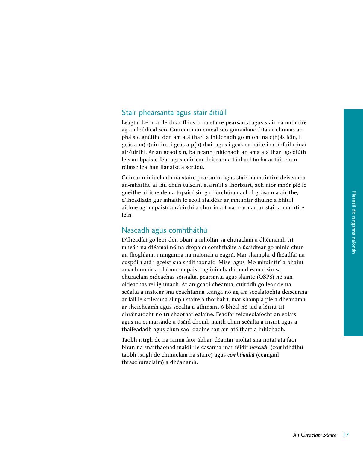#### Stair phearsanta agus stair áitiúil

Leagtar béim ar leith ar fhiosrú na staire pearsanta agus stair na muintire ag an leibhéal seo. Cuireann an cineál seo gníomhaíochta ar chumas an pháiste gnéithe den am atá thart a iniúchadh go mion ina c(h)ás féin, i gcás a m(h)uintire, i gcás a p(h)obail agus i gcás na háite ina bhfuil cónaí air/uirthi. Ar an gcaoi sin, baineann iniúchadh an ama atá thart go dlúth leis an bpáiste féin agus cuirtear deiseanna tábhachtacha ar fáil chun réimse leathan fianaise a scrúdú.

Cuireann iniúchadh na staire pearsanta agus stair na muintire deiseanna an-mhaithe ar fáil chun tuiscint stairiúil a fhorbairt, ach níor mhór plé le gnéithe áirithe de na topaicí sin go fíorchúramach. I gcásanna áirithe, d'fhéadfadh gur mhaith le scoil staidéar ar mhuintir dhuine a bhfuil aithne ag na páistí air/uirthi a chur in áit na n-aonad ar stair a muintire féin.

#### Nascadh agus comhtháthú

D'fhéadfaí go leor den obair a mholtar sa churaclam a dhéanamh trí mheán na dtéamaí nó na dtopaicí comhtháite a úsáidtear go minic chun an fhoghlaim i ranganna na naíonán a eagrú. Mar shampla, d'fhéadfaí na cuspóirí atá i gceist sna snáithaonaid 'Mise' agus 'Mo mhuintir' a bhaint amach nuair a bhíonn na páistí ag iniúchadh na dtéamaí sin sa churaclam oideachas sóisialta, pearsanta agus sláinte (OSPS) nó san oideachas reiligiúnach. Ar an gcaoi chéanna, cuirfidh go leor de na scéalta a insítear sna ceachtanna teanga nó ag am scéalaíochta deiseanna ar fáil le scileanna simplí staire a fhorbairt, mar shampla plé a dhéanamh ar sheicheamh agus scéalta a athinsint ó bhéal nó iad a léiriú trí dhrámaíocht nó trí shaothar ealaíne. Féadfar teicneolaíocht an eolais agus na cumarsáide a úsáid chomh maith chun scéalta a insint agus a thaifeadadh agus chun saol daoine san am atá thart a iniúchadh.

Taobh istigh de na ranna faoi ábhar, déantar moltaí sna nótaí atá faoi bhun na snáithaonad maidir le cásanna inar féidir *nascadh* (comhtháthú taobh istigh de churaclam na staire) agus *comhtháthú* (ceangail thraschuraclaim) a dhéanamh.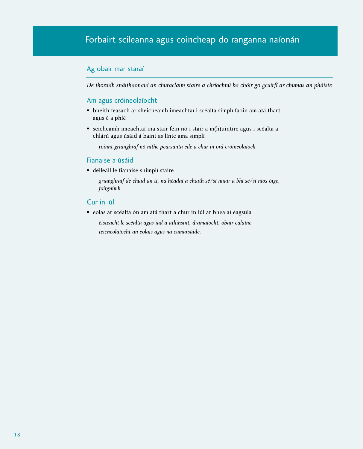#### <span id="page-23-0"></span>Ag obair mar staraí

*De thoradh snáithaonaid an churaclaim staire a chríochnú ba chóir go gcuirfí ar chumas an pháiste*

#### Am agus cróineolaíocht

- bheith feasach ar sheicheamh imeachtaí i scéalta simplí faoin am atá thart agus é a phlé
- seicheamh imeachtaí ina stair féin nó i stair a m(h)uintire agus i scéalta a chlárú agus úsáid á baint as línte ama simplí

*roinnt grianghraf nó nithe pearsanta eile a chur in ord cróineolaíoch*

#### Fianaise a úsáid

• déileáil le fianaise shimplí staire

*grianghraif de chuid an tí, na héadaí a chaith sé/sí nuair a bhí sé/sí níos óige, foirgnimh*

#### Cur in iúl

• eolas ar scéalta ón am atá thart a chur in iúl ar bhealaí éagsúla

*éisteacht le scéalta agus iad a athinsint, drámaíocht, obair ealaíne teicneolaíocht an eolais agus na cumarsáide.*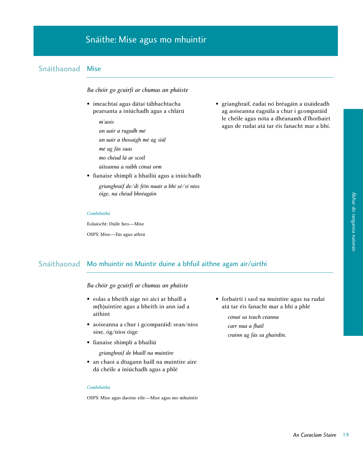#### <span id="page-24-0"></span>Snáithaonad Mise

*Ba chóir go gcuirfí ar chumas an pháiste*

- imeachtaí agus dátaí tábhachtacha pearsanta a iniúchadh agus a chlárú
	- *m'aois an uair a rugadh mé an uair a thosaigh mé ag siúl mé ag fás suas mo chéad lá ar scoil áiteanna a raibh cónaí orm*
- fianaise shimplí a bhailiú agus a iniúchadh *grianghraif de/di féin nuair a bhí sé/sí níos óige, na chéad bhréagáin*

• grianghraif, éadaí nó bréagáin a úsáideadh ag aoiseanna éagsúla a chur i gcomparáid le chéile agus nóta a dhéanamh d'fhorbairt agus de rudaí atá tar éis fanacht mar a bhí.

#### *Comhtháthú*

Eolaíocht: Dúile beo—Mise OSPS: Mise—Fás agus athrú

# Ábhar do ranganna naíonán Ábhar do ranganna naíonár

#### Snáithaonad Mo mhuintir *nó* Muintir duine a bhfuil aithne agam air/uirthi

*Ba chóir go gcuirfí ar chumas an pháiste*

- eolas a bheith aige nó aici ar bhaill a m(h)uintire agus a bheith in ann iad a aithint
- aoiseanna a chur i gcomparáid: sean/níos sine, óg/níos óige
- fianaise shimplí a bhailiú

*grianghraif de bhaill na muintire*

• an chaoi a dtugann baill na muintire aire dá chéile a iniúchadh agus a phlé

#### *Comhtháthú*

OSPS: Mise agus daoine eile—Mise agus mo mhuintir

• forbairtí i saol na muintire agus na rudaí atá tar éis fanacht mar a bhí a phlé

> *cónaí sa teach céanna carr nua a fháil crainn ag fás sa ghairdín.*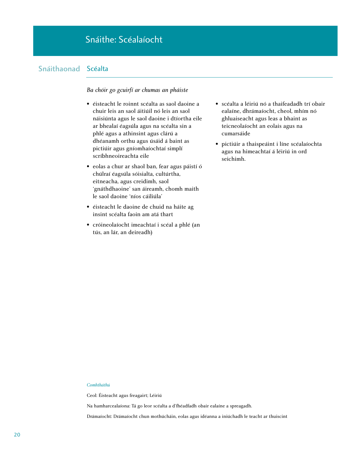#### Snáithaonad Scéalta

#### *Ba chóir go gcuirfí ar chumas an pháiste*

- éisteacht le roinnt scéalta as saol daoine a chuir leis an saol áitiúil nó leis an saol náisiúnta agus le saol daoine i dtíortha eile ar bhealaí éagsúla agus na scéalta sin a phlé agus a athinsint agus clárú a dhéanamh orthu agus úsáid á baint as pictiúir agus gníomhaíochtaí simplí scríbhneoireachta eile
- eolas a chur ar shaol ban, fear agus páistí ó chúlraí éagsúla sóisialta, cultúrtha, eitneacha, agus creidimh, saol 'gnáthdhaoine' san áireamh, chomh maith le saol daoine 'níos cáiliúla'
- éisteacht le daoine de chuid na háite ag insint scéalta faoin am atá thart
- cróineolaíocht imeachtaí i scéal a phlé (an tús, an lár, an deireadh)
- scéalta a léiriú nó a thaifeadadh trí obair ealaíne, dhrámaíocht, cheol, mhím nó ghluaiseacht agus leas a bhaint as teicneolaíocht an eolais agus na cumarsáide
- pictiúir a thaispeáint i líne scéalaíochta agus na himeachtaí á léiriú in ord seichimh.

#### *Comhtháthú*

Ceol: Éisteacht agus freagairt; Léiriú

Na hamharcealaíona: Tá go leor scéalta a d'fhéadfadh obair ealaíne a spreagadh.

Drámaíocht: Drámaíocht chun mothúcháin, eolas agus idéanna a iniúchadh le teacht ar thuiscint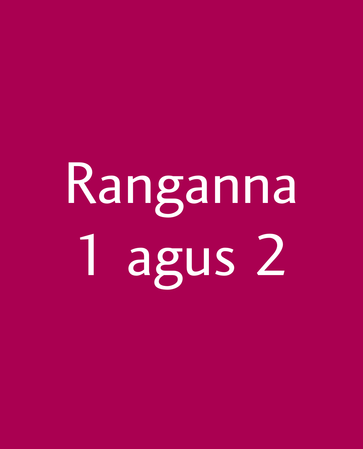# <span id="page-27-0"></span>Ranganna 1 agus 2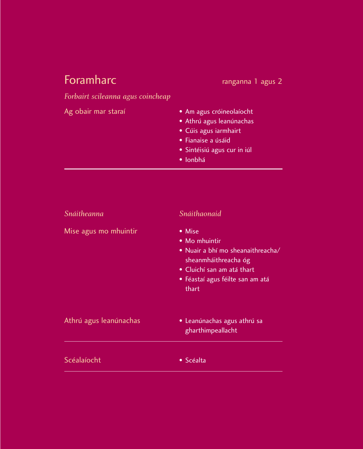# <span id="page-28-0"></span>Foramharc ranganna 1 agus 2

*Forbairt scileanna agus coincheap*

| Ag obair mar staraí | • Am agus cróineolaíocht    |
|---------------------|-----------------------------|
|                     | · Athrú agus leanúnachas    |
|                     | • Cúis agus iarmhairt       |
|                     | • Fianaise a úsáid          |
|                     | · Sintéisiú agus cur in iúl |
|                     | • Ionbhá                    |

| Snáitheanna            | Snáithaonaid                                                                                                                                                    |
|------------------------|-----------------------------------------------------------------------------------------------------------------------------------------------------------------|
| Mise agus mo mhuintir  | • Mise<br>• Mo mhuintir<br>· Nuair a bhí mo sheanaithreacha/<br>sheanmháithreacha óg<br>• Cluichí san am atá thart<br>• Féastaí agus féilte san am atá<br>thart |
| Athrú agus leanúnachas | • Leanúnachas agus athrú sa<br>gharthimpeallacht                                                                                                                |
| Scéalaíocht            | $\bullet$ Scéalta                                                                                                                                               |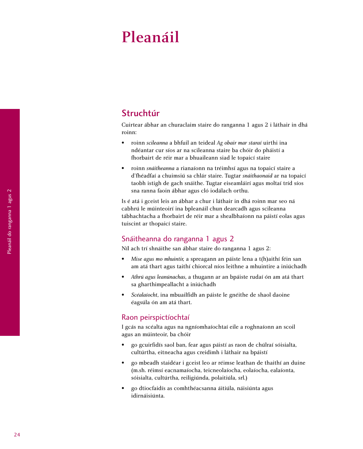# <span id="page-29-0"></span>Pleanáil

#### Struchtúr

Cuirtear ábhar an churaclaim staire do ranganna 1 agus 2 i láthair in dhá roinn:

- roinn *scileanna* a bhfuil an teideal *Ag obair mar staraí* uirthi ina ndéantar cur síos ar na scileanna staire ba chóir do pháistí a fhorbairt de réir mar a bhuaileann siad le topaicí staire
- roinn *snáitheanna* a rianaíonn na tréimhsí agus na topaicí staire a d'fhéadfaí a chuimsiú sa chlár staire. Tugtar *snáithaonaid* ar na topaicí taobh istigh de gach snáithe. Tugtar eiseamláirí agus moltaí tríd síos sna ranna faoin ábhar agus cló iodálach orthu.

Is é atá i gceist leis an ábhar a chur i láthair in dhá roinn mar seo ná cabhrú le múinteoirí ina bpleanáil chun dearcadh agus scileanna tábhachtacha a fhorbairt de réir mar a shealbhaíonn na páistí eolas agus tuiscint ar thopaicí staire.

#### Snáitheanna do ranganna 1 agus 2

Níl ach trí shnáithe san ábhar staire do ranganna 1 agus 2:

- *Mise agus mo mhuintir,* a spreagann an páiste lena a t(h)aithí féin san am atá thart agus taithí chiorcal níos leithne a mhuintire a iniúchadh
- *Athrú agus leanúnachas*, a thugann ar an bpáiste rudaí ón am atá thart sa gharthimpeallacht a iniúchadh
- *Scéalaíocht*, ina mbuailfidh an páiste le gnéithe de shaol daoine éagsúla ón am atá thart.

#### Raon peirspictíochtaí

I gcás na scéalta agus na ngníomhaíochtaí eile a roghnaíonn an scoil agus an múinteoir, ba chóir

- go gcuirfidís saol ban, fear agus páistí as raon de chúlraí sóisialta, cultúrtha, eitneacha agus creidimh i láthair na bpáistí
- go mbeadh staidéar i gceist leo ar réimse leathan de thaithí an duine (m.sh. réimsí eacnamaíocha, teicneolaíocha, eolaíocha, ealaíonta, sóisialta, cultúrtha, reiligiúnda, polaitiúla, srl.)
- go dtiocfaidís as comhthéacsanna áitiúla, náisiúnta agus idirnáisiúnta.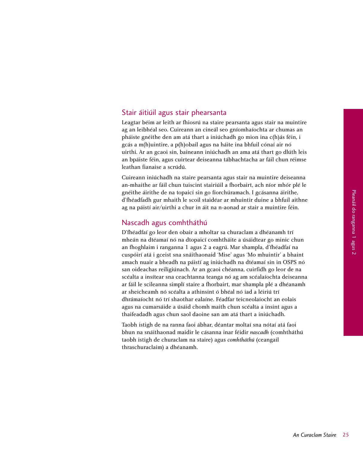#### Stair áitiúil agus stair phearsanta

Leagtar béim ar leith ar fhiosrú na staire pearsanta agus stair na muintire ag an leibhéal seo. Cuireann an cineál seo gníomhaíochta ar chumas an pháiste gnéithe den am atá thart a iniúchadh go mion ina c(h)ás féin, i gcás a m(h)uintire, a p(h)obail agus na háite ina bhfuil cónaí air nó uirthi. Ar an gcaoi sin, baineann iniúchadh an ama atá thart go dlúth leis an bpáiste féin, agus cuirtear deiseanna tábhachtacha ar fáil chun réimse leathan fianaise a scrúdú.

Cuireann iniúchadh na staire pearsanta agus stair na muintire deiseanna an-mhaithe ar fáil chun tuiscint stairiúil a fhorbairt, ach níor mhór plé le gnéithe áirithe de na topaicí sin go fíorchúramach. I gcásanna áirithe, d'fhéadfadh gur mhaith le scoil staidéar ar mhuintir duine a bhfuil aithne ag na páistí air/uirthi a chur in áit na n-aonad ar stair a muintire féin.

#### Nascadh agus comhtháthú

D'fhéadfaí go leor den obair a mholtar sa churaclam a dhéanamh trí mheán na dtéamaí nó na dtopaicí comhtháite a úsáidtear go minic chun an fhoghlaim i ranganna 1 agus 2 a eagrú. Mar shampla, d'fhéadfaí na cuspóirí atá i gceist sna snáithaonaid 'Mise' agus 'Mo mhuintir' a bhaint amach nuair a bheadh na páistí ag iniúchadh na dtéamaí sin in OSPS nó san oideachas reiligiúnach. Ar an gcaoi chéanna, cuirfidh go leor de na scéalta a insítear sna ceachtanna teanga nó ag am scéalaíochta deiseanna ar fáil le scileanna simplí staire a fhorbairt, mar shampla plé a dhéanamh ar sheicheamh nó scéalta a athinsint ó bhéal nó iad a léiriú trí dhrámaíocht nó trí shaothar ealaíne. Féadfar teicneolaíocht an eolais agus na cumarsáide a úsáid chomh maith chun scéalta a insint agus a thaifeadadh agus chun saol daoine san am atá thart a iniúchadh.

Taobh istigh de na ranna faoi ábhar, déantar moltaí sna nótaí atá faoi bhun na snáithaonad maidir le cásanna inar féidir *nascadh* (comhtháthú taobh istigh de churaclam na staire) agus *comhtháthú* (ceangail thraschuraclaim) a dhéanamh.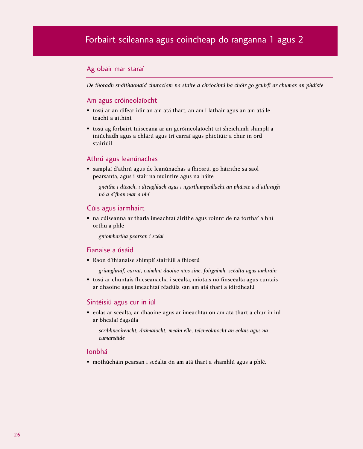#### <span id="page-31-0"></span>Ag obair mar staraí

*De thoradh snáithaonaid churaclam na staire a chríochnú ba chóir go gcuirfí ar chumas an pháiste*

#### Am agus cróineolaíocht

- tosú ar an difear idir an am atá thart, an am i láthair agus an am atá le teacht a aithint
- tosú ag forbairt tuisceana ar an gcróineolaíocht trí sheichimh shimplí a iniúchadh agus a chlárú agus trí earraí agus phictiúir a chur in ord stairiúil

#### Athrú agus leanúnachas

• samplaí d'athrú agus de leanúnachas a fhiosrú, go háirithe sa saol pearsanta, agus i stair na muintire agus na háite

*gnéithe i dteach, i dteaghlach agus i ngarthimpeallacht an pháiste a d'athraigh nó a d'fhan mar a bhí*

#### Cúis agus iarmhairt

• na cúiseanna ar tharla imeachtaí áirithe agus roinnt de na torthaí a bhí orthu a phlé

*gníomhartha pearsan i scéal*

#### Fianaise a úsáid

• Raon d'fhianaise shimplí stairiúil a fhiosrú

*grianghraif, earraí, cuimhní daoine níos sine, foirgnimh, scéalta agus amhráin*

• tosú ar chuntais fhicseanacha i scéalta, miotais nó finscéalta agus cuntais ar dhaoine agus imeachtaí réadúla san am atá thart a idirdhealú

#### Sintéisiú agus cur in iúl

• eolas ar scéalta, ar dhaoine agus ar imeachtaí ón am atá thart a chur in iúl ar bhealaí éagsúla

*scríbhneoireacht, drámaíocht, meáin eile, teicneolaíocht an eolais agus na cumarsáide*

#### Ionbhá

• mothúcháin pearsan i scéalta ón am atá thart a shamhlú agus a phlé.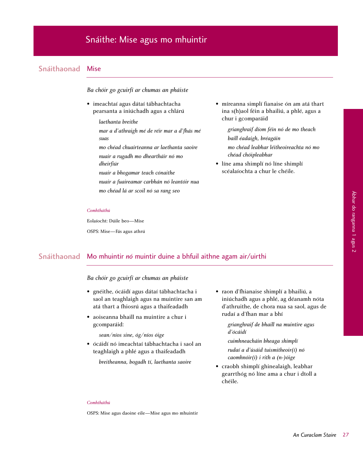#### <span id="page-32-0"></span>Snáithaonad Mise

*Ba chóir go gcuirfí ar chumas an pháiste*

- imeachtaí agus dátaí tábhachtacha pearsanta a iniúchadh agus a chlárú
	- *laethanta breithe mar a d'athraigh mé de réir mar a d'fhás mé suas*
	- *mo chéad chuairteanna ar laethanta saoire nuair a rugadh mo dheartháir nó mo dheirfiúr*
	- *nuair a bhogamar teach cónaithe*
	- *nuair a fuaireamar carbhán nó leantóir nua mo chéad lá ar scoil nó sa rang seo*

• míreanna simplí fianaise ón am atá thart ina s(h)aol féin a bhailiú, a phlé, agus a chur i gcomparáid

> *grianghraif díom féin nó de mo theach baill éadaigh, bréagáin*

*mo chéad leabhar léitheoireachta nó mo chéad chóipleabhar*

• líne ama shimplí nó líne shimplí scéalaíochta a chur le chéile.

#### *Comhtháthú*

Eolaíocht: Dúile beo—Mise OSPS: Mise—Fás agus athrú

Ábhar do ranganna 1 agus 2

Ábhar do ranganna 1 agus 2

#### Snáithaonad Mo mhuintir *nó* muintir duine a bhfuil aithne agam air/uirthi

#### *Ba chóir go gcuirfí ar chumas an pháiste*

- gnéithe, ócáidí agus dátaí tábhachtacha i saol an teaghlaigh agus na muintire san am atá thart a fhiosrú agus a thaifeadadh
- aoiseanna bhaill na muintire a chur i gcomparáid:

*sean/níos sine, óg/níos óige*

• ócáidí nó imeachtaí tábhachtacha i saol an teaghlaigh a phlé agus a thaifeadadh

*breitheanna, bogadh tí, laethanta saoire*

• raon d'fhianaise shimplí a bhailiú, a iniúchadh agus a phlé, ag déanamh nóta d'athruithe, de chora nua sa saol, agus de rudaí a d'fhan mar a bhí

> *grianghraif de bhaill na muintire agus d'ócáidí*

*cuimhneacháin bheaga shimplí rudaí a d'úsáid tuismitheoir(í) nó caomhnóir(í) i rith a (n-)óige*

• craobh shimplí ghinealaigh, leabhar gearrthóg nó líne ama a chur i dtoll a chéile.

#### *Comhtháthú*

OSPS: Mise agus daoine eile—Mise agus mo mhuintir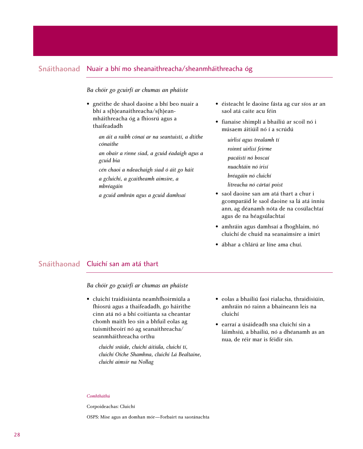#### Snáithaonad Nuair a bhí mo sheanaithreacha/sheanmháithreacha óg

#### *Ba chóir go gcuirfí ar chumas an pháiste*

- gnéithe de shaol daoine a bhí beo nuair a bhí a s(h)eanaithreacha/s(h)eanmháithreacha óg a fhiosrú agus a thaifeadadh
	- *an áit a raibh cónaí ar na seantuistí, a dtithe cónaithe*
	- *an obair a rinne siad, a gcuid éadaigh agus a gcuid bia*
	- *cén chaoi a ndeachaigh siad ó áit go háit a gcluichí, a gcaitheamh aimsire, a mbréagáin*
	- *a gcuid amhrán agus a gcuid damhsaí*
- éisteacht le daoine fásta ag cur síos ar an saol atá caite acu féin
- fianaise shimplí a bhailiú ar scoil nó i músaem áitiúil nó í a scrúdú

*uirlisí agus trealamh tí roinnt uirlisí feirme pacáistí nó boscaí nuachtáin nó irisí bréagáin nó cluichí litreacha nó cártaí poist*

- saol daoine san am atá thart a chur i gcomparáid le saol daoine sa lá atá inniu ann, ag déanamh nóta de na cosúlachtaí agus de na héagsúlachtaí
- amhráin agus damhsaí a fhoghlaim, nó cluichí de chuid na seanaimsire a imirt
- ábhar a chlárú ar líne ama chuí.

#### Snáithaonad Cluichí san am atá thart

*Ba chóir go gcuirfí ar chumas an pháiste* 

- cluichí traidisiúnta neamhfhoirmiúla a fhiosrú agus a thaifeadadh, go háirithe cinn atá nó a bhí coitianta sa cheantar chomh maith leo sin a bhfuil eolas ag tuismitheoirí nó ag seanaithreacha/ seanmháithreacha orthu
	- *cluichí sráide, cluichí áitiúla, cluichí tí, cluichí Oíche Shamhna, cluichí Lá Bealtaine, cluichí aimsir na Nollag*
- eolas a bhailiú faoi rialacha, thraidisiúin, amhráin nó rainn a bhaineann leis na cluichí
- earraí a úsáideadh sna cluichí sin a láimhsiú, a bhailiú, nó a dhéanamh as an nua, de réir mar is féidir sin.

#### *Comhtháthú*

Corpoideachas: Cluichí

OSPS: Mise agus an domhan mór—Forbairt na saoránachta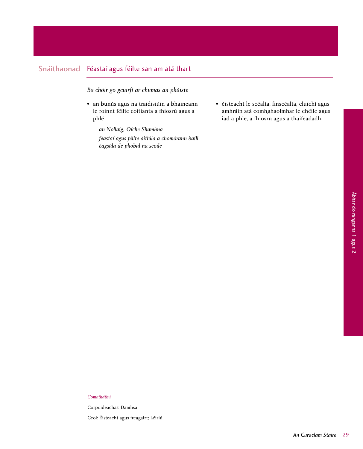#### Snáithaonad Féastaí agus féilte san am atá thart

*Ba chóir go gcuirfí ar chumas an pháiste*

• an bunús agus na traidisiúin a bhaineann le roinnt féilte coitianta a fhiosrú agus a phlé

> *an Nollaig, Oíche Shamhna féastaí agus féilte áitiúla a chomórann baill éagsúla de phobal na scoile*

• éisteacht le scéalta, finscéalta, cluichí agus amhráin atá comhghaolmhar le chéile agus iad a phlé, a fhiosrú agus a thaifeadadh.

#### *Comhtháthú*

Corpoideachas: Damhsa

Ceol: Éisteacht agus freagairt; Léiriú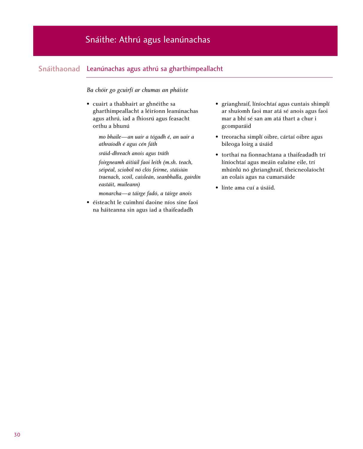#### Snáithaonad Leanúnachas agus athrú sa gharthimpeallacht

*Ba chóir go gcuirfí ar chumas an pháiste*

• cuairt a thabhairt ar ghnéithe sa gharthimpeallacht a léiríonn leanúnachas agus athrú, iad a fhiosrú agus feasacht orthu a bhunú

> *mo bhaile—an uair a tógadh é, an uair a athraíodh é agus cén fáth*

*sráid-dhreach anois agus tráth*

*foirgneamh áitiúil faoi leith (m.sh. teach, séipéal, scioból nó clós feirme, stáisiún traenach, scoil, caisleán, seanbhalla, gairdín eastáit, muileann)*

*monarcha—a táirge fadó, a táirge anois*

• éisteacht le cuimhní daoine níos sine faoi na háiteanna sin agus iad a thaifeadadh

- grianghraif, líníochtaí agus cuntais shimplí ar shuíomh faoi mar atá sé anois agus faoi mar a bhí sé san am atá thart a chur i gcomparáid
- treoracha simplí oibre, cártaí oibre agus bileoga loirg a úsáid
- torthaí na fionnachtana a thaifeadadh trí líníochtaí agus meáin ealaíne eile, trí mhúnlú nó ghrianghraif, theicneolaíocht an eolais agus na cumarsáide
- línte ama cuí a úsáid.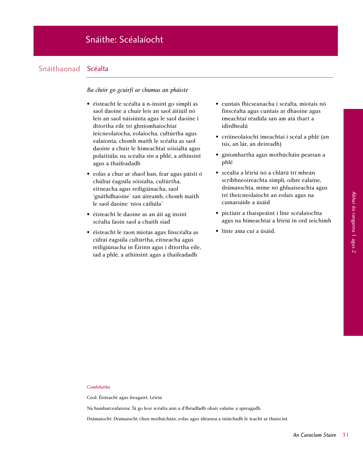# Snáithe: Scéalaíocht

# Snáithaonad Scéalta

# *Ba chóir go gcuirfí ar chumas an pháiste*

- éisteacht le scéalta á n-insint go simplí as saol daoine a chuir leis an saol áitiúil nó leis an saol náisiúnta agus le saol daoine i dtíortha eile trí ghníomhaíochtaí teicneolaíocha, eolaíocha, cultúrtha agus ealaíonta, chomh maith le scéalta as saol daoine a chuir le himeachtaí sóisialta agus polaitiúla; na scéalta sin a phlé, a athinsint agus a thaifeadadh
- eolas a chur ar shaol ban, fear agus páistí ó chúlraí éagsúla sóisialta, cultúrtha, eitneacha agus reiligiúnacha, saol 'gnáthdhaoine' san áireamh, chomh maith le saol daoine 'níos cáiliúla'
- éisteacht le daoine as an áit ag insint scéalta faoin saol a chaith siad
- éisteacht le raon miotas agus finscéalta as cúlraí éagsúla cultúrtha, eitneacha agus reiligiúnacha in Éirinn agus i dtíortha eile, iad a phlé, a athinsint agus a thaifeadadh
- cuntais fhicseanacha i scéalta, miotais nó finscéalta agus cuntais ar dhaoine agus imeachtaí réadúla san am atá thart a idirdhealú
- cróineolaíocht imeachtaí i scéal a phlé (an tús, an lár, an deireadh)
- gníomhartha agus mothúcháin pearsan a phlé
- scéalta a léiriú nó a chlárú trí mheán scríbhneoireachta simplí, oibre ealaíne, drámaíochta, míme nó ghluaiseachta agus trí theicneolaíocht an eolais agus na cumarsáide a úsáid
- pictiúir a thaispeáint i líne scéalaíochta agus na himeachtaí a léiriú in ord seichimh
- línte ama cuí a úsáid.

# *Comhtháthú*

Ceol: Éisteacht agus freagairt; Léiriú

Na hamharcealaíona: Tá go leor scéalta ann a d'fhéadfadh obair ealaíne a spreagadh.

Drámaíocht: Drámaíocht chun mothúcháin, eolas agus idéanna a iniúchadh le teacht ar thuiscint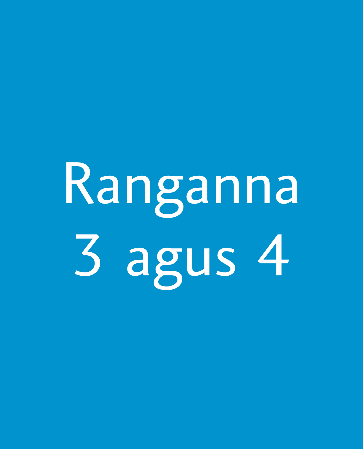# Ranganna 3 agus 4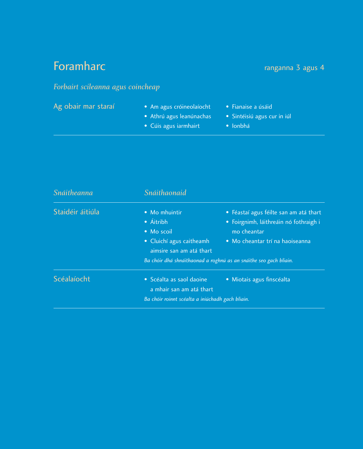# **Foramharc Foramharc ranganna 3 agus 4**

# *Forbairt scileanna agus coincheap*

- Ag obair mar staraí Am agus cróineolaíocht Fianaise a úsáid
	- Athrú agus leanúnachas Sintéisiú agus cur in iúl
	- Cúis agus iarmhairt Ionbhá
- 
- -

| <b>Snáitheanna</b> | Snáithaonaid                                                                                     |                                                                                                                                                                                                         |
|--------------------|--------------------------------------------------------------------------------------------------|---------------------------------------------------------------------------------------------------------------------------------------------------------------------------------------------------------|
| Staidéir áitiúla   | • Mo mhuintir<br>• Áitribh<br>• Mo scoil<br>• Cluichí agus caitheamh<br>aimsire san am atá thart | · Féastaí agus féilte san am atá thart<br>• Foirgnimh, láithreáin nó fothraigh i<br>mo cheantar<br>• Mo cheantar trí na haoiseanna<br>Ba chóir dhá shnáithaonad a roghnú as an snáithe seo gach bliain. |
| Scéalaíocht        | · Scéalta as saol daoine<br>a mhair san am atá thart                                             | · Miotais agus finscéalta                                                                                                                                                                               |
|                    | Ba chóir roinnt scéalta a iniúchadh gach bliain.                                                 |                                                                                                                                                                                                         |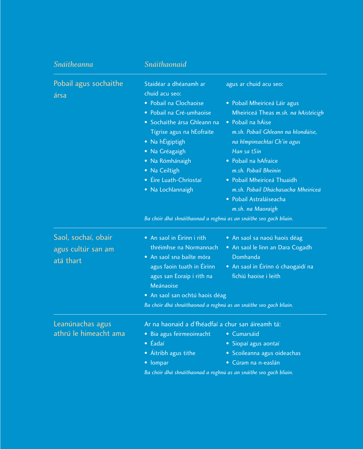| Snáitheanna                                            | Snáithaonaid                                                                                                                                                                                                                                                                                                                                            |                                                                                                                                                                                                                                                                                                                                                                             |
|--------------------------------------------------------|---------------------------------------------------------------------------------------------------------------------------------------------------------------------------------------------------------------------------------------------------------------------------------------------------------------------------------------------------------|-----------------------------------------------------------------------------------------------------------------------------------------------------------------------------------------------------------------------------------------------------------------------------------------------------------------------------------------------------------------------------|
| Pobail agus sochaithe<br>ársa                          | Staidéar a dhéanamh ar<br>chuid acu seo:<br>· Pobail na Clochaoise<br>· Pobail na Cré-umhaoise<br>· Sochaithe ársa Ghleann na<br>Tígrise agus na hEofraite<br>• Na hÉigiptigh<br>· Na Gréagaigh<br>· Na Rómhánaigh<br>• Na Ceiltigh<br>• Éire Luath-Chríostaí<br>· Na Lochlannaigh<br>Ba chóir dhá shnáithaonad a roghnú as an snáithe seo gach bliain. | agus ar chuid acu seo:<br>• Pobail Mheiriceá Láir agus<br>Mheiriceá Theas m.sh. na hAistéicigh<br>• Pobail na hÁise<br>m.sh. Pobail Ghleann na hIondúise,<br>na hImpireachtaí Ch'in agus<br>Han sa tSín<br>· Pobail na hAfraice<br>m.sh. Pobail Bheinin<br>• Pobail Mheiriceá Thuaidh<br>m.sh. Pobail Dhúchasacha Mheiriceá<br>· Pobail Astraláiseacha<br>m.sh. na Maoraigh |
| Saol, sochaí, obair<br>agus cultúr san am<br>atá thart | • An saol in Éirinn i rith<br>thréimhse na Normannach<br>· An saol sna bailte móra<br>agus faoin tuath in Éirinn<br>agus san Eoraip i rith na<br>Meánaoise<br>• An saol san ochtú haois déag<br>Ba chóir dhá shnáithaonad a roghnú as an snáithe seo gach bliain.                                                                                       | • An saol sa naoú haois déag<br>• An saol le linn an Dara Cogadh<br>Domhanda<br>• An saol in Éirinn ó chaogaidí na<br>fichiú haoise i leith                                                                                                                                                                                                                                 |
| Leanúnachas agus<br>athrú le himeacht ama              | Ar na haonaid a d'fhéadfaí a chur san áireamh tá:<br>• Bia agus feirmeoireacht<br>$\bullet$ Éadaí<br>• Áitribh agus tithe<br>• lompar<br>Ba chóir dhá shnáithaonad a roghnú as an snáithe seo gach bliain.                                                                                                                                              | • Cumarsáid<br>· Siopaí agus aontaí<br>· Scoileanna agus oideachas<br>· Cúram na n-easlán                                                                                                                                                                                                                                                                                   |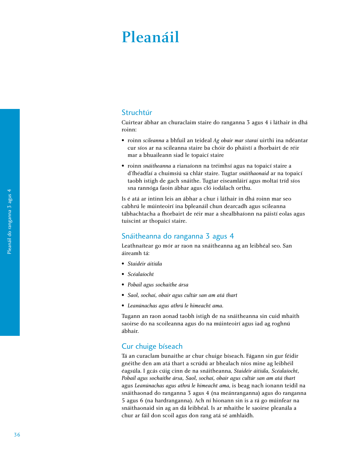# Pleanáil

# Struchtúr

Cuirtear ábhar an churaclaim staire do ranganna 3 agus 4 i láthair in dhá roinn:

- roinn *scileanna* a bhfuil an teideal *Ag obair mar staraí* uirthi ina ndéantar cur síos ar na scileanna staire ba chóir do pháistí a fhorbairt de réir mar a bhuaileann siad le topaicí staire
- roinn *snáitheanna* a rianaíonn na tréimhsí agus na topaicí staire a d'fhéadfaí a chuimsiú sa chlár staire. Tugtar *snáithaonaid* ar na topaicí taobh istigh de gach snáithe. Tugtar eiseamláirí agus moltaí tríd síos sna rannóga faoin ábhar agus cló iodálach orthu.

Is é atá ar intinn leis an ábhar a chur i láthair in dhá roinn mar seo cabhrú le múinteoirí ina bpleanáil chun dearcadh agus scileanna tábhachtacha a fhorbairt de réir mar a shealbhaíonn na páistí eolas agus tuiscint ar thopaicí staire.

# Snáitheanna do ranganna 3 agus 4

Leathnaítear go mór ar raon na snáitheanna ag an leibhéal seo. San áireamh tá:

- *Staidéir áitiúla*
- *Scéalaíocht*
- *Pobail agus sochaithe ársa*
- *Saol, sochaí, obair agus cultúr san am atá thart*
- *Leanúnachas agus athrú le himeacht ama.*

Tugann an raon aonad taobh istigh de na snáitheanna sin cuid mhaith saoirse do na scoileanna agus do na múinteoirí agus iad ag roghnú ábhair.

# Cur chuige bíseach

Tá an curaclam bunaithe ar chur chuige bíseach. Fágann sin gur féidir gnéithe den am atá thart a scrúdú ar bhealach níos mine ag leibhéil éagsúla. I gcás cúig cinn de na snáitheanna, *Staidéir áitiúla, Scéalaíocht, Pobail agus sochaithe ársa, Saol, sochaí, obair agus cultúr san am atá thart* agus *Leanúnachas agus athrú le himeacht ama*, is beag nach ionann teidil na snáithaonad do ranganna 3 agus 4 (na meánranganna) agus do ranganna 5 agus 6 (na hardranganna). Ach ní hionann sin is a rá go múinfear na snáithaonaid sin ag an dá leibhéal. Is ar mhaithe le saoirse pleanála a chur ar fáil don scoil agus don rang atá sé amhlaidh.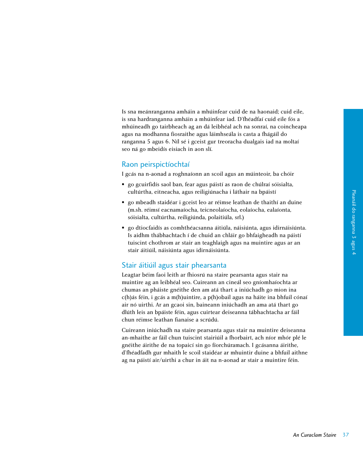Is sna meánranganna amháin a mhúinfear cuid de na haonaid; cuid eile, is sna hardranganna amháin a mhúinfear iad. D'fhéadfaí cuid eile fós a mhúineadh go tairbheach ag an dá leibhéal ach na sonraí, na coincheapa agus na modhanna fiosraithe agus láimhseála is casta a fhágáil do ranganna 5 agus 6. Níl sé i gceist gur treoracha dualgais iad na moltaí seo ná go mbeidís eisiach in aon slí.

# Raon peirspictíochtaí

I gcás na n-aonad a roghnaíonn an scoil agus an múinteoir, ba chóir

- go gcuirfidís saol ban, fear agus páistí as raon de chúlraí sóisialta, cultúrtha, eitneacha, agus reiligiúnacha i láthair na bpáistí
- go mbeadh staidéar i gceist leo ar réimse leathan de thaithí an duine (m.sh. réimsí eacnamaíocha, teicneolaíocha, eolaíocha, ealaíonta, sóisialta, cultúrtha, reiligiúnda, polaitiúla, srl.)
- go dtiocfaidís as comhthéacsanna áitiúla, náisiúnta, agus idirnáisiúnta. Is aidhm thábhachtach í de chuid an chláir go bhfaigheadh na páistí tuiscint chothrom ar stair an teaghlaigh agus na muintire agus ar an stair áitiúil, náisiúnta agus idirnáisiúnta.

# Stair áitiúil agus stair phearsanta

Leagtar béim faoi leith ar fhiosrú na staire pearsanta agus stair na muintire ag an leibhéal seo. Cuireann an cineál seo gníomhaíochta ar chumas an pháiste gnéithe den am atá thart a iniúchadh go mion ina c(h)ás féin, i gcás a m(h)uintire, a p(h)obail agus na háite ina bhfuil cónaí air nó uirthi. Ar an gcaoi sin, baineann iniúchadh an ama atá thart go dlúth leis an bpáiste féin, agus cuirtear deiseanna tábhachtacha ar fáil chun réimse leathan fianaise a scrúdú.

Cuireann iniúchadh na staire pearsanta agus stair na muintire deiseanna an-mhaithe ar fáil chun tuiscint stairiúil a fhorbairt, ach níor mhór plé le gnéithe áirithe de na topaicí sin go fíorchúramach. I gcásanna áirithe, d'fhéadfadh gur mhaith le scoil staidéar ar mhuintir duine a bhfuil aithne ag na páistí air/uirthi a chur in áit na n-aonad ar stair a muintire féin.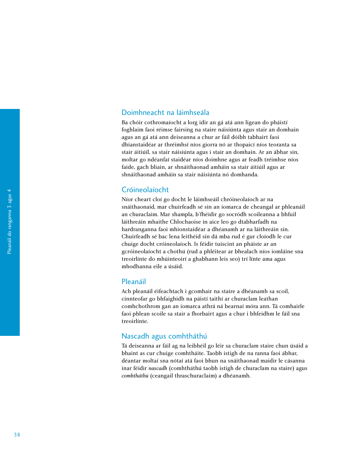# Doimhneacht na láimhseála

Ba chóir cothromaíocht a lorg idir an gá atá ann ligean do pháistí foghlaim faoi réimse fairsing na staire náisiúnta agus stair an domhain agus an gá atá ann deiseanna a chur ar fáil dóibh tabhairt faoi dhianstaidéar ar thréimhsí níos giorra nó ar thopaicí níos teoranta sa stair áitiúil, sa stair náisiúnta agus i stair an domhain. Ar an ábhar sin, moltar go ndéanfaí staidéar níos doimhne agus ar feadh tréimhse níos faide, gach bliain, ar shnáithaonad amháin sa stair áitiúil agus ar shnáithaonad amháin sa stair náisiúnta nó domhanda.

# Cróineolaíocht

Níor cheart cloí go docht le láimhseáil chróineolaíoch ar na snáithaonaid, mar chuirfeadh sé sin an iomarca de cheangal ar phleanáil an churaclaim. Mar shampla, b'fhéidir go socródh scoileanna a bhfuil láithreáin mhaithe Chlochaoise in aice leo go dtabharfadh na hardranganna faoi mhionstaidéar a dhéanamh ar na láithreáin sin. Chuirfeadh sé bac lena leithéid sin dá mba rud é gur cloíodh le cur chuige docht cróineolaíoch. Is féidir tuiscint an pháiste ar an gcróineolaíocht a chothú (rud a phléitear ar bhealach níos iomláine sna treoirlínte do mhúinteoirí a ghabhann leis seo) trí línte ama agus mhodhanna eile a úsáid.

# Pleanáil

Ach pleanáil éifeachtach i gcomhair na staire a dhéanamh sa scoil, cinnteofar go bhfaighidh na páistí taithí ar churaclam leathan comhchothrom gan an iomarca athrá ná bearnaí móra ann. Tá comhairle faoi phlean scoile sa stair a fhorbairt agus a chur i bhfeidhm le fáil sna treoirlínte.

# Nascadh agus comhtháthú

Tá deiseanna ar fáil ag na leibhéil go léir sa churaclam staire chun úsáid a bhaint as cur chuige comhtháite. Taobh istigh de na ranna faoi ábhar, déantar moltaí sna nótaí atá faoi bhun na snáithaonad maidir le cásanna inar féidir *nascadh* (comhtháthú taobh istigh de churaclam na staire) agus *comhtháthú* (ceangail thraschuraclaim) a dhéanamh.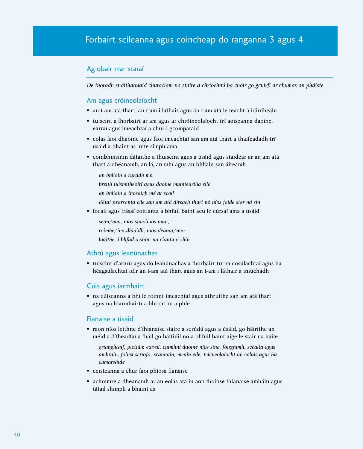# Ag obair mar staraí

*De thoradh snáithaonaid churaclam na staire a chríochnú ba chóir go gcuirfí ar chumas an pháiste*

# Am agus cróineolaíocht

- an t-am atá thart, an t-am i láthair agus an t-am atá le teacht a idirdhealú
- tuiscint a fhorbairt ar am agus ar chróineolaíocht trí aoiseanna daoine, earraí agus imeachtaí a chur i gcomparáid
- eolas faoi dhaoine agus faoi imeachtaí san am atá thart a thaifeadadh trí úsáid a bhaint as línte simplí ama
- coinbhinsiúin dátaithe a thuiscint agus a úsáid agus staidéar ar an am atá thart á dhéanamh, an lá, an mhí agus an bhliain san áireamh

*an bhliain a rugadh mé breith tuismitheoirí agus daoine muinteartha eile an bhliain a thosaigh mé ar scoil dátaí pearsanta eile san am atá díreach thart nó níos faide siar ná sin*

• focail agus frásaí coitianta a bhfuil baint acu le cúrsaí ama a úsáid

*sean/nua, níos sine/níos nuaí,*

*roimhe/ina dhiaidh, níos déanaí/níos*

*luaithe, i bhfad ó shin, na cianta ó shin*

# Athrú agus leanúnachas

• tuiscint d'athrú agus do leanúnachas a fhorbairt trí na cosúlachtaí agus na héagsúlachtaí idir an t-am atá thart agus an t-am i láthair a iniúchadh

# Cúis agus iarmhairt

• na cúiseanna a bhí le roinnt imeachtaí agus athruithe san am atá thart agus na hiarmhairtí a bhí orthu a phlé

# Fianaise a úsáid

• raon níos leithne d'fhianaise staire a scrúdú agus a úsáid, go háirithe an méid a d'fhéadfaí a fháil go háitiúil nó a bhfuil baint aige le stair na háite

*grianghraif, pictiúir, earraí, cuimhní daoine níos sine, foirgnimh, scéalta agus amhráin, foinsí scríofa, scannáin, meáin eile, teicneolaíocht an eolais agus na cumarsáide*

- ceisteanna a chur faoi phíosa fianaise
- achoimre a dhéanamh ar an eolas atá in aon fhoinse fhianaise amháin agus tátail shimplí a bhaint as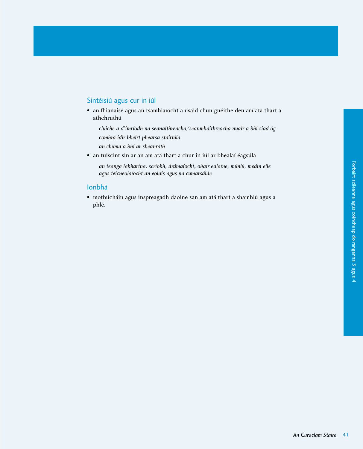# Sintéisiú agus cur in iúl

• an fhianaise agus an tsamhlaíocht a úsáid chun gnéithe den am atá thart a athchruthú

*cluiche a d'imríodh na seanaithreacha/seanmháithreacha nuair a bhí siad óg comhrá idir bheirt phearsa stairiúla*

- *an chuma a bhí ar sheanráth*
- an tuiscint sin ar an am atá thart a chur in iúl ar bhealaí éagsúla

*an teanga labhartha, scríobh, drámaíocht, obair ealaíne, múnlú, meáin eile agus teicneolaíocht an eolais agus na cumarsáide*

# Ionbhá

• mothúcháin agus inspreagadh daoine san am atá thart a shamhlú agus a phlé.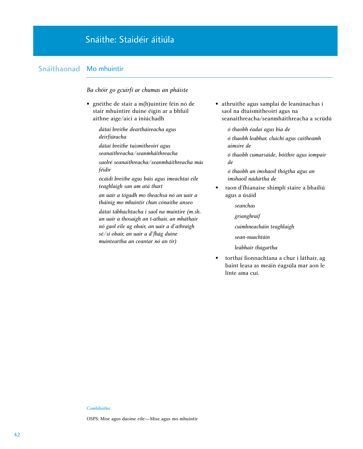# Snáithe: Staidéir áitiúla

# Snáithaonad Mo mhuintir

*Ba chóir go gcuirfí ar chumas an pháiste*

• gnéithe de stair a m(h)uintire féin nó de stair mhuintire duine éigin ar a bhfuil aithne aige/aici a iniúchadh

> *dátaí breithe deartháireacha agus deirfiúracha*

*dátaí breithe tuismitheoirí agus seanaithreacha/seanmháithreacha* 

*saolré seanaithreacha/seanmháithreacha más féidir*

*ócáidí breithe agus báis agus imeachtaí eile teaghlaigh san am atá thart*

*an uair a tógadh mo theachsa nó an uair a tháinig mo mhuintir chun cónaithe anseo* 

*dátaí tábhachtacha i saol na muintire (m.sh. an uair a thosaigh an t-athair, an mháthair nó gaol eile ag obair, an uair a d'athraigh sé/sí obair, an uair a d'fhág duine muinteartha an ceantar nó an tír)*

• athruithe agus samplaí de leanúnachas i saol na dtuismitheoirí agus na seanaithreacha/seanmháithreacha a scrúdú

*ó thaobh éadaí agus bia de*

*ó thaobh leabhar, cluichí agus caitheamh aimsire de*

*ó thaobh cumarsáide, bóithre agus iompair de*

*ó thaobh an imshaoil thógtha agus an imshaoil nádúrtha de*

• raon d'fhianaise shimplí staire a bhailiú agus a úsáid

*seanchas*

*grianghraif*

*cuimhneacháin teaghlaigh*

- *sean-nuachtáin*
- *leabhair thagartha*
- torthaí fionnachtana a chur i láthair, ag baint leasa as meáin éagsúla mar aon le línte ama cuí.

#### *Comhtháthú*

OSPS: Mise agus daoine eile—Mise agus mo mhuintir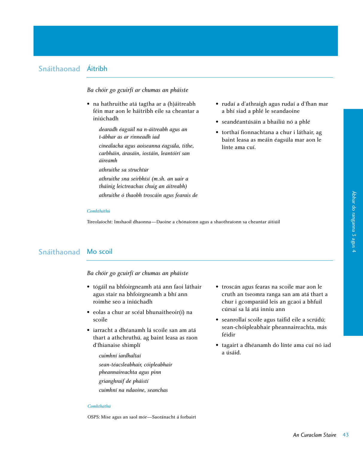# Snáithaonad Áitribh

# *Ba chóir go gcuirfí ar chumas an pháiste*

- na hathruithe atá tagtha ar a (h)áitreabh féin mar aon le háitribh eile sa cheantar a iniúchadh
	- *dearadh éagsúil na n-áitreabh agus an t-ábhar as ar rinneadh iad*
	- *cineálacha agus aoiseanna éagsúla, tithe, carbháin, árasáin, iostáin, leantóirí san áireamh*
	- *athruithe sa struchtúr*
	- *athruithe sna seirbhísí (m.sh. an uair a tháinig leictreachas chuig an áitreabh) athruithe ó thaobh troscáin agus fearais de*
- rudaí a d'athraigh agus rudaí a d'fhan mar a bhí siad a phlé le seandaoine
- seandéantúsáin a bhailiú nó a phlé
- torthaí fionnachtana a chur i láthair, ag baint leasa as meáin éagsúla mar aon le línte ama cuí.

#### *Comhtháthú*

Tíreolaíocht: Imshaoil dhaonna—Daoine a chónaíonn agus a shaothraíonn sa cheantar áitiúil

# Snáithaonad Mo scoil

*Ba chóir go gcuirfí ar chumas an pháiste*

- tógáil na bhfoirgneamh atá ann faoi láthair agus stair na bhfoirgneamh a bhí ann roimhe seo a iniúchadh
- eolas a chur ar scéal bhunaitheoir(í) na scoile
- iarracht a dhéanamh lá scoile san am atá thart a athchruthú, ag baint leasa as raon d'fhianaise shimplí
	- *cuimhní iardhaltaí sean-téacsleabhair, cóipleabhair pheannaireachta agus pinn grianghraif de pháistí cuimhní na ndaoine, seanchas*
- troscán agus fearas na scoile mar aon le cruth an tseomra ranga san am atá thart a chur i gcomparáid leis an gcaoi a bhfuil cúrsaí sa lá atá inniu ann
- seanrollaí scoile agus taifid eile a scrúdú; sean-chóipleabhair pheannaireachta, más féidir
- tagairt a dhéanamh do línte ama cuí nó iad a úsáid.

# Ábhar do ranganna 3 agus 4 Ábhar do ranganna 3 agus 4

#### *Comhtháthú*

OSPS: Mise agus an saol mór—Saoránacht á forbairt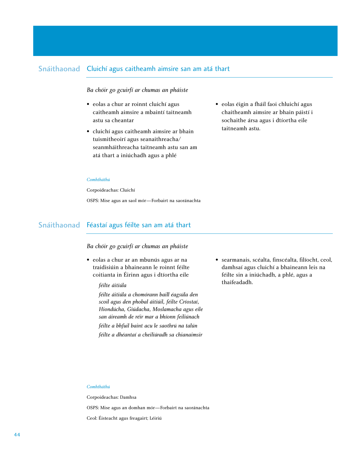# Snáithaonad Cluichí agus caitheamh aimsire san am atá thart

# *Ba chóir go gcuirfí ar chumas an pháiste*

- eolas a chur ar roinnt cluichí agus caitheamh aimsire a mbaintí taitneamh astu sa cheantar
- cluichí agus caitheamh aimsire ar bhain tuismitheoirí agus seanaithreacha/ seanmháithreacha taitneamh astu san am atá thart a iniúchadh agus a phlé
- eolas éigin a fháil faoi chluichí agus chaitheamh aimsire ar bhain páistí i sochaithe ársa agus i dtíortha eile taitneamh astu.

#### *Comhtháthú*

Corpoideachas: Cluichí

OSPS: Mise agus an saol mór—Forbairt na saoránachta

# Snáithaonad Féastaí agus féilte san am atá thart

# *Ba chóir go gcuirfí ar chumas an pháiste*

• eolas a chur ar an mbunús agus ar na traidisiúin a bhaineann le roinnt féilte coitianta in Éirinn agus i dtíortha eile

### *féilte áitiúla*

*féilte áitiúla a chomórann baill éagsúla den scoil agus den phobal áitiúil, féilte Críostaí, Hiondúcha, Giúdacha, Moslamacha agus eile san áireamh de réir mar a bhíonn feiliúnach féilte a bhfuil baint acu le saothrú na talún féilte a dhéantaí a cheiliúradh sa chianaimsir* • searmanais, scéalta, finscéalta, filíocht, ceol, damhsaí agus cluichí a bhaineann leis na féilte sin a iniúchadh, a phlé, agus a thaifeadadh.

#### *Comhtháthú*

Corpoideachas: Damhsa

OSPS: Mise agus an domhan mór—Forbairt na saoránachta Ceol: Éisteacht agus freagairt; Léiriú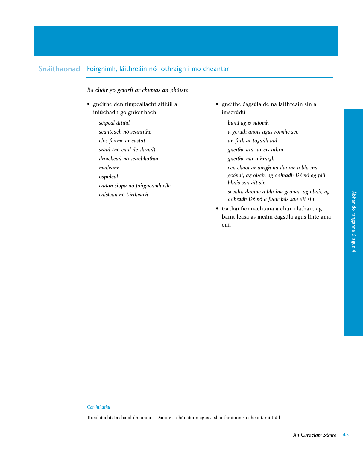# Snáithaonad Foirgnimh, láithreáin nó fothraigh i mo cheantar

*Ba chóir go gcuirfí ar chumas an pháiste*

• gnéithe den timpeallacht áitiúil a iniúchadh go gníomhach

> *séipéal áitiúil seanteach nó seantithe clós feirme ar eastát sráid (nó cuid de shráid) droichead nó seanbhóthar muileann ospidéal éadan siopa nó foirgneamh eile caisleán nó túrtheach*

- gnéithe éagsúla de na láithreáin sin a imscrúdú
	- *bunú agus suíomh*
	- *a gcruth anois agus roimhe seo*
	- *an fáth ar tógadh iad*
	- *gnéithe atá tar éis athrú*
	- *gnéithe nár athraigh*
	- *cén chaoi ar airigh na daoine a bhí ina gcónaí, ag obair, ag adhradh Dé nó ag fáil bháis san áit sin*
	- *scéalta daoine a bhí ina gcónaí, ag obair, ag adhradh Dé nó a fuair bás san áit sin*
- torthaí fionnachtana a chur i láthair, ag baint leasa as meáin éagsúla agus línte ama cuí.

# *Comhtháthú*

Tíreolaíocht: Imshaoil dhaonna—Daoine a chónaíonn agus a shaothraíonn sa cheantar áitiúil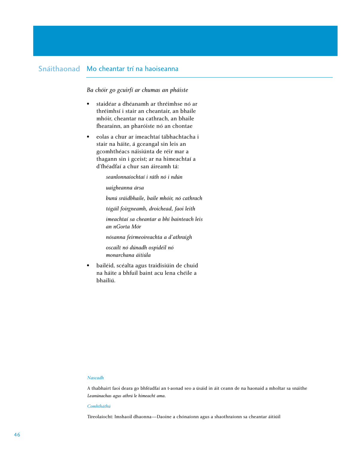# Snáithaonad Mo cheantar trí na haoiseanna

# *Ba chóir go gcuirfí ar chumas an pháiste*

- staidéar a dhéanamh ar thréimhse nó ar thréimhsí i stair an cheantair, an bhaile mhóir, cheantar na cathrach, an bhaile fhearainn, an pharóiste nó an chontae
- eolas a chur ar imeachtaí tábhachtacha i stair na háite, á gceangal sin leis an gcomhthéacs náisiúnta de réir mar a thagann sin i gceist; ar na himeachtaí a d'fhéadfaí a chur san áireamh tá:

*seanlonnaíochtaí i ráth nó i ndún* 

*uaigheanna ársa*

*bunú sráidbhaile, baile mhóir, nó cathrach*

*tógáil foirgneamh, droichead, faoi leith*

*imeachtaí sa cheantar a bhí bainteach leis an nGorta Mór*

*nósanna feirmeoireachta a d'athraigh*

*oscailt nó dúnadh ospidéil nó monarchana áitiúla*

• bailéid, scéalta agus traidisiúin de chuid na háite a bhfuil baint acu lena chéile a bhailiú.

### *Nascadh*

A thabhairt faoi deara go bhféadfaí an t-aonad seo a úsáid in áit ceann de na haonaid a mholtar sa snáithe *Leanúnachas agus athrú le himeacht ama*.

#### *Comhtháthú*

Tíreolaíocht: Imshaoil dhaonna—Daoine a chónaíonn agus a shaothraíonn sa cheantar áitiúil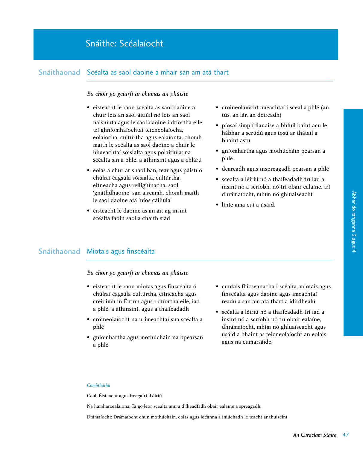# Snáithe: Scéalaíocht

# Snáithaonad Scéalta as saol daoine a mhair san am atá thart

# *Ba chóir go gcuirfí ar chumas an pháiste*

- éisteacht le raon scéalta as saol daoine a chuir leis an saol áitiúil nó leis an saol náisiúnta agus le saol daoine i dtíortha eile trí ghníomhaíochtaí teicneolaíocha, eolaíocha, cultúrtha agus ealaíonta, chomh maith le scéalta as saol daoine a chuir le himeachtaí sóisialta agus polaitiúla; na scéalta sin a phlé, a athinsint agus a chlárú
- eolas a chur ar shaol ban, fear agus páistí ó chúlraí éagsúla sóisialta, cultúrtha, eitneacha agus reiligiúnacha, saol 'gnáthdhaoine' san áireamh, chomh maith le saol daoine atá 'níos cáiliúla'
- éisteacht le daoine as an áit ag insint scéalta faoin saol a chaith siad
- cróineolaíocht imeachtaí i scéal a phlé (an tús, an lár, an deireadh)
- píosaí simplí fianaise a bhfuil baint acu le hábhar a scrúdú agus tosú ar thátail a bhaint astu
- gníomhartha agus mothúcháin pearsan a phlé
- dearcadh agus inspreagadh pearsan a phlé
- scéalta a léiriú nó a thaifeadadh trí iad a insint nó a scríobh, nó trí obair ealaíne, trí dhrámaíocht, mhím nó ghluaiseacht
- línte ama cuí a úsáid.

# Snáithaonad Miotais agus finscéalta

*Ba chóir go gcuirfí ar chumas an pháiste*

- éisteacht le raon miotas agus finscéalta ó chúlraí éagsúla cultúrtha, eitneacha agus creidimh in Éirinn agus i dtíortha eile, iad a phlé, a athinsint, agus a thaifeadadh
- cróineolaíocht na n-imeachtaí sna scéalta a phlé
- gníomhartha agus mothúcháin na bpearsan a phlé
- cuntais fhicseanacha i scéalta, miotais agus finscéalta agus daoine agus imeachtaí réadúla san am atá thart a idirdhealú
- scéalta a léiriú nó a thaifeadadh trí iad a insint nó a scríobh nó trí obair ealaíne, dhrámaíocht, mhím nó ghluaiseacht agus úsáid a bhaint as teicneolaíocht an eolais agus na cumarsáide.

# *Comhtháthú*

Ceol: Éisteacht agus freagairt; Léiriú

Na hamharcealaíona: Tá go leor scéalta ann a d'fhéadfadh obair ealaíne a spreagadh.

Drámaíocht: Drámaíocht chun mothúcháin, eolas agus idéanna a iniúchadh le teacht ar thuiscint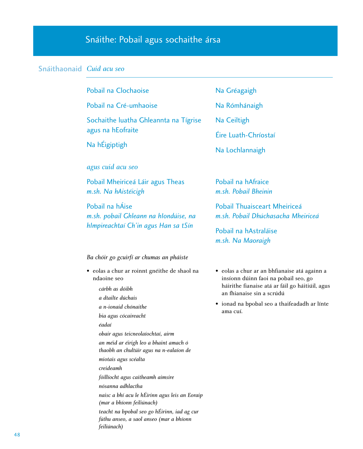# Snáithe: Pobail agus sochaithe ársa

# Snáithaonaid *Cuid acu seo*

| Na Gréagaigh                                                                                                                                                                                                                     |  |
|----------------------------------------------------------------------------------------------------------------------------------------------------------------------------------------------------------------------------------|--|
| Na Rómhánaigh                                                                                                                                                                                                                    |  |
| Na Ceiltigh                                                                                                                                                                                                                      |  |
| Éire Luath-Chríostaí<br>Na Lochlannaigh                                                                                                                                                                                          |  |
|                                                                                                                                                                                                                                  |  |
| Pobail na hAfraice<br>m.sh. Pobail Bheinin                                                                                                                                                                                       |  |
| <b>Pobail Thuaisceart Mheiriceá</b><br>m.sh. Pobail Dhúchasacha Mheiriceá                                                                                                                                                        |  |
| Pobail na hAstraláise<br>m.sh. Na Maoraigh                                                                                                                                                                                       |  |
|                                                                                                                                                                                                                                  |  |
| • eolas a chur ar an bhfianaise atá againn a<br>insíonn dúinn faoi na pobail seo, go<br>háirithe fianaise atá ar fáil go háitiúil, agus<br>an fhianaise sin a scrúdú<br>• ionad na bpobal seo a thaifeadadh ar línte<br>ama cuí. |  |
|                                                                                                                                                                                                                                  |  |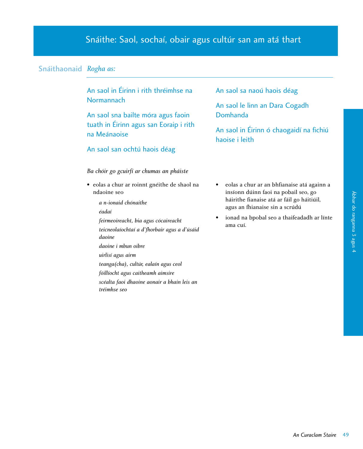# Snáithe: Saol, sochaí, obair agus cultúr san am atá thart

# Snáithaonaid *Rogha as:*

An saol in Éirinn i rith thréimhse na **Normannach** 

An saol sna bailte móra agus faoin tuath in Éirinn agus san Eoraip i rith na Meánaoise

# An saol san ochtú haois déag

# *Ba chóir go gcuirfí ar chumas an pháiste*

- eolas a chur ar roinnt gnéithe de shaol na ndaoine seo
	- *a n-ionaid chónaithe*
	- *éadaí*
	- *feirmeoireacht, bia agus cócaireacht*
	- *teicneolaíochtaí a d'fhorbair agus a d'úsáid daoine*
	- *daoine i mbun oibre*
	- *uirlisí agus airm*
	- *teanga(cha), cultúr, ealaín agus ceol*
	- *fóillíocht agus caitheamh aimsire*
	- *scéalta faoi dhaoine aonair a bhain leis an tréimhse seo*

# An saol sa naoú haois déag

An saol le linn an Dara Cogadh Domhanda

An saol in Éirinn ó chaogaidí na fichiú haoise i leith

- eolas a chur ar an bhfianaise atá againn a insíonn dúinn faoi na pobail seo, go háirithe fianaise atá ar fáil go háitiúil, agus an fhianaise sin a scrúdú
- ionad na bpobal seo a thaifeadadh ar línte ama cuí.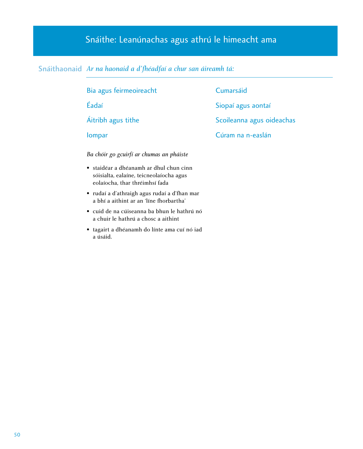# Snáithe: Leanúnachas agus athrú le himeacht ama

# Snáithaonaid *Ar na haonaid a d'fhéadfaí a chur san áireamh tá:*

Bia agus feirmeoireacht Éadaí Áitribh agus tithe Iompar Cumarsáid Siopaí agus aontaí Scoileanna agus oideachas Cúram na n-easlán *Ba chóir go gcuirfí ar chumas an pháiste* • staidéar a dhéanamh ar dhul chun cinn sóisialta, ealaíne, teicneolaíocha agus eolaíocha, thar thréimhsí fada • rudaí a d'athraigh agus rudaí a d'fhan mar a bhí a aithint ar an 'líne fhorbartha' • cuid de na cúiseanna ba bhun le hathrú nó a chuir le hathrú a chosc a aithint

• tagairt a dhéanamh do línte ama cuí nó iad a úsáid.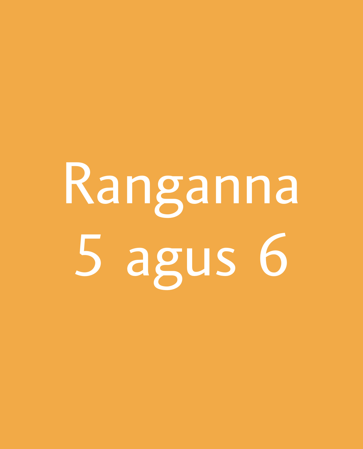# Ranganna 5 agus 6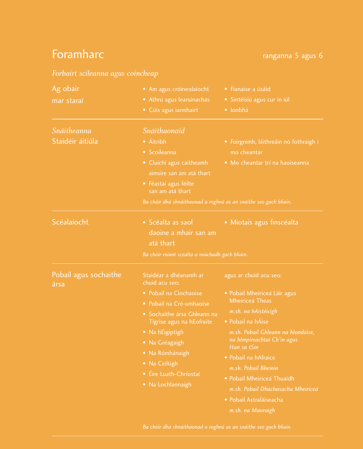# **Foramharc Foramharc ranganna 5 agus 6**

# *Forbairt scileanna agus coincheap*

| Ag obair<br>mar staraí                 | • Am agus cróineolaíocht<br>• Athrú agus leanúnachas<br>• Cúis agus iarmhairt                                                                                                                                                                                                      | • Fianaise a úsáid<br>· Sintéisiú agus cur in iúl<br>· Ionbhá                                                                                                                                                                                                                                                                                                                         |
|----------------------------------------|------------------------------------------------------------------------------------------------------------------------------------------------------------------------------------------------------------------------------------------------------------------------------------|---------------------------------------------------------------------------------------------------------------------------------------------------------------------------------------------------------------------------------------------------------------------------------------------------------------------------------------------------------------------------------------|
| <i>Snáitheanna</i><br>Staidéir áitiúla | Snáithaonaid<br>• Áitribh<br>• Scoileanna<br>• Cluichí agus caitheamh<br>aimsire san am atá thart<br>• Féastaí agus féilte<br>san am atá thart<br>Ba chóir dhá shnáithaonad a roghnú as an snáithe seo gach bliain.                                                                | • Foirgnimh, láithreáin nó fothraigh i<br>mo cheantar<br>· Mo cheantar trí na haoiseanna                                                                                                                                                                                                                                                                                              |
| Scéalaíocht                            | • Scéalta as saol<br>daoine a mhair san am<br>atá thart<br>Ba chóir roinnt scéalta a iniúchadh gach bliain.                                                                                                                                                                        | · Miotais agus finscéalta                                                                                                                                                                                                                                                                                                                                                             |
| Pobail agus sochaithe<br>ársa          | Staidéar a dhéanamh ar<br>chuid acu seo:<br>• Pobail na Clochaoise<br>• Pobail na Cré-umhaoise<br>· Sochaithe ársa Ghleann na<br>Tígrise agus na hEofraite<br>• Na hÉigiptigh<br>· Na Gréagaigh<br>• Na Rómhánaigh<br>• Na Ceiltigh<br>• Éire Luath-Chríostaí<br>· Na Lochlannaigh | agus ar chuid acu seo:<br>· Pobail Mheiriceá Láir agus<br><b>Mheiriceá Theas</b><br>m.sh. na hAistéicigh<br>• Pobail na hÁise<br>m.sh. Pobail Ghleann na hIondúise,<br>na hImpireachtaí Ch'in agus<br>Han sa tSín<br>· Pobail na hAfraice<br>m.sh. Pobail Bheinin<br>• Pobail Mheiriceá Thuaidh<br>m.sh. Pobail Dhúchasacha Mheiriceá<br>• Pobail Astraláiseacha<br>m.sh. na Maoraigh |

*Ba chóir dhá shnáithaonad a roghnú as an snáithe seo gach bliain.*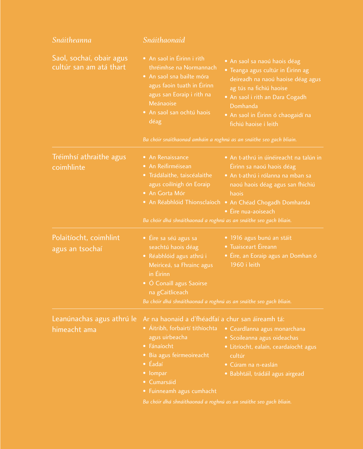| Snáitheanna                                         | Snáithaonaid                                                                                                                                                                                                                                                                                       |                                                                                                                                                                                                                                                 |  |
|-----------------------------------------------------|----------------------------------------------------------------------------------------------------------------------------------------------------------------------------------------------------------------------------------------------------------------------------------------------------|-------------------------------------------------------------------------------------------------------------------------------------------------------------------------------------------------------------------------------------------------|--|
| Saol, sochaí, obair agus<br>cultúr san am atá thart | • An saol in Éirinn i rith<br>thréimhse na Normannach<br>• An saol sna bailte móra<br>agus faoin tuath in Éirinn<br>agus san Eoraip i rith na<br>Meánaoise<br>· An saol san ochtú haois<br>déag                                                                                                    | · An saol sa naoú haois déag<br>• Teanga agus cultúr in Éirinn ag<br>deireadh na naoú haoise déag agus<br>ag tús na fichiú haoise<br>• An saol i rith an Dara Cogadh<br>Domhanda<br>• An saol in Éirinn ó chaogaidí na<br>fichiú haoise i leith |  |
|                                                     | Ba chóir snáithaonad amháin a roghnú as an snáithe seo gach bliain.                                                                                                                                                                                                                                |                                                                                                                                                                                                                                                 |  |
| Tréimhsí athraithe agus<br>coimhlinte               | • An Renaissance<br>• An Reifirméisean<br>· Trádálaithe, taiscéalaithe<br>agus coilínigh ón Eoraip<br>• An Gorta Mór<br>Ba chóir dhá shnáithaonad a roghnú as an snáithe seo gach bliain.                                                                                                          | • An t-athrú in úinéireacht na talún in<br>Éirinn sa naoú haois déag<br>· An t-athrú i rólanna na mban sa<br>naoú haois déag agus san fhichiú<br>haois<br>• An Réabhlóid Thionsclaíoch • An Chéad Chogadh Domhanda<br>• Éire nua-aoiseach       |  |
| Polaitíocht, coimhlint<br>agus an tsochaí           | • Éire sa séú agus sa<br>seachtú haois déag<br>· Réabhlóid agus athrú i<br>Meiriceá, sa Fhrainc agus<br>in Éirinn<br>• Ó Conaill agus Saoirse<br>na gCaitliceach<br>Ba chóir dhá shnáithaonad a roghnú as an snáithe seo gach bliain.                                                              | · 1916 agus bunú an stáit<br>• Tuaisceart Éireann<br>• Éire, an Eoraip agus an Domhan ó<br>1960 i leith                                                                                                                                         |  |
| Leanúnachas agus athrú le<br>himeacht ama           | Ar na haonaid a d'fhéadfaí a chur san áireamh tá:<br>· Áitribh, forbairtí tithíochta<br>agus uirbeacha<br>• Fánaíocht<br>• Bia agus feirmeoireacht<br>$\bullet$ Éadaí<br>• lompar<br>• Cumarsáid<br>• Fuinneamh agus cumhacht<br>Ba chóir dhá shnáithaonad a roghnú as an snáithe seo gach bliain. | • Ceardlanna agus monarchana<br>· Scoileanna agus oideachas<br>· Litríocht, ealaín, ceardaíocht agus<br>cultúr<br>• Cúram na n-easlán<br>· Babhtáil, trádáil agus airgead                                                                       |  |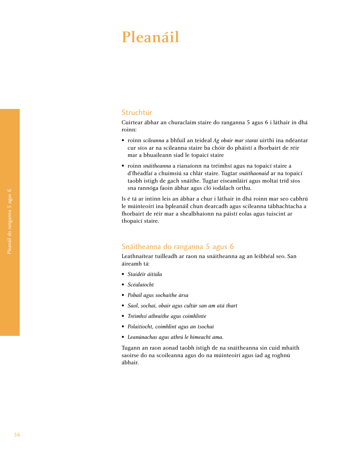# Pleanáil

# Struchtúr

Cuirtear ábhar an churaclaim staire do ranganna 5 agus 6 i láthair in dhá roinn:

- roinn *scileanna* a bhfuil an teideal *Ag obair mar staraí* uirthi ina ndéantar cur síos ar na scileanna staire ba chóir do pháistí a fhorbairt de réir mar a bhuaileann siad le topaicí staire
- roinn *snáitheanna* a rianaíonn na tréimhsí agus na topaicí staire a d'fhéadfaí a chuimsiú sa chlár staire. Tugtar *snáithaonaid* ar na topaicí taobh istigh de gach snáithe. Tugtar eiseamláirí agus moltaí tríd síos sna rannóga faoin ábhar agus cló iodálach orthu.

Is é tá ar intinn leis an ábhar a chur i láthair in dhá roinn mar seo cabhrú le múinteoirí ina bpleanáil chun dearcadh agus scileanna tábhachtacha a fhorbairt de réir mar a shealbhaíonn na páistí eolas agus tuiscint ar thopaicí staire.

# Snáitheanna do ranganna 5 agus 6

Leathnaítear tuilleadh ar raon na snáitheanna ag an leibhéal seo. San áireamh tá:

- *Staidéir áitiúla*
- *Scéalaíocht*
- *Pobail agus sochaithe ársa*
- *Saol, sochaí, obair agus cultúr san am atá thart*
- *Tréimhsí athraithe agus coimhlinte*
- *Polaitíocht, coimhlint agus an tsochaí*
- *Leanúnachas agus athrú le himeacht ama*.

Tugann an raon aonad taobh istigh de na snáitheanna sin cuid mhaith saoirse do na scoileanna agus do na múinteoirí agus iad ag roghnú ábhair.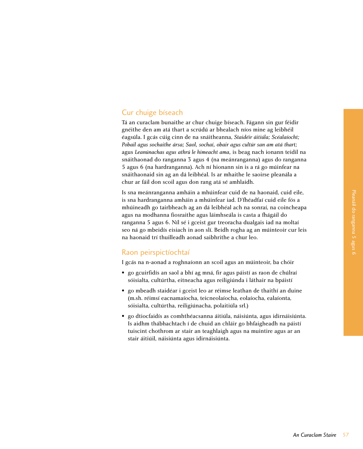# Cur chuige bíseach

Tá an curaclam bunaithe ar chur chuige bíseach. Fágann sin gur féidir gnéithe den am atá thart a scrúdú ar bhealach níos mine ag leibhéil éagsúla. I gcás cúig cinn de na snáitheanna, *Staidéir áitiúla; Scéalaíocht; Pobail agus sochaithe ársa; Saol, sochaí, obair agus cultúr san am atá thart;* agus *Leanúnachas agus athrú le himeacht ama,* is beag nach ionann teidil na snáithaonad do ranganna 3 agus 4 (na meánranganna) agus do ranganna 5 agus 6 (na hardranganna). Ach ní hionann sin is a rá go múinfear na snáithaonaid sin ag an dá leibhéal. Is ar mhaithe le saoirse pleanála a chur ar fáil don scoil agus don rang atá sé amhlaidh.

Is sna meánranganna amháin a mhúinfear cuid de na haonaid, cuid eile, is sna hardranganna amháin a mhúinfear iad. D'fhéadfaí cuid eile fós a mhúineadh go tairbheach ag an dá leibhéal ach na sonraí, na coincheapa agus na modhanna fiosraithe agus láimhseála is casta a fhágáil do ranganna 5 agus 6. Níl sé i gceist gur treoracha dualgais iad na moltaí seo ná go mbeidís eisiach in aon slí. Beidh rogha ag an múinteoir cur leis na haonaid trí thuilleadh aonad saibhrithe a chur leo.

# Raon peirspictíochtaí

I gcás na n-aonad a roghnaíonn an scoil agus an múinteoir, ba chóir

- go gcuirfidís an saol a bhí ag mná, fir agus páistí as raon de chúlraí sóisialta, cultúrtha, eitneacha agus reiligiúnda i láthair na bpáistí
- go mbeadh staidéar i gceist leo ar réimse leathan de thaithí an duine (m.sh. réimsí eacnamaíocha, teicneolaíocha, eolaíocha, ealaíonta, sóisialta, cultúrtha, reiligiúnacha, polaitiúla srl.)
- go dtiocfaidís as comhthéacsanna áitiúla, náisiúnta, agus idirnáisiúnta. Is aidhm thábhachtach í de chuid an chláir go bhfaigheadh na páistí tuiscint chothrom ar stair an teaghlaigh agus na muintire agus ar an stair áitiúil, náisiúnta agus idirnáisiúnta.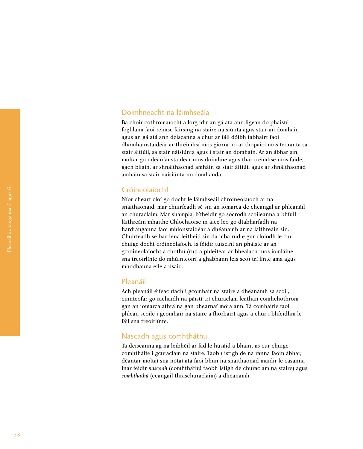# Doimhneacht na láimhseála

Ba chóir cothromaíocht a lorg idir an gá atá ann ligean do pháistí foghlaim faoi réimse fairsing na staire náisiúnta agus stair an domhain agus an gá atá ann deiseanna a chur ar fáil dóibh tabhairt faoi dhomhainstaidéar ar thréimhsí níos giorra nó ar thopaicí níos teoranta sa stair áitiúil, sa stair náisiúnta agus i stair an domhain. Ar an ábhar sin, moltar go ndéanfaí staidéar níos doimhne agus thar tréimhse níos faide, gach bliain, ar shnáithaonad amháin sa stair áitiúil agus ar shnáithaonad amháin sa stair náisiúnta nó domhanda.

# Cróineolaíocht

Níor cheart cloí go docht le láimhseáil chróineolaíoch ar na snáithaonaid, mar chuirfeadh sé sin an iomarca de cheangal ar phleanáil an churaclaim. Mar shampla, b'fhéidir go socródh scoileanna a bhfuil láithreáin mhaithe Chlochaoise in aice leo go dtabharfadh na hardranganna faoi mhionstaidéar a dhéanamh ar na láithreáin sin. Chuirfeadh sé bac lena leithéid sin dá mba rud é gur cloíodh le cur chuige docht cróineolaíoch. Is féidir tuiscint an pháiste ar an gcróineolaíocht a chothú (rud a phléitear ar bhealach níos iomláine sna treoirlínte do mhúinteoirí a ghabhann leis seo) trí línte ama agus mhodhanna eile a úsáid.

# Pleanáil

Ach pleanáil éifeachtach i gcomhair na staire a dhéanamh sa scoil, cinnteofar go rachaidh na páistí trí churaclam leathan comhchothrom gan an iomarca athrá ná gan bhearnaí móra ann. Tá comhairle faoi phlean scoile i gcomhair na staire a fhorbairt agus a chur i bhfeidhm le fáil sna treoirlínte.

# Nascadh agus comhtháthú

Tá deiseanna ag na leibhéil ar fad le húsáid a bhaint as cur chuige comhtháite i gcuraclam na staire. Taobh istigh de na ranna faoin ábhar, déantar moltaí sna nótaí atá faoi bhun na snáithaonad maidir le cásanna inar féidir *nascadh* (comhtháthú taobh istigh de churaclam na staire) agus *comhtháthú* (ceangail thraschuraclaim) a dhéanamh.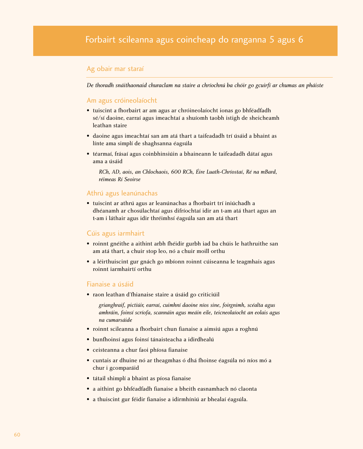# Ag obair mar staraí

*De thoradh snáithaonaid churaclam na staire a chríochnú ba chóir go gcuirfí ar chumas an pháiste*

# Am agus cróineolaíocht

- tuiscint a fhorbairt ar am agus ar chróineolaíocht ionas go bhféadfadh sé/sí daoine, earraí agus imeachtaí a shuíomh taobh istigh de sheicheamh leathan staire
- daoine agus imeachtaí san am atá thart a taifeadadh trí úsáid a bhaint as línte ama simplí de shaghsanna éagsúla
- téarmaí, frásaí agus coinbhinsiúin a bhaineann le taifeadadh dátaí agus ama a úsáid

*RCh, AD, aois, an Chlochaois, 600 RCh, Éire Luath-Chríostaí, Ré na mBard, réimeas Rí Seoirse*

# Athrú agus leanúnachas

• tuiscint ar athrú agus ar leanúnachas a fhorbairt trí iniúchadh a dhéanamh ar chosúlachtaí agus difríochtaí idir an t-am atá thart agus an t-am i láthair agus idir thréimhsí éagsúla san am atá thart

# Cúis agus iarmhairt

- roinnt gnéithe a aithint arbh fhéidir gurbh iad ba chúis le hathruithe san am atá thart, a chuir stop leo, nó a chuir moill orthu
- a léirthuiscint gur gnách go mbíonn roinnt cúiseanna le teagmhais agus roinnt iarmhairtí orthu

# Fianaise a úsáid

• raon leathan d'fhianaise staire a úsáid go criticiúil

*grianghraif, pictiúir, earraí, cuimhní daoine níos sine, foirgnimh, scéalta agus amhráin, foinsí scríofa, scannáin agus meáin eile, teicneolaíocht an eolais agus na cumarsáide*

- roinnt scileanna a fhorbairt chun fianaise a aimsiú agus a roghnú
- bunfhoinsí agus foinsí tánaisteacha a idirdhealú
- ceisteanna a chur faoi phíosa fianaise
- cuntais ar dhuine nó ar theagmhas ó dhá fhoinse éagsúla nó níos mó a chur i gcomparáid
- tátail shimplí a bhaint as píosa fianaise
- a aithint go bhféadfadh fianaise a bheith easnamhach nó claonta
- a thuiscint gur féidir fianaise a idirmhíniú ar bhealaí éagsúla.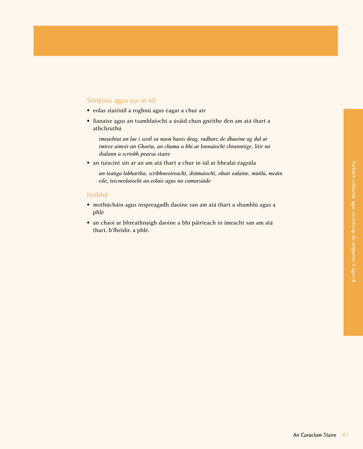# Sintéisiú agus cur in iúl

- eolas stairiúil a roghnú agus eagar a chur air
- fianaise agus an tsamhlaíocht a úsáid chun gnéithe den am atá thart a athchruthú

*imeachtaí an lae i scoil sa naoú haois déag, radharc de dhaoine ag dul ar imirce aimsir an Ghorta, an chuma a bhí ar lonnaíocht chrannóige, litir nó dialann a scríobh pearsa staire*

• an tuiscint sin ar an am atá thart a chur in iúl ar bhealaí éagsúla

*an teanga labhartha, scríbhneoireacht, drámaíocht, obair ealaíne, múnlú, meáin eile, teicneolaíocht an eolais agus na cumarsáide*

# Ionbhá

- mothúcháin agus inspreagadh daoine san am atá thart a shamhlú agus a phlé
- an chaoi ar bhreathnaigh daoine a bhí páirteach in imeacht san am atá thart, b'fhéidir, a phlé.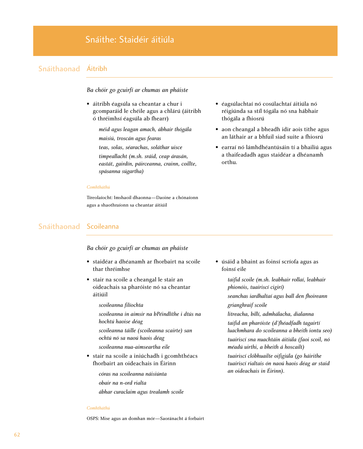# Snáithe: Staidéir áitiúla

# Snáithaonad Áitribh

# *Ba chóir go gcuirfí ar chumas an pháiste*

• áitribh éagsúla sa cheantar a chur i gcomparáid le chéile agus a chlárú (áitribh ó thréimhsí éagsúla ab fhearr)

*méid agus leagan amach, ábhair thógála maisiú, troscán agus fearas*

*teas, solas, séarachas, soláthar uisce*

*timpeallacht (m.sh. sráid, ceap árasán, eastát, gairdín, páirceanna, crainn, coillte, spásanna súgartha)*

#### *Comhtháthú*

Tíreolaíocht: Imshaoil dhaonna—Daoine a chónaíonn agus a shaothraíonn sa cheantar áitiúil

- éagsúlachtaí nó cosúlachtaí áitiúla nó réigiúnda sa stíl tógála nó sna hábhair thógála a fhiosrú
- aon cheangal a bheadh idir aois tithe agus an láthair ar a bhfuil siad suite a fhiosrú
- earraí nó lámhdhéantúsáin tí a bhailiú agus a thaifeadadh agus staidéar a dhéanamh orthu.

# Snáithaonad Scoileanna

# *Ba chóir go gcuirfí ar chumas an pháiste*

- staidéar a dhéanamh ar fhorbairt na scoile thar thréimhse
- stair na scoile a cheangal le stair an oideachais sa pharóiste nó sa cheantar áitiúil

# *scoileanna filíochta*

*scoileanna in aimsir na bPéindlíthe i dtús na hochtú haoise déag* 

- *scoileanna táille (scoileanna scairte) san ochtú nó sa naoú haois déag*
- *scoileanna nua-aimseartha eile*
- stair na scoile a iniúchadh i gcomhthéacs fhorbairt an oideachais in Éirinn
	- *córas na scoileanna náisiúnta*
	- *obair na n-ord rialta*
	- *ábhar curaclaim agus trealamh scoile*

• úsáid a bhaint as foinsí scríofa agus as foinsí eile

> *taifid scoile (m.sh. leabhair rollaí, leabhair phionóis, tuairiscí cigirí) seanchas iardhaltaí agus ball den fhoireann grianghraif scoile litreacha, billí, admhálacha, dialanna taifid an pharóiste (d'fhéadfadh tagairtí luachmhara do scoileanna a bheith iontu seo) tuairiscí sna nuachtáin áitiúla (faoi scoil, nó méadú uirthi, a bheith á hoscailt) tuairiscí clóbhuailte oifigiúla (go háirithe tuairiscí rialtais ón naoú haois déag ar staid an oideachais in Éirinn).*

#### *Comhtháthú*

OSPS: Mise agus an domhan mór—Saoránacht á forbairt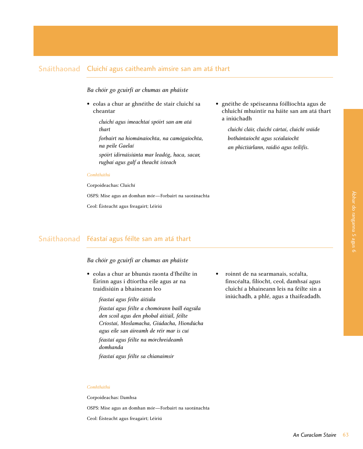# Snáithaonad Cluichí agus caitheamh aimsire san am atá thart

# *Ba chóir go gcuirfí ar chumas an pháiste*

- eolas a chur ar ghnéithe de stair cluichí sa cheantar
	- *cluichí agus imeachtaí spóirt san am atá thart*
	- *forbairt na hiománaíochta, na camógaíochta, na peile Gaelaí*
	- *spóirt idirnáisiúnta mar leadóg, haca, sacar, rugbaí agus galf a theacht isteach*

#### *Comhtháthú*

Corpoideachas: Cluichí

OSPS: Mise agus an domhan mór—Forbairt na saoránachta

Ceol: Éisteacht agus freagairt; Léiriú

• gnéithe de spéiseanna fóillíochta agus de chluichí mhuintir na háite san am atá thart a iniúchadh

*cluichí cláir, cluichí cártaí, cluichí sráide bothántaíocht agus scéalaíocht an phictiúrlann, raidió agus teilifís.*

# Snáithaonad Féastaí agus féilte san am atá thart

# *Ba chóir go gcuirfí ar chumas an pháiste*

• eolas a chur ar bhunús raonta d'fhéilte in Éirinn agus i dtíortha eile agus ar na traidisiúin a bhaineann leo

> *féastaí agus féilte áitiúla féastaí agus féilte a chomórann baill éagsúla den scoil agus den phobal áitiúil, féilte Críostaí, Moslamacha, Giúdacha, Hiondúcha agus eile san áireamh de réir mar is cuí féastaí agus féilte na mórchreideamh*

*domhanda*

*féastaí agus féilte sa chianaimsir*

• roinnt de na searmanais, scéalta, finscéalta, filíocht, ceol, damhsaí agus cluichí a bhaineann leis na féilte sin a iniúchadh, a phlé, agus a thaifeadadh.

### *Comhtháthú*

Corpoideachas: Damhsa

OSPS: Mise agus an domhan mór—Forbairt na saoránachta

Ceol: Éisteacht agus freagairt; Léiriú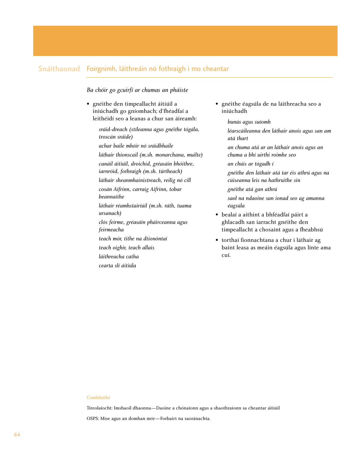# Snáithaonad Foirgnimh, láithreáin nó fothraigh i mo cheantar

*Ba chóir go gcuirfí ar chumas an pháiste*

- gnéithe den timpeallacht áitiúil a iniúchadh go gníomhach; d'fhéadfaí a leithéidí seo a leanas a chur san áireamh:
	- *sráid-dreach (stíleanna agus gnéithe tógála, troscán sráide)*
	- *achar baile mhóir nó sráidbhaile láthair thionscail (m.sh. monarchana, muilte) canáil áitiúil, droichid, gréasáin bhóithre, iarnróid, fothraigh (m.sh. túrtheach) láthair sheanmhainistreach, reilig nó cill cosán Aifrinn, carraig Aifrinn, tobar beannaithe láthair réamhstairiúil (m.sh. ráth, tuama ursanach) clós feirme, gréasáin pháirceanna agus feirmeacha*
	- *teach mór, tithe na dtionóntaí*
	- *teach oighir, teach allais*
	- *láithreacha catha*
	- *cearta slí áitiúla*
- gnéithe éagsúla de na láithreacha seo a iniúchadh
	- *bunús agus suíomh*
	- *léarscáileanna den láthair anois agus san am atá thart*
	- *an chuma atá ar an láthair anois agus an chuma a bhí uirthi roimhe seo*
	- *an chúis ar tógadh í*
	- *gnéithe den láthair atá tar éis athrú agus na cúiseanna leis na hathruithe sin*
	- *gnéithe atá gan athrú*
	- *saol na ndaoine san ionad seo ag amanna éagsúla*
- bealaí a aithint a bhféadfaí páirt a ghlacadh san iarracht gnéithe den timpeallacht a chosaint agus a fheabhsú
- torthaí fionnachtana a chur i láthair ag baint leasa as meáin éagsúla agus línte ama cuí.

### *Comhtháthú*

Tíreolaíocht: Imshaoil dhaonna—Daoine a chónaíonn agus a shaothraíonn sa cheantar áitiúil

OSPS: Mise agus an domhan mór—Forbairt na saoránachta.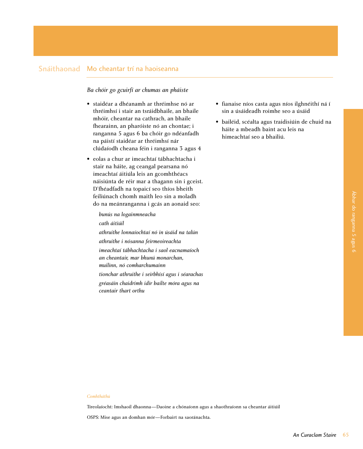# Snáithaonad Mo cheantar trí na haoiseanna

# *Ba chóir go gcuirfí ar chumas an pháiste*

- staidéar a dhéanamh ar thréimhse nó ar thréimhsí i stair an tsráidbhaile, an bhaile mhóir, cheantar na cathrach, an bhaile fhearainn, an pharóiste nó an chontae; i ranganna 5 agus 6 ba chóir go ndéanfadh na páistí staidéar ar thréimhsí nár clúdaíodh cheana féin i ranganna 3 agus 4
- eolas a chur ar imeachtaí tábhachtacha i stair na háite, ag ceangal pearsana nó imeachtaí áitiúla leis an gcomhthéacs náisiúnta de réir mar a thagann sin i gceist. D'fhéadfadh na topaicí seo thíos bheith feiliúnach chomh maith leo sin a moladh do na meánranganna i gcás an aonaid seo:

*bunús na logainmneacha cath áitiúil athruithe lonnaíochtaí nó in úsáid na talún athruithe i nósanna feirmeoireachta imeachtaí tábhachtacha i saol eacnamaíoch an cheantair, mar bhunú monarchan, muilinn, nó comharchumainn tionchar athruithe i seirbhísí agus i séarachas gréasáin chaidrimh idir bailte móra agus na ceantair thart orthu*

- fianaise níos casta agus níos ilghnéithí ná í sin a úsáideadh roimhe seo a úsáid
- bailéid, scéalta agus traidisiúin de chuid na háite a mbeadh baint acu leis na himeachtaí seo a bhailiú.

#### *Comhtháthú*

Tíreolaíocht: Imshaoil dhaonna—Daoine a chónaíonn agus a shaothraíonn sa cheantar áitiúil

OSPS: Mise agus an domhan mór—Forbairt na saoránachta.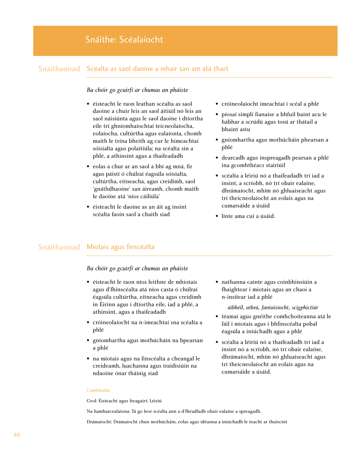# Snáithe: Scéalaíocht

# Snáithaonad Scéalta as saol daoine a mhair san am atá thart

# *Ba chóir go gcuirfí ar chumas an pháiste*

- éisteacht le raon leathan scéalta as saol daoine a chuir leis an saol áitiúil nó leis an saol náisiúnta agus le saol daoine i dtíortha eile trí ghníomhaíochtaí teicneolaíocha, eolaíocha, cultúrtha agus ealaíonta, chomh maith le trína bheith ag cur le himeachtaí sóisialta agus polaitiúla; na scéalta sin a phlé, a athinsint agus a thaifeadadh
- eolas a chur ar an saol a bhí ag mná, fir agus páistí ó chúlraí éagsúla sóisialta, cultúrtha, eitneacha, agus creidimh, saol 'gnáthdhaoine' san áireamh, chomh maith le daoine atá 'níos cáiliúla'
- éisteacht le daoine as an áit ag insint scéalta faoin saol a chaith siad
- cróineolaíocht imeachtaí i scéal a phlé
- píosaí simplí fianaise a bhfuil baint acu le hábhar a scrúdú agus tosú ar thátail a bhaint astu
- gníomhartha agus mothúcháin phearsan a phlé
- dearcadh agus inspreagadh pearsan a phlé ina gcomhthéacs stairiúil
- scéalta a léiriú nó a thaifeadadh trí iad a insint, a scríobh, nó trí obair ealaíne, dhrámaíocht, mhím nó ghluaiseacht agus trí theicneolaíocht an eolais agus na cumarsáide a úsáid
- línte ama cuí a úsáid.

# Snáithaonad Miotais agus finscéalta

# *Ba chóir go gcuirfí ar chumas an pháiste*

- éisteacht le raon níos leithne de mhiotais agus d'fhinscéalta atá níos casta ó chúlraí éagsúla cultúrtha, eitneacha agus creidimh in Éirinn agus i dtíortha eile, iad a phlé, a athinsint, agus a thaifeadadh
- cróineolaíocht na n-imeachtaí sna scéalta a phlé
- gníomhartha agus mothúcháin na bpearsan a phlé
- na miotais agus na finscéalta a cheangal le creideamh, luachanna agus traidisiúin na ndaoine ónar tháinig siad

• nathanna cainte agus coinbhinsiúin a fhaightear i miotais agus an chaoi a n-insítear iad a phlé

#### *áibhéil, athrá, fantaisíocht, scigphictiúr*

- téamaí agus gnéithe comhchoiteanna atá le fáil i miotais agus i bhfinscéalta pobal éagsúla a iniúchadh agus a phlé
- scéalta a léiriú nó a thaifeadadh trí iad a insint nó a scríobh, nó trí obair ealaíne, dhrámaíocht, mhím nó ghluaiseacht agus trí theicneolaíocht an eolais agus na cumarsáide a úsáid.

#### *Comhtháthú*

Ceol: Éisteacht agus freagairt; Léiriú

Na hamharcealaíona: Tá go leor scéalta ann a d'fhéadfadh obair ealaíne a spreagadh.

Drámaíocht: Drámaíocht chun mothúcháin, eolas agus idéanna a iniúchadh le teacht ar thuiscint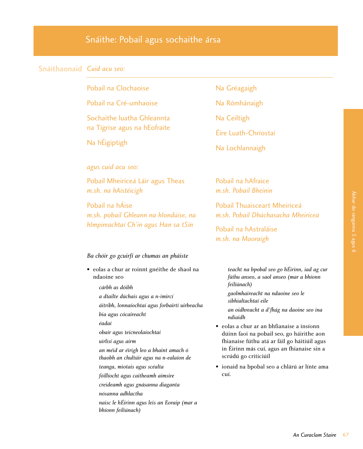# Snáithe: Pobail agus sochaithe ársa

## Snáithaonaid *Cuid acu seo:*

Pobail na Clochaoise

Pobail na Cré-umhaoise

Sochaithe luatha Ghleannta na Tígrise agus na hEofraite

Na hÉigiptigh

*agus cuid acu seo:*

Pobail Mheiriceá Láir agus Theas *m.sh. na hAistéicigh*

Pobail na hÁise *m.sh. pobail Ghleann na hIondúise, na hImpireachtaí Ch'in agus Han sa tSín*

#### *Ba chóir go gcuirfí ar chumas an pháiste*

- eolas a chur ar roinnt gnéithe de shaol na ndaoine seo
	- *cárbh as dóibh a dtailte dúchais agus a n-imircí áitribh, lonnaíochtaí agus forbairtí uirbeacha bia agus cócaireacht éadaí obair agus teicneolaíochtaí uirlisí agus airm an méid ar éirigh leo a bhaint amach ó thaobh an chultúir agus na n-ealaíon de teanga, miotais agus scéalta fóillíocht agus caitheamh aimsire creideamh agus gnásanna diaganta*
		- *nósanna adhlactha*
	- *naisc le hÉirinn agus leis an Eoraip (mar a bhíonn feiliúnach)*
- Na Gréagaigh
- Na Rómhánaigh
- Na Ceiltigh
- Éire Luath-Chríostaí
- Na Lochlannaigh

Pobail na hAfraice *m.sh. Pobail Bheinin*

Pobail Thuaisceart Mheiriceá *m.sh. Pobail Dhúchasacha Mheiriceá*

Pobail na hAstraláise *m.sh. na Maoraigh*

> *teacht na bpobal seo go hÉirinn, iad ag cur fúthu anseo, a saol anseo (mar a bhíonn feiliúnach)*

*gaolmhaireacht na ndaoine seo le sibhialtachtaí eile*

*an oidhreacht a d'fhág na daoine seo ina ndiaidh*

- eolas a chur ar an bhfianaise a insíonn dúinn faoi na pobail seo, go háirithe aon fhianaise fúthu atá ar fáil go háitiúil agus in Éirinn más cuí, agus an fhianaise sin a scrúdú go criticiúil
- ionaid na bpobal seo a chlárú ar línte ama cuí.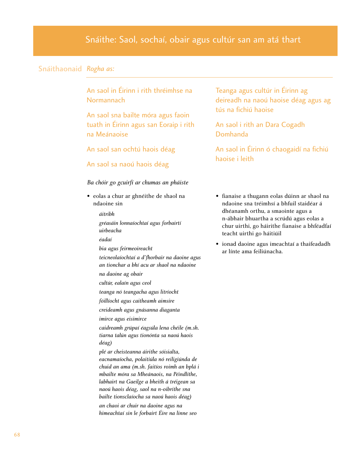# Snáithe: Saol, sochaí, obair agus cultúr san am atá thart

## Snáithaonaid *Rogha as:*

An saol in Éirinn i rith thréimhse na Normannach

An saol sna bailte móra agus faoin tuath in Éirinn agus san Eoraip i rith na Meánaoise

An saol san ochtú haois déag

## An saol sa naoú haois déag

#### *Ba chóir go gcuirfí ar chumas an pháiste*

• eolas a chur ar ghnéithe de shaol na ndaoine sin

#### *áitribh*

- *gréasáin lonnaíochtaí agus forbairtí uirbeacha*
- *éadaí*
- *bia agus feirmeoireacht*
- *teicneolaíochtaí a d'fhorbair na daoine agus an tionchar a bhí acu ar shaol na ndaoine na daoine ag obair*
- *cultúr, ealaín agus ceol*
- *teanga nó teangacha agus litríocht*
- *fóillíocht agus caitheamh aimsire*
- *creideamh agus gnásanna diaganta*
- *imirce agus eisimirce*
- *caidreamh grúpaí éagsúla lena chéile (m.sh. tiarna talún agus tionónta sa naoú haois déag)*
- *plé ar cheisteanna áirithe sóisialta, eacnamaíocha, polaitiúla nó reiligiúnda de chuid an ama (m.sh. faitíos roimh an bplá i mbailte móra sa Mheánaois, na Péindlíthe, labhairt na Gaeilge a bheith á tréigean sa naoú haois déag, saol na n-oibrithe sna bailte tionsclaíocha sa naoú haois déag) an chaoi ar chuir na daoine agus na himeachtaí sin le forbairt Éire na linne seo*

Teanga agus cultúr in Éirinn ag deireadh na naoú haoise déag agus ag tús na fichiú haoise

An saol i rith an Dara Cogadh Domhanda

An saol in Éirinn ó chaogaidí na fichiú haoise i leith

- fianaise a thugann eolas dúinn ar shaol na ndaoine sna tréimhsí a bhfuil staidéar á dhéanamh orthu, a smaointe agus a n-ábhair bhuartha a scrúdú agus eolas a chur uirthi, go háirithe fianaise a bhféadfaí teacht uirthi go háitiúil
- ionad daoine agus imeachtaí a thaifeadadh ar línte ama feiliúnacha.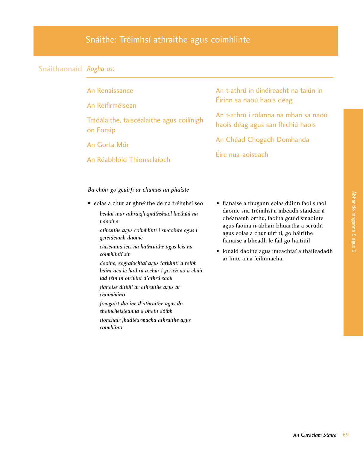# Snáithe: Tréimhsí athraithe agus coimhlinte

# Snáithaonaid *Rogha as:*

| An Renaissance |  |
|----------------|--|
|                |  |
|                |  |

An Reifirméisean

Trádálaithe, taiscéalaithe agus coilínigh ón Eoraip

An Gorta Mór

An Réabhlóid Thionsclaíoch

An t-athrú in úinéireacht na talún in Éirinn sa naoú haois déag

An t-athrú i rólanna na mban sa naoú haois déag agus san fhichiú haois

An Chéad Chogadh Domhanda

Éire nua-aoiseach

*Ba chóir go gcuirfí ar chumas an pháiste*

- eolas a chur ar ghnéithe de na tréimhsí seo
	- *bealaí inar athraigh gnáthshaol laethúil na ndaoine*

*athruithe agus coimhlintí i smaointe agus i gcreideamh daoine*

- *cúiseanna leis na hathruithe agus leis na coimhlintí sin*
- *daoine, eagraíochtaí agus tarlúintí a raibh baint acu le hathrú a chur i gcrích nó a chuir iad féin in oiriúint d'athrú saoil*

*fianaise áitiúil ar athruithe agus ar choimhlintí*

*freagairt daoine d'athruithe agus do shaincheisteanna a bhain dóibh*

*tionchair fhadtéarmacha athruithe agus coimhlintí*

- fianaise a thugann eolas dúinn faoi shaol daoine sna tréimhsí a mbeadh staidéar á dhéanamh orthu, faoina gcuid smaointe agus faoina n-ábhair bhuartha a scrúdú agus eolas a chur uirthi, go háirithe fianaise a bheadh le fáil go háitiúil
- ionaid daoine agus imeachtaí a thaifeadadh ar línte ama feiliúnacha.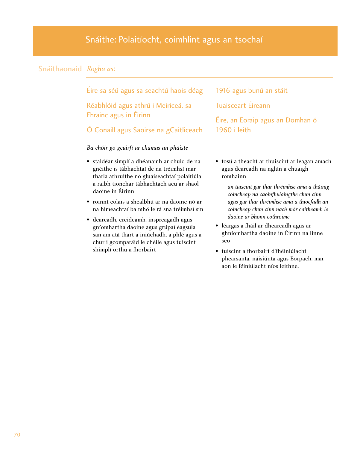# Snáithaonaid *Rogha as:*

Éire sa séú agus sa seachtú haois déag

Réabhlóid agus athrú i Meiriceá, sa Fhrainc agus in Éirinn

## Ó Conaill agus Saoirse na gCaitliceach

## *Ba chóir go gcuirfí ar chumas an pháiste*

- staidéar simplí a dhéanamh ar chuid de na gnéithe is tábhachtaí de na tréimhsí inar tharla athruithe nó gluaiseachtaí polaitiúla a raibh tionchar tábhachtach acu ar shaol daoine in Éirinn
- roinnt eolais a shealbhú ar na daoine nó ar na himeachtaí ba mhó le rá sna tréimhsí sin
- dearcadh, creideamh, inspreagadh agus gníomhartha daoine agus grúpaí éagsúla san am atá thart a iniúchadh, a phlé agus a chur i gcomparáid le chéile agus tuiscint shimplí orthu a fhorbairt

# 1916 agus bunú an stáit

Tuaisceart Éireann

Éire, an Eoraip agus an Domhan ó 1960 i leith

• tosú a theacht ar thuiscint ar leagan amach agus dearcadh na nglún a chuaigh romhainn

*an tuiscint gur thar thréimhse ama a tháinig coincheap na caoinfhulaingthe chun cinn agus gur thar thréimhse ama a thiocfadh an coincheap chun cinn nach mór caitheamh le daoine ar bhonn cothroime* 

- léargas a fháil ar dhearcadh agus ar ghníomhartha daoine in Éirinn na linne seo
- tuiscint a fhorbairt d'fhéiniúlacht phearsanta, náisiúnta agus Eorpach, mar aon le féiniúlacht níos leithne.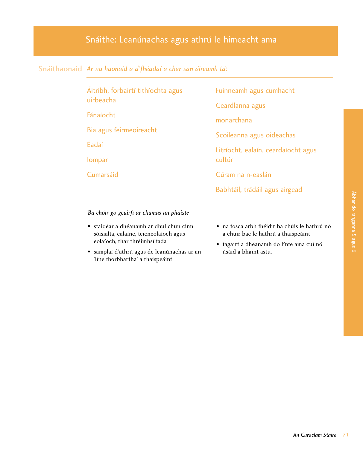# Snáithe: Leanúnachas agus athrú le himeacht ama

# Snáithaonaid *Ar na haonaid a d'fhéadaí a chur san áireamh tá:*

| Áitribh, forbairtí tithíochta agus |  |
|------------------------------------|--|
| uirbeacha                          |  |

Fánaíocht

Bia agus feirmeoireacht

Éadaí

Iompar

Cumarsáid

Fuinneamh agus cumhacht

Ceardlanna agus

monarchana

Scoileanna agus oideachas

Litríocht, ealaín, ceardaíocht agus cultúr

Cúram na n-easlán

Babhtáil, trádáil agus airgead

### *Ba chóir go gcuirfí ar chumas an pháiste*

- staidéar a dhéanamh ar dhul chun cinn sóisialta, ealaíne, teicneolaíoch agus eolaíoch, thar thréimhsí fada
- samplaí d'athrú agus de leanúnachas ar an 'líne fhorbhartha' a thaispeáint
- na tosca arbh fhéidir ba chúis le hathrú nó a chuir bac le hathrú a thaispeáint
- tagairt a dhéanamh do línte ama cuí nó úsáid a bhaint astu.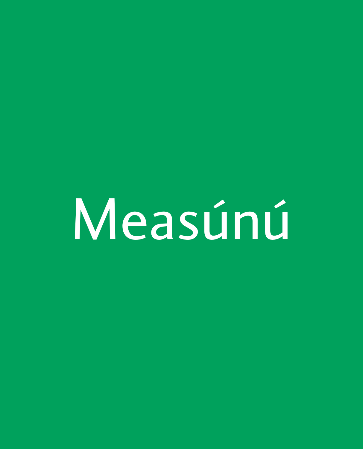Measúnú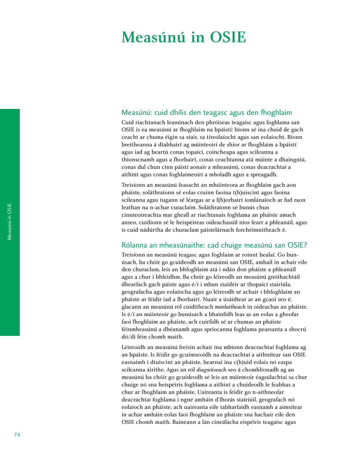# Measúnú in OSIE

## Measúnú: cuid dhílis den teagasc agus den fhoghlaim

Cuid riachtanach leanúnach den phróiseas teagaisc agus foghlama san OSIE is ea measúnú ar fhoghlaim na bpáistí: bíonn sé ina chuid de gach ceacht ar chuma éigin sa stair, sa tíreolaíocht agus san eolaíocht. Bíonn breitheanna á dtabhairt ag múinteoirí de shíor ar fhoghlaim a bpáistí agus iad ag beartú conas topaicí, coincheapa agus scileanna a thionscnamh agus a fhorbairt, conas ceachtanna atá múinte a dhaingniú, conas dul chun cinn páistí aonair a mheasúnú, conas deacrachtaí a aithint agus conas foghlaimeoirí a mholadh agus a spreagadh.

Treisíonn an measúnú feasacht an mhúinteora ar fhoghlaim gach aon pháiste, soláthraíonn sé eolas cruinn faoina t(h)uiscint agus faoina scileanna agus tugann sé léargas ar a f(h)orbairt iomlánaíoch ar fud raon leathan na n-achar curaclaim. Soláthraíonn sé bunús chun cinnteoireachta mar gheall ar riachtanais foghlama an pháiste amach anseo, cuidíonn sé le heispéireas oideachasúil níos fearr a phleanáil, agus is cuid nádúrtha de churaclam páistelárnach forchéimnitheach é.

# Rólanna an mheasúnaithe: cad chuige measúnú san OSIE?

Treisíonn an measúnú teagasc agus foghlaim ar roinnt bealaí. Go bunúsach, ba chóir go gcuideodh an measúnú san OSIE, amhail in achair eile den churaclam, leis an bhfoghlaim atá i ndán don pháiste a phleanáil agus a chur i bhfeidhm. Ba chóir go léireodh an measúnú gnóthachtáil dhearfach gach páiste agus é/í i mbun staidéir ar thopaicí stairiúla, geografacha agus eolaíocha agus go léireodh sé achair i bhfoghlaim an pháiste ar féidir iad a fhorbairt. Nuair a úsáidtear ar an gcaoi seo é, glacann an measúnú ról cuiditheach *múnlaitheach* in oideachas an pháiste. Is é/í an múinteoir go bunúsach a bhainfidh leas as an eolas a gheofar faoi fhoghlaim an pháiste, ach cuirfidh sé ar chumas an pháiste féinmheasúnú a dhéanamh agus spriocanna foghlama pearsanta a shocrú dó/di féin chomh maith.

Léireoidh an measúnú freisin achair ina mbíonn deacrachtaí foghlama ag an bpáiste. Is féidir go gcuimseoidh na deacrachtaí a aithnítear san OSIE easnaimh i dtuiscint an pháiste, bearnaí ina c(h)uid eolais nó easpa scileanna áirithe. Agus an ról *diagnóiseach* seo á chomhlíonadh ag an measúnú ba chóir go gcuideodh sé leis an múinteoir éagsúlachtaí sa chur chuige nó sna heispéiris foghlama a aithint a chuideodh le feabhas a chur ar fhoghlaim an pháiste. Uaireanta is féidir go n-aithneofar deacrachtaí foghlama i ngné amháin d'fhorás stairiúil, geografach nó eolaíoch an pháiste, ach uaireanta eile tabharfaidh easnamh a aimsítear in achar amháin eolas faoi fhoghlaim an pháiste sna hachair eile den OSIE chomh maith. Baineann a lán cineálacha eispéiris teagaisc agus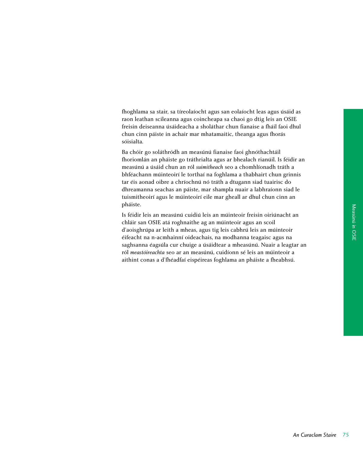fhoghlama sa stair, sa tíreolaíocht agus san eolaíocht leas agus úsáid as raon leathan scileanna agus coincheapa sa chaoi go dtig leis an OSIE freisin deiseanna úsáideacha a sholáthar chun fianaise a fháil faoi dhul chun cinn páiste in achair mar mhatamaitic, theanga agus fhorás sóisialta.

Ba chóir go soláthródh an measúnú fianaise faoi ghnóthachtáil fhoriomlán an pháiste go tráthrialta agus ar bhealach rianúil. Is féidir an measúnú a úsáid chun an ról *suimitheach* seo a chomhlíonadh tráth a bhféachann múinteoirí le torthaí na foghlama a thabhairt chun grinnis tar éis aonad oibre a chríochnú nó tráth a dtugann siad tuairisc do dhreamanna seachas an páiste, mar shampla nuair a labhraíonn siad le tuismitheoirí agus le múinteoirí eile mar gheall ar dhul chun cinn an pháiste.

Is féidir leis an measúnú cuidiú leis an múinteoir freisin oiriúnacht an chláir san OSIE atá roghnaithe ag an múinteoir agus an scoil d'aoisghrúpa ar leith a mheas, agus tig leis cabhrú leis an múinteoir éifeacht na n-acmhainní oideachais, na modhanna teagaisc agus na saghsanna éagsúla cur chuige a úsáidtear a mheasúnú. Nuair a leagtar an ról *meastóireachta* seo ar an measúnú, cuidíonn sé leis an múinteoir a aithint conas a d'fhéadfaí eispéireas foghlama an pháiste a fheabhsú.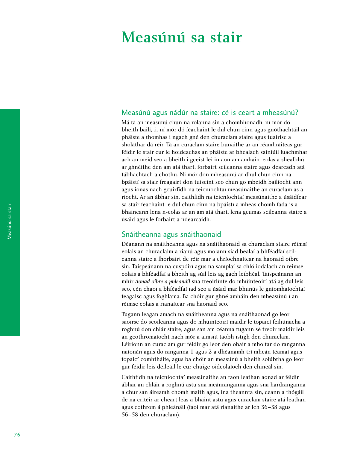# Measúnú sa stair

## Measúnú agus nádúr na staire: cé is ceart a mheasúnú?

Má tá an measúnú chun na rólanna sin a chomhlíonadh, ní mór dó bheith bailí, .i. ní mór dó féachaint le dul chun cinn agus gnóthachtáil an pháiste a thomhas i ngach gné den churaclam staire agus tuairisc a sholáthar dá réir. Tá an curaclam staire bunaithe ar an réamhráiteas gur féidir le stair cur le hoideachas an pháiste ar bhealach sainiúil luachmhar ach an méid seo a bheith i gceist léi in aon am amháin: eolas a shealbhú ar ghnéithe den am atá thart, forbairt scileanna staire agus dearcadh atá tábhachtach a chothú. Ní mór don mheasúnú ar dhul chun cinn na bpáistí sa stair freagairt don tuiscint seo chun go mbeidh bailíocht ann agus ionas nach gcuirfidh na teicníochtaí measúnaithe an curaclam as a riocht. Ar an ábhar sin, caithfidh na teicníochtaí measúnaithe a úsáidfear sa stair féachaint le dul chun cinn na bpáistí a mheas chomh fada is a bhaineann lena n-eolas ar an am atá thart, lena gcumas scileanna staire a úsáid agus le forbairt a ndearcaidh.

# Snáitheanna agus snáithaonaid

Déanann na snáitheanna agus na snáithaonaid sa churaclam staire réimsí eolais an churaclaim a rianú agus molann siad bealaí a bhféadfaí scileanna staire a fhorbairt de réir mar a chríochnaítear na haonaid oibre sin. Taispeánann na cuspóirí agus na samplaí sa chló iodálach an réimse eolais a bhféadfaí a bheith ag súil leis ag gach leibhéal. Taispeánann an mhír *Aonad oibre a phleanáil* sna treoirlínte do mhúinteoirí atá ag dul leis seo, cén chaoi a bhféadfaí iad seo a úsáid mar bhunús le gníomhaíochtaí teagaisc agus foghlama. Ba chóir gur ghné amháin den mheasúnú í an réimse eolais a rianaítear sna haonaid seo.

Tugann leagan amach na snáitheanna agus na snáithaonad go leor saoirse do scoileanna agus do mhúinteoirí maidir le topaicí feiliúnacha a roghnú don chlár staire, agus san am céanna tugann sé treoir maidir leis an gcothromaíocht nach mór a aimsiú taobh istigh den churaclam. Léiríonn an curaclam gur féidir go leor den obair a mholtar do ranganna naíonán agus do ranganna 1 agus 2 a dhéanamh trí mheán téamaí agus topaicí comhtháite, agus ba chóir an measúnú a bheith solúbtha go leor gur féidir leis déileáil le cur chuige oideolaíoch den chineál sin.

Caithfidh na teicníochtaí measúnaithe an raon leathan aonad ar féidir ábhar an chláir a roghnú astu sna meánranganna agus sna hardranganna a chur san áireamh chomh maith agus, ina theannta sin, ceann a thógáil de na critéir ar cheart leas a bhaint astu agus curaclam staire atá leathan agus cothrom á phleánáil (faoi mar atá rianaithe ar lch 36–38 agus 56–58 den churaclam).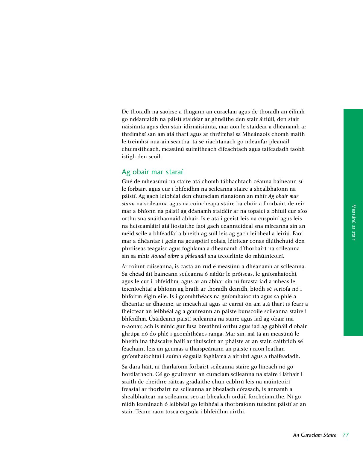De thoradh na saoirse a thugann an curaclam agus de thoradh an éilimh go ndéanfaidh na páistí staidéar ar ghnéithe den stair áitiúil, den stair náisiúnta agus den stair idirnáisiúnta, mar aon le staidéar a dhéanamh ar thréimhsí san am atá thart agus ar thréimhsí sa Mheánaois chomh maith le tréimhsí nua-aimseartha, tá sé riachtanach go ndéanfar pleanáil chuimsitheach, measúnú suimitheach éifeachtach agus taifeadadh taobh istigh den scoil.

## Ag obair mar staraí

Gné de mheasúnú na staire atá chomh tábhachtach céanna baineann sí le forbairt agus cur i bhfeidhm na scileanna staire a shealbhaíonn na páistí. Ag gach leibhéal den churaclam rianaíonn an mhír *Ag obair mar staraí* na scileanna agus na coincheapa staire ba chóir a fhorbairt de réir mar a bhíonn na páistí ag déanamh staidéir ar na topaicí a bhfuil cur síos orthu sna snáithaonaid ábhair. Is é atá i gceist leis na cuspóirí agus leis na heiseamláirí atá liostaithe faoi gach ceannteideal sna míreanna sin an méid scile a bhféadfaí a bheith ag súil leis ag gach leibhéal a léiriú. Faoi mar a dhéantar i gcás na gcuspóirí eolais, léirítear conas dlúthchuid den phróiseas teagaisc agus foghlama a dhéanamh d'fhorbairt na scileanna sin sa mhír *Aonad oibre a phleanáil* sna treoirlínte do mhúinteoirí.

Ar roinnt cúiseanna, is casta an rud é measúnú a dhéanamh ar scileanna. Sa chéad áit baineann scileanna ó nádúr le próiseas, le gníomhaíocht agus le cur i bhfeidhm, agus ar an ábhar sin ní furasta iad a mheas le teicníochtaí a bhíonn ag brath ar thoradh deiridh, bíodh sé scríofa nó i bhfoirm éigin eile. Is i gcomhthéacs na gníomhaíochta agus sa phlé a dhéantar ar dhaoine, ar imeachtaí agus ar earraí ón am atá thart is fearr a fheictear an leibhéal ag a gcuireann an páiste bunscoile scileanna staire i bhfeidhm. Úsáideann páistí scileanna na staire agus iad ag obair ina n-aonar, ach is minic gur fusa breathnú orthu agus iad ag gabháil d'obair ghrúpa nó do phlé i gcomhthéacs ranga. Mar sin, má tá an measúnú le bheith ina tháscaire bailí ar thuiscint an pháiste ar an stair, caithfidh sé féachaint leis an gcumas a thaispeánann an páiste i raon leathan gníomhaíochtaí i suímh éagsúla foghlama a aithint agus a thaifeadadh.

Sa dara háit, ní tharlaíonn forbairt scileanna staire go líneach nó go hordlathach. Cé go gcuireann an curaclam scileanna na staire i láthair i sraith de cheithre ráiteas grádaithe chun cabhrú leis na múinteoirí freastal ar fhorbairt na scileanna ar bhealach córasach, is annamh a shealbhaítear na scileanna seo ar bhealach ordúil forchéimnithe. Ní go réidh leanúnach ó leibhéal go leibhéal a fhorbraíonn tuiscint páistí ar an stair. Téann raon tosca éagsúla i bhfeidhm uirthi.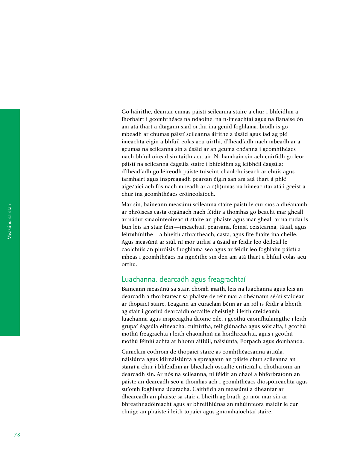Go háirithe, déantar cumas páistí scileanna staire a chur i bhfeidhm a fhorbairt i gcomhthéacs na ndaoine, na n-imeachtaí agus na fianaise ón am atá thart a dtagann siad orthu ina gcuid foghlama: bíodh is go mbeadh ar chumas páistí scileanna áirithe a úsáid agus iad ag plé imeachta éigin a bhfuil eolas acu uirthi, d'fhéadfadh nach mbeadh ar a gcumas na scileanna sin a úsáid ar an gcuma chéanna i gcomhthéacs nach bhfuil oiread sin taithí acu air. Ní hamháin sin ach cuirfidh go leor páistí na scileanna éagsúla staire i bhfeidhm ag leibhéil éagsúla: d'fhéadfadh go léireodh páiste tuiscint chaolchúiseach ar chúis agus iarmhairt agus inspreagadh pearsan éigin san am atá thart á phlé aige/aici ach fós nach mbeadh ar a c(h)umas na himeachtaí atá i gceist a chur ina gcomhthéacs cróineolaíoch.

Mar sin, baineann measúnú scileanna staire páistí le cur síos a dhéanamh ar phróiseas casta orgánach nach féidir a thomhas go beacht mar gheall ar nádúr smaointeoireacht staire an pháiste agus mar gheall ar na rudaí is bun leis an stair féin—imeachtaí, pearsana, foinsí, ceisteanna, tátail, agus léirmhínithe—a bheith athraitheach, casta, agus fite fuaite ina chéile. Agus measúnú ar siúl, ní mór uirlisí a úsáid ar féidir leo déileáil le caolchúis an phróisis fhoghlama seo agus ar féidir leo foghlaim páistí a mheas i gcomhthéacs na ngnéithe sin den am atá thart a bhfuil eolas acu orthu.

## Luachanna, dearcadh agus freagrachtaí

Baineann measúnú sa stair, chomh maith, leis na luachanna agus leis an dearcadh a fhorbraítear sa pháiste de réir mar a dhéanann sé/sí staidéar ar thopaicí staire. Leagann an curaclam béim ar an ról is féidir a bheith ag stair i gcothú dearcaidh oscailte cheistigh i leith creideamh, luachanna agus inspreagtha daoine eile, i gcothú caoinfhulaingthe i leith grúpaí éagsúla eitneacha, cultúrtha, reiligiúnacha agus sóisialta, i gcothú mothú freagrachta i leith chaomhnú na hoidhreachta, agus i gcothú mothú féiniúlachta ar bhonn áitiúil, náisiúnta, Eorpach agus domhanda.

Curaclam cothrom de thopaicí staire as comhthéacsanna áitiúla, náisiúnta agus idirnáisiúnta a spreagann an páiste chun scileanna an staraí a chur i bhfeidhm ar bhealach oscailte criticiúil a chothaíonn an dearcadh sin. Ar nós na scileanna, ní féidir an chaoi a bhforbraíonn an páiste an dearcadh seo a thomhas ach i gcomhthéacs díospóireachta agus suíomh foghlama údaracha. Caithfidh an measúnú a dhéanfar ar dhearcadh an pháiste sa stair a bheith ag brath go mór mar sin ar bhreathnadóireacht agus ar bhreithiúnas an mhúinteora maidir le cur chuige an pháiste i leith topaicí agus gníomhaíochtaí staire.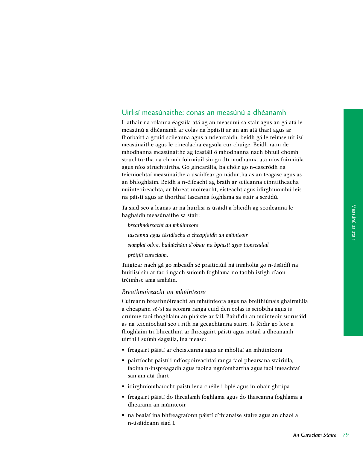## Uirlisí measúnaithe: conas an measúnú a dhéanamh

I láthair na rólanna éagsúla atá ag an measúnú sa stair agus an gá atá le measúnú a dhéanamh ar eolas na bpáistí ar an am atá thart agus ar fhorbairt a gcuid scileanna agus a ndearcaidh, beidh gá le réimse uirlisí measúnaithe agus le cineálacha éagsúla cur chuige. Beidh raon de mhodhanna measúnaithe ag teastáil ó mhodhanna nach bhfuil chomh struchtúrtha ná chomh foirmiúil sin go dtí modhanna atá níos foirmiúla agus níos struchtúrtha. Go ginearálta, ba chóir go n-eascródh na teicníochtaí measúnaithe a úsáidfear go nádúrtha as an teagasc agus as an bhfoghlaim. Beidh a n-éifeacht ag brath ar scileanna cinntitheacha múinteoireachta, ar bhreathnóireacht, éisteacht agus idirghníomhú leis na páistí agus ar thorthaí tascanna foghlama sa stair a scrúdú.

Tá siad seo a leanas ar na huirlisí is úsáidí a bheidh ag scoileanna le haghaidh measúnaithe sa stair:

*breathnóireacht an mhúinteora tascanna agus tástálacha a cheapfaidh an múinteoir samplaí oibre, bailiúcháin d'obair na bpáistí agus tionscadail próifílí curaclaim.*

Tuigtear nach gá go mbeadh sé praiticiúil ná inmholta go n-úsáidfí na huirlisí sin ar fad i ngach suíomh foghlama nó taobh istigh d'aon tréimhse ama amháin.

#### *Breathnóireacht an mhúinteora*

Cuireann breathnóireacht an mhúinteora agus na breithiúnais ghairmiúla a cheapann sé/sí sa seomra ranga cuid den eolas is sciobtha agus is cruinne faoi fhoghlaim an pháiste ar fáil. Bainfidh an múinteoir síorúsáid as na teicníochtaí seo i rith na gceachtanna staire. Is féidir go leor a fhoghlaim trí bhreathnú ar fhreagairt páistí agus nótáil a dhéanamh uirthi i suímh éagsúla, ina measc:

- freagairt páistí ar cheisteanna agus ar mholtaí an mhúinteora
- páirtíocht páistí i ndíospóireachtaí ranga faoi phearsana stairiúla, faoina n-inspreagadh agus faoina ngníomhartha agus faoi imeachtaí san am atá thart
- idirghníomhaíocht páistí lena chéile i bplé agus in obair ghrúpa
- freagairt páistí do threalamh foghlama agus do thascanna foghlama a dhearann an múinteoir
- na bealaí ina bhfreagraíonn páistí d'fhianaise staire agus an chaoi a n-úsáideann siad í.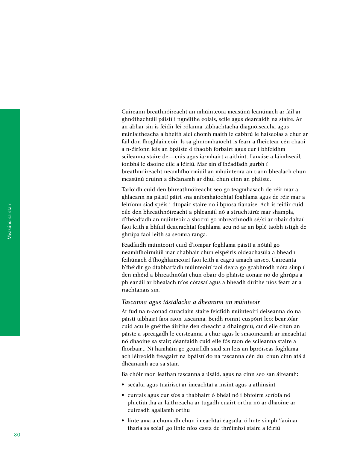Cuireann breathnóireacht an mhúinteora measúnú leanúnach ar fáil ar ghnóthachtáil páistí i ngnéithe eolais, scile agus dearcaidh na staire. Ar an ábhar sin is féidir léi rólanna tábhachtacha diagnóiseacha agus múnlaitheacha a bheith aici chomh maith le cabhrú le haiseolas a chur ar fáil don fhoghlaimeoir. Is sa ghníomhaíocht is fearr a fheictear cén chaoi a n-éiríonn leis an bpáiste ó thaobh forbairt agus cur i bhfeidhm scileanna staire de—cúis agus iarmhairt a aithint, fianaise a láimhseáil, ionbhá le daoine eile a léiriú. Mar sin d'fhéadfadh gurbh í breathnóireacht neamhfhoirmiúil an mhúinteora an t-aon bhealach chun measúnú cruinn a dhéanamh ar dhul chun cinn an pháiste.

Tarlóidh cuid den bhreathnóireacht seo go teagmhasach de réir mar a ghlacann na páistí páirt sna gníomhaíochtaí foghlama agus de réir mar a léiríonn siad spéis i dtopaic staire nó i bpíosa fianaise. Ach is féidir cuid eile den bhreathnóireacht a phleanáil nó a struchtúrú: mar shampla, d'fhéadfadh an múinteoir a shocrú go mbreathnódh sé/sí ar obair daltaí faoi leith a bhfuil deacrachtaí foghlama acu nó ar an bplé taobh istigh de ghrúpa faoi leith sa seomra ranga.

Féadfaidh múinteoirí cuid d'iompar foghlama páistí a nótáil go neamhfhoirmiúil mar chabhair chun eispéiris oideachasúla a bheadh feiliúnach d'fhoghlaimeoirí faoi leith a eagrú amach anseo. Uaireanta b'fhéidir go dtabharfadh múinteoirí faoi deara go gcabhródh nóta simplí den mhéid a bhreathnófaí chun obair do pháiste aonair nó do ghrúpa a phleanáil ar bhealach níos córasaí agus a bheadh dírithe níos fearr ar a riachtanais sin.

#### *Tascanna agus tástálacha a dhearann an múinteoir*

Ar fud na n-aonad curaclaim staire feicfidh múinteoirí deiseanna do na páistí tabhairt faoi raon tascanna. Beidh roinnt cuspóirí leo: beartófar cuid acu le gnéithe áirithe den cheacht a dhaingniú, cuid eile chun an páiste a spreagadh le ceisteanna a chur agus le smaoineamh ar imeachtaí nó dhaoine sa stair; déanfaidh cuid eile fós raon de scileanna staire a fhorbairt. Ní hamháin go gcuirfidh siad sin leis an bpróiseas foghlama ach léireoidh freagairt na bpáistí do na tascanna cén dul chun cinn atá á dhéanamh acu sa stair.

Ba chóir raon leathan tascanna a úsáid, agus na cinn seo san áireamh:

- scéalta agus tuairiscí ar imeachtaí a insint agus a athinsint
- cuntais agus cur síos a thabhairt ó bhéal nó i bhfoirm scríofa nó phictiúrtha ar láithreacha ar tugadh cuairt orthu nó ar dhaoine ar cuireadh agallamh orthu
- línte ama a chumadh chun imeachtaí éagsúla, ó línte simplí 'faoinar tharla sa scéal' go línte níos casta de thréimhsí staire a léiriú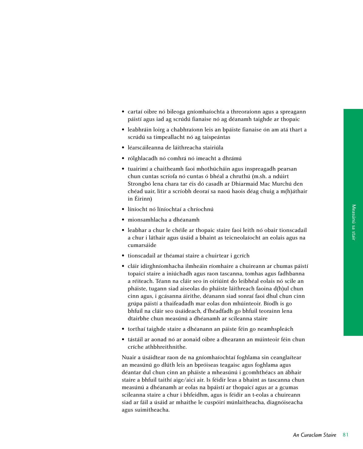- cartaí oibre nó bileoga gníomhaíochta a threoraíonn agus a spreagann páistí agus iad ag scrúdú fianaise nó ag déanamh taighde ar thopaic
- leabhráin loirg a chabhraíonn leis an bpáiste fianaise ón am atá thart a scrúdú sa timpeallacht nó ag taispeántas
- léarscáileanna de láithreacha stairiúla
- rólghlacadh nó comhrá nó imeacht a dhrámú
- tuairimí a chaitheamh faoi mhothúcháin agus inspreagadh pearsan chun cuntas scríofa nó cuntas ó bhéal a chruthú (m.sh. a ndúirt Strongbó lena chara tar éis dó casadh ar Dhiarmaid Mac Murchú den chéad uair, litir a scríobh deoraí sa naoú haois déag chuig a m(h)áthair in Éirinn)
- líníocht nó líníochtaí a chríochnú
- mionsamhlacha a dhéanamh
- leabhar a chur le chéile ar thopaic staire faoi leith nó obair tionscadail a chur i láthair agus úsáid a bhaint as teicneolaíocht an eolais agus na cumarsáide
- tionscadail ar théamaí staire a chuirtear i gcrích
- cláir idirghníomhacha ilmheáin ríomhaire a chuireann ar chumas páistí topaicí staire a iniúchadh agus raon tascanna, tomhas agus fadhbanna a réiteach. Téann na cláir seo in oiriúint do leibhéal eolais nó scile an pháiste, tugann siad aiseolas do pháiste láithreach faoina d(h)ul chun cinn agus, i gcásanna áirithe, déanann siad sonraí faoi dhul chun cinn grúpa páistí a thaifeadadh mar eolas don mhúinteoir. Bíodh is go bhfuil na cláir seo úsáideach, d'fhéadfadh go bhfuil teorainn lena dtairbhe chun measúnú a dhéanamh ar scileanna staire
- torthaí taighde staire a dhéanann an páiste féin go neamhspleách
- tástáil ar aonad nó ar aonaid oibre a dhearann an múinteoir féin chun críche athbhreithnithe.

Nuair a úsáidtear raon de na gníomhaíochtaí foghlama sin ceanglaítear an measúnú go dlúth leis an bpróiseas teagaisc agus foghlama agus déantar dul chun cinn an pháiste a mheasúnú i gcomhthéacs an ábhair staire a bhfuil taithí aige/aici air. Is féidir leas a bhaint as tascanna chun measúnú a dhéanamh ar eolas na bpáistí ar thopaicí agus ar a gcumas scileanna staire a chur i bhfeidhm, agus is féidir an t-eolas a chuireann siad ar fáil a úsáid ar mhaithe le cuspóirí múnlaitheacha, diagnóiseacha agus suimitheacha.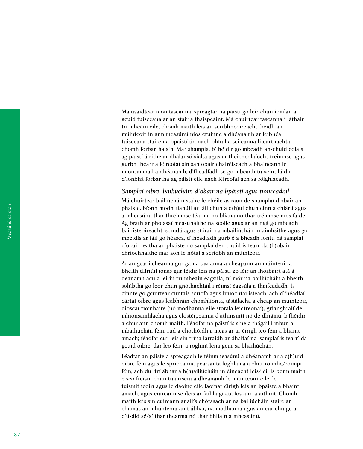Má úsáidtear raon tascanna, spreagtar na páistí go léir chun iomlán a gcuid tuisceana ar an stair a thaispeáint. Má chuirtear tascanna i láthair trí mheáin eile, chomh maith leis an scríbhneoireacht, beidh an múinteoir in ann measúnú níos cruinne a dhéanamh ar leibhéal tuisceana staire na bpáistí úd nach bhfuil a scileanna litearthachta chomh forbartha sin. Mar shampla, b'fhéidir go mbeadh an-chuid eolais ag páistí áirithe ar dhálaí sóisialta agus ar theicneolaíocht tréimhse agus gurbh fhearr a léireofaí sin san obair cháiréiseach a bhaineann le mionsamhail a dhéanamh; d'fhéadfadh sé go mbeadh tuiscint láidir d'ionbhá forbartha ag páistí eile nach léireofaí ach sa rólghlacadh.

### *Samplaí oibre, bailiúcháin d'obair na bpáistí agus tionscadail*

Má chuirtear bailiúcháin staire le chéile as raon de shamplaí d'obair an pháiste, bíonn modh rianúil ar fáil chun a d(h)ul chun cinn a chlárú agus a mheasúnú thar thréimhse téarma nó bliana nó thar tréimhse níos faide. Ag brath ar pholasaí measúnaithe na scoile agus ar an ngá go mbeadh bainisteoireacht, scrúdú agus stóráil na mbailiúchán inláimhsithe agus go mbeidís ar fáil go héasca, d'fhéadfadh gurb é a bheadh iontu ná samplaí d'obair reatha an pháiste nó samplaí den chuid is fearr dá (h)obair chríochnaithe mar aon le nótaí a scríobh an múinteoir.

Ar an gcaoi chéanna gur gá na tascanna a cheapann an múinteoir a bheith difriúil ionas gur féidir leis na páistí go léir an fhorbairt atá á déanamh acu a léiriú trí mheáin éagsúla, ní mór na bailiúcháin a bheith solúbtha go leor chun gnóthachtáil i réimsí éagsúla a thaifeadadh. Is cinnte go gcuirfear cuntais scríofa agus líníochtaí isteach, ach d'fhéadfaí cártaí oibre agus leabhráin chomhlíonta, tástálacha a cheap an múinteoir, dioscaí ríomhaire (nó modhanna eile stórála leictreonaí), grianghraif de mhionsamhlacha agus clostéipeanna d'athinsintí nó de dhrámú, b'fhéidir, a chur ann chomh maith. Féadfar na páistí is sine a fhágáil i mbun a mbailiúchán féin, rud a chothóidh a meas ar ar éirigh leo féin a bhaint amach; féadfar cur leis sin trína iarraidh ar dhaltaí na 'samplaí is fearr' dá gcuid oibre, dar leo féin, a roghnú lena gcur sa bhailiúchán.

Féadfar an páiste a spreagadh le féinmheasúnú a dhéanamh ar a c(h)uid oibre féin agus le spriocanna pearsanta foghlama a chur roimhe/roimpi féin, ach dul trí ábhar a b(h)ailiúcháin in éineacht leis/léi. Is bonn maith é seo freisin chun tuairisciú a dhéanamh le múinteoirí eile, le tuismitheoirí agus le daoine eile faoinar éirigh leis an bpáiste a bhaint amach, agus cuireann sé deis ar fáil laigí atá fós ann a aithint. Chomh maith leis sin cuireann anailís chórasach ar na bailiúcháin staire ar chumas an mhúnteora an t-ábhar, na modhanna agus an cur chuige a d'úsáid sé/sí thar théarma nó thar bhliain a mheasúnú.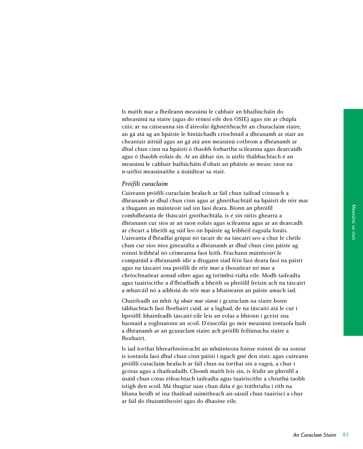Is maith mar a fheileann measúnú le cabhair an bhailiúcháin do mheasúnú na staire (agus do réimsí eile den OSIE) agus sin ar chúpla cúis; ar na cúiseanna sin d'áireofaí ilghnéitheacht an churaclaim staire, an gá atá ag an bpáiste le hiniúchadh críochnúil a dhéanamh ar stair an cheantair áitiúil agus an gá atá ann measúnú cothrom a dhéanamh ar dhul chun cinn na bpáistí ó thaobh forbartha scileanna agus dearcaidh agus ó thaobh eolais de. Ar an ábhar sin, is uirlis thábhachtach é an measúnú le cabhair bailiúcháin d'obair an pháiste as measc raon na n-uirlisí measúnaithe a úsáidtear sa stair.

#### *Próifílí curaclaim*

Cuireann próifílí curaclaim bealach ar fáil chun taifead córasach a dhéanamh ar dhul chun cinn agus ar ghnóthachtáil na bpáistí de réir mar a thugann an múinteoir iad sin faoi deara. Bíonn an phróifíl comhdhéanta de tháscairí gnóthachtála, is é sin ráitis ghearra a dhéanann cur síos ar an raon eolais agus scileanna agus ar an dearcadh ar cheart a bheith ag súil leo ón bpáiste ag leibhéil éagsúla foráis. Uaireanta d'fhéadfaí grúpaí nó tacair de na táscairí seo a chur le chéile chun cur síos níos ginearálta a dhéanamh ar dhul chun cinn páiste ag roinnt leibhéal nó céimeanna faoi leith. Féachann múinteoirí le comparáid a dhéanamh idir a dtugann siad féin faoi deara faoi na páistí agus na táscairí sna próifílí de réir mar a thosaítear nó mar a chríochnaítear aonad oibre agus ag tréimhsí rialta eile. Modh taifeadta agus tuairiscithe a d'fhéadfadh a bheith sa phróifíl freisin ach na táscairí a mharcáil nó a aibhsiú de réir mar a bhaineann an páiste amach iad.

Chuirfeadh an mhír *Ag obair mar staraí* i gcuraclam na staire bonn tábhachtach faoi fhorbairt cuid, ar a laghad, de na táscairí atá le cur i bpróifíl; bhainfeadh táscairí eile leis an eolas a bhíonn i gceist sna haonaid a roghnaíonn an scoil. D'éascófaí go mór measúnú iontaofa bailí a dhéanamh ar an gcuraclam staire ach próifílí feiliúnacha staire a fhorbairt.

Is iad torthaí bhreathnóireacht an mhúinteora foinse roinnt de na sonraí is iontaofa faoi dhul chun cinn páistí i ngach gné den stair, agus cuireann próifílí curaclaim bealach ar fáil chun na torthaí sin a eagrú, a chur i gcóras agus a thaifeadadh. Chomh maith leis sin, is féidir an phróifíl a úsáid chun córas éifeachtach taifeadta agus tuairiscithe a chruthú taobh istigh den scoil. Má thugtar suas chun dáta é go tráthrialta i rith na bliana beidh sé ina thaifead suimitheach an-sásúil chun tuairiscí a chur ar fáil do thuismitheoirí agus do dhaoine eile.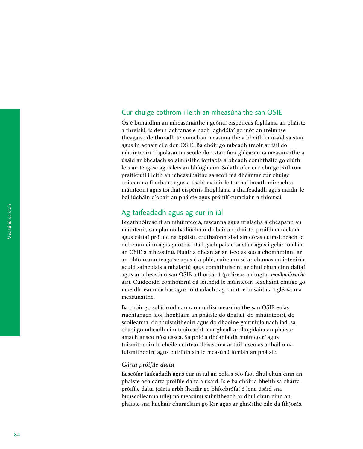## Cur chuige cothrom i leith an mheasúnaithe san OSIE

Ós é bunaidhm an mheasúnaithe i gcónaí eispéireas foghlama an pháiste a threisiú, is den riachtanas é nach laghdófaí go mór an tréimhse theagaisc de thoradh teicníochtaí measúnaithe a bheith in úsáid sa stair agus in achair eile den OSIE. Ba chóir go mbeadh treoir ar fáil do mhúinteoirí i bpolasaí na scoile don stair faoi ghléasanna measúnaithe a úsáid ar bhealach soláimhsithe iontaofa a bheadh comhtháite go dlúth leis an teagasc agus leis an bhfoghlaim. Soláthrófar cur chuige cothrom praiticiúil i leith an mheasúnaithe sa scoil má dhéantar cur chuige coiteann a fhorbairt agus a úsáid maidir le torthaí breathnóireachta múinteoirí agus torthaí eispéiris fhoghlama a thaifeadadh agus maidir le bailiúcháin d'obair an pháiste agus próifílí curaclaim a thiomsú.

## Ag taifeadadh agus ag cur in iúl

Breathnóireacht an mhúinteora, tascanna agus trialacha a cheapann an múinteoir, samplaí nó bailiúcháin d'obair an pháiste, próifílí curaclaim agus cártaí próifíle na bpáistí, cruthaíonn siad sin córas cuimsitheach le dul chun cinn agus gnóthachtáil gach páiste sa stair agus i gclár iomlán an OSIE a mheasúnú. Nuair a dhéantar an t-eolas seo a chomhroinnt ar an bhfoireann teagaisc agus é a phlé, cuireann sé ar chumas múinteoirí a gcuid saineolais a mhalartú agus comhthuiscint ar dhul chun cinn daltaí agus ar mheasúnú san OSIE a fhorbairt (próiseas a dtugtar *modhnóireacht* air). Cuideoidh comhoibriú dá leithéid le múinteoirí féachaint chuige go mbeidh leanúnachas agus iontaofacht ag baint le húsáid na ngléasanna measúnaithe.

Ba chóir go soláthródh an raon uirlisí measúnaithe san OSIE eolas riachtanach faoi fhoghlaim an pháiste do dhaltaí, do mhúinteoirí, do scoileanna, do thuismitheoirí agus do dhaoine gairmiúla nach iad, sa chaoi go mbeadh cinnteoireacht mar gheall ar fhoghlaim an pháiste amach anseo níos éasca. Sa phlé a dhéanfaidh múinteoirí agus tuismitheoirí le chéile cuirfear deiseanna ar fáil aiseolas a fháil ó na tuismitheoirí, agus cuirfidh sin le measúnú iomlán an pháiste.

### *Cárta próifíle dalta*

Éascófar taifeadadh agus cur in iúl an eolais seo faoi dhul chun cinn an pháiste ach cárta próifíle dalta a úsáid. Is é ba chóir a bheith sa chárta próifíle dalta (cárta arbh fhéidir go bhforbrófaí é lena úsáid sna bunscoileanna uile) ná measúnú suimitheach ar dhul chun cinn an pháiste sna hachair churaclaim go léir agus ar ghnéithe eile dá f(h)orás.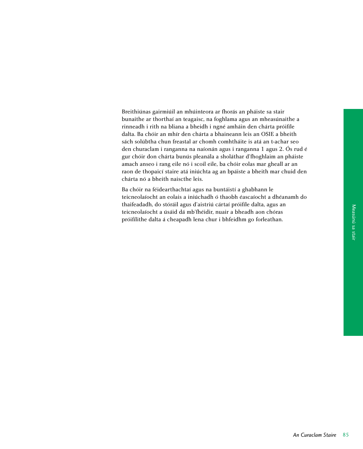Breithiúnas gairmiúil an mhúinteora ar fhorás an pháiste sa stair bunaithe ar thorthaí an teagaisc, na foghlama agus an mheasúnaithe a rinneadh i rith na bliana a bheidh i ngné amháin den chárta próifíle dalta. Ba chóir an mhír den chárta a bhaineann leis an OSIE a bheith sách solúbtha chun freastal ar chomh comhtháite is atá an t-achar seo den churaclam i ranganna na naíonán agus i ranganna 1 agus 2. Ós rud é gur chóir don chárta bunús pleanála a sholáthar d'fhoghlaim an pháiste amach anseo i rang eile nó i scoil eile, ba chóir eolas mar gheall ar an raon de thopaicí staire atá iniúchta ag an bpáiste a bheith mar chuid den chárta nó a bheith naiscthe leis.

Ba chóir na féidearthachtaí agus na buntáistí a ghabhann le teicneolaíocht an eolais a iniúchadh ó thaobh éascaíocht a dhéanamh do thaifeadadh, do stóráil agus d'aistriú cártaí próifíle dalta, agus an teicneolaíocht a úsáid dá mb'fhéidir, nuair a bheadh aon chóras próifílithe dalta á cheapadh lena chur i bhfeidhm go forleathan.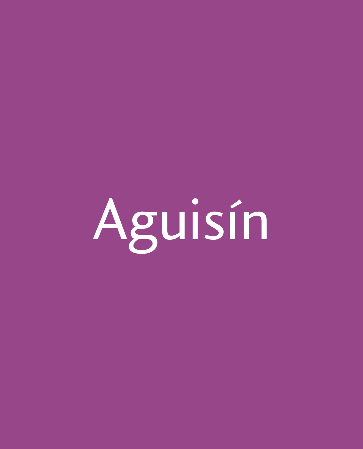Aguisin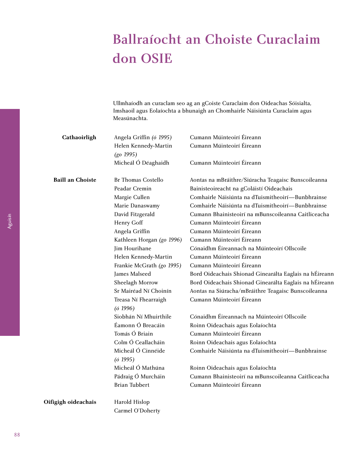# Ballraíocht an Choiste Curaclaim don OSIE

Ullmhaíodh an curaclam seo ag an gCoiste Curaclaim don Oideachas Sóisialta, Imshaoil agus Eolaíochta a bhunaigh an Chomhairle Náisiúnta Curaclaim agus Measúnachta.

| Cathaoirligh            | Angela Griffin (ó 1995)              | Cumann Múinteoirí Éireann                              |
|-------------------------|--------------------------------------|--------------------------------------------------------|
|                         | Helen Kennedy-Martin<br>$(go\ 1995)$ | Cumann Múinteoirí Éireann                              |
|                         | Micheál Ó Déaghaidh                  | Cumann Múinteoirí Éireann                              |
| <b>Baill an Choiste</b> | Br Thomas Costello                   | Aontas na mBráithre/Siúracha Teagaisc Bunscoileanna    |
|                         | Peadar Cremin                        | Bainisteoireacht na gColáistí Oideachais               |
|                         | Margie Cullen                        | Comhairle Náisiúnta na dTuismitheoirí-Bunbhrainse      |
|                         | Marie Danaswamy                      | Comhairle Náisiúnta na dTuismitheoirí-Bunbhrainse      |
|                         | David Fitzgerald                     | Cumann Bhainisteoirí na mBunscoileanna Caitliceacha    |
|                         | Henry Goff                           | Cumann Múinteoirí Éireann                              |
|                         | Angela Griffin                       | Cumann Múinteoirí Éireann                              |
|                         | Kathleen Horgan (go 1996)            | Cumann Múinteoirí Éireann                              |
|                         | Jim Hourihane                        | Cónaidhm Éireannach na Múinteoirí Ollscoile            |
|                         | Helen Kennedy-Martin                 | Cumann Múinteoirí Éireann                              |
|                         | Frankie McGrath (go 1995)            | Cumann Múinteoirí Éireann                              |
|                         | James Malseed                        | Bord Oideachais Shionad Ginearálta Eaglais na hÉireann |
|                         | Sheelagh Morrow                      | Bord Oideachais Shionad Ginearálta Eaglais na hÉireann |
|                         | Sr Mairéad Ní Choinín                | Aontas na Siúracha/mBráithre Teagaisc Bunscoileanna    |
|                         | Treasa Ní Fhearraigh                 | Cumann Múinteoirí Éireann                              |
|                         | (61996)                              |                                                        |
|                         | Siobhán Ní Mhuirthile                | Cónaidhm Éireannach na Múinteoirí Ollscoile            |
|                         | Éamonn Ó Breacáin                    | Roinn Oideachais agus Eolaíochta                       |
|                         | Tomás Ó Briain                       | Cumann Múinteoirí Éireann                              |
|                         | Colm Ó Ceallacháin                   | Roinn Oideachais agus Eolaíochta                       |
|                         | Micheál Ó Cinnéide                   | Comhairle Náisiúnta na dTuismitheoirí-Bunbhrainse      |
|                         | $(6\ 1995)$                          |                                                        |
|                         | Micheál Ó Mathúna                    | Roinn Oideachais agus Eolaíochta                       |
|                         | Pádraig Ó Murcháin                   | Cumann Bhainisteoirí na mBunscoileanna Caitliceacha    |
|                         | <b>Brian Tubbert</b>                 | Cumann Múinteoirí Éireann                              |
| Oifigigh oideachais     | Harold Hislop                        |                                                        |

Carmel O'Doherty

Aguisín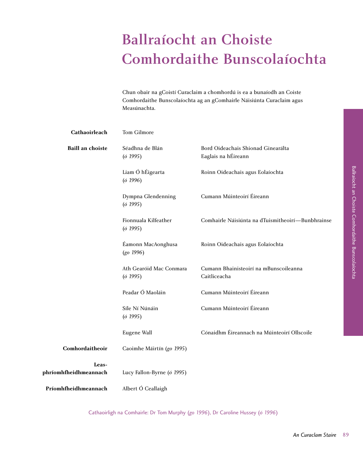# Ballraíocht an Choiste Comhordaithe Bunscolaíochta

Chun obair na gCoistí Curaclaim a chomhordú is ea a bunaíodh an Coiste Comhordaithe Bunscolaíochta ag an gComhairle Náisiúnta Curaclaim agus Measúnachta.

| Cathaoirleach                  | Tom Gilmore                        |                                                           |
|--------------------------------|------------------------------------|-----------------------------------------------------------|
| <b>Baill an choiste</b>        | Séadhna de Blán<br>(61995)         | Bord Oideachais Shionad Ginearálta<br>Eaglais na hÉireann |
|                                | Liam Ó hÉigearta<br>(61996)        | Roinn Oideachais agus Eolaíochta                          |
|                                | Dympna Glendenning<br>(61995)      | Cumann Múinteoirí Éireann                                 |
|                                | Fionnuala Kilfeather<br>(61995)    | Comhairle Náisiúnta na dTuismitheoirí-Bunbhrainse         |
|                                | Éamonn MacAonghusa<br>$(go\ 1996)$ | Roinn Oideachais agus Eolaíochta                          |
|                                | Ath Gearóid Mac Conmara<br>(61995) | Cumann Bhainisteoirí na mBunscoileanna<br>Caitliceacha    |
|                                | Peadar Ó Maoláin                   | Cumann Múinteoirí Éireann                                 |
|                                | Síle Ní Núnáin<br>(61995)          | Cumann Múinteoirí Éireann                                 |
|                                | Eugene Wall                        | Cónaidhm Éireannach na Múinteoirí Ollscoile               |
| Comhordaitheoir                | Caoimhe Máirtín (go 1995)          |                                                           |
| Leas-<br>phríomhfheidhmeannach | Lucy Fallon-Byrne (ó 1995)         |                                                           |
| Príomhfheidhmeannach           | Albert Ó Ceallaigh                 |                                                           |